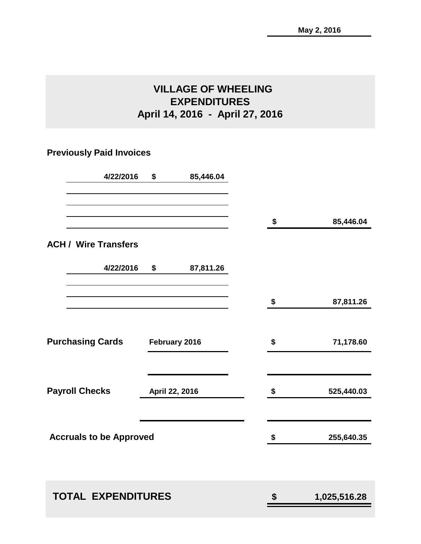### **VILLAGE OF WHEELING EXPENDITURES April 14, 2016 - April 27, 2016**

### **Previously Paid Invoices**

| 4/22/2016                      | \$<br>85,446.04 |                    |
|--------------------------------|-----------------|--------------------|
|                                |                 | \$<br>85,446.04    |
| <b>ACH / Wire Transfers</b>    |                 |                    |
| 4/22/2016                      | \$<br>87,811.26 |                    |
|                                |                 | \$<br>87,811.26    |
| <b>Purchasing Cards</b>        | February 2016   | \$<br>71,178.60    |
| <b>Payroll Checks</b>          | April 22, 2016  | \$<br>525,440.03   |
| <b>Accruals to be Approved</b> |                 | \$<br>255,640.35   |
|                                |                 |                    |
| <b>TOTAL EXPENDITURES</b>      |                 | \$<br>1,025,516.28 |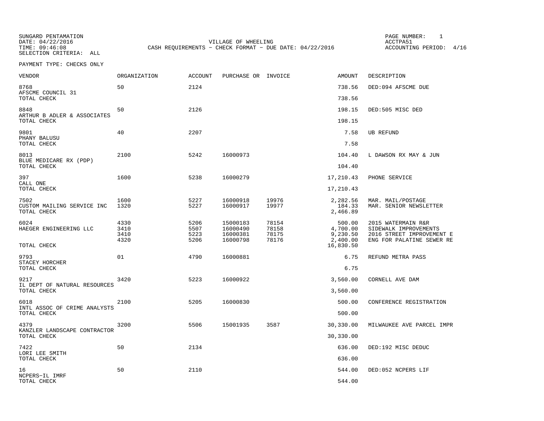SUNGARD PENTAMATION PAGE NUMBER: 1SELECTION CRITERIA: ALL

DATE: 04/22/2016 VILLAGE OF WHEELING ACCTPA51TIME: 09:46:08 CASH REQUIREMENTS - CHECK FORMAT - DUE DATE: 04/22/2016

ACCOUNTING PERIOD: 4/16

| VENDOR                                            | ORGANIZATION                 | ACCOUNT                      | PURCHASE OR INVOICE                          |                                  | AMOUNT                                                  | DESCRIPTION                                                                                           |
|---------------------------------------------------|------------------------------|------------------------------|----------------------------------------------|----------------------------------|---------------------------------------------------------|-------------------------------------------------------------------------------------------------------|
| 8768<br>AFSCME COUNCIL 31                         | 50                           | 2124                         |                                              |                                  | 738.56                                                  | DED:094 AFSCME DUE                                                                                    |
| TOTAL CHECK                                       |                              |                              |                                              |                                  | 738.56                                                  |                                                                                                       |
| 8848<br>ARTHUR B ADLER & ASSOCIATES               | 50                           | 2126                         |                                              |                                  | 198.15                                                  | DED:505 MISC DED                                                                                      |
| TOTAL CHECK                                       |                              |                              |                                              |                                  | 198.15                                                  |                                                                                                       |
| 9801<br>PHANY BALUSU                              | 40                           | 2207                         |                                              |                                  | 7.58                                                    | UB REFUND                                                                                             |
| TOTAL CHECK                                       |                              |                              |                                              |                                  | 7.58                                                    |                                                                                                       |
| 8013<br>BLUE MEDICARE RX (PDP)                    | 2100                         | 5242                         | 16000973                                     |                                  | 104.40                                                  | L DAWSON RX MAY & JUN                                                                                 |
| TOTAL CHECK                                       |                              |                              |                                              |                                  | 104.40                                                  |                                                                                                       |
| 397<br>CALL ONE                                   | 1600                         | 5238                         | 16000279                                     |                                  | 17,210.43                                               | PHONE SERVICE                                                                                         |
| TOTAL CHECK                                       |                              |                              |                                              |                                  | 17,210.43                                               |                                                                                                       |
| 7502<br>CUSTOM MAILING SERVICE INC<br>TOTAL CHECK | 1600<br>1320                 | 5227<br>5227                 | 16000918<br>16000917                         | 19976<br>19977                   | 2,282.56<br>184.33<br>2,466.89                          | MAR. MAIL/POSTAGE<br>MAR. SENIOR NEWSLETTER                                                           |
| 6024<br>HAEGER ENGINEERING LLC<br>TOTAL CHECK     | 4330<br>3410<br>3410<br>4320 | 5206<br>5507<br>5223<br>5206 | 15000183<br>16000490<br>16000381<br>16000798 | 78154<br>78158<br>78175<br>78176 | 500.00<br>4,700.00<br>9,230.50<br>2,400.00<br>16,830.50 | 2015 WATERMAIN R&R<br>SIDEWALK IMPROVEMENTS<br>2016 STREET IMPROVEMENT E<br>ENG FOR PALATINE SEWER RE |
| 9793<br>STACEY HORCHER                            | 01                           | 4790                         | 16000881                                     |                                  | 6.75                                                    | REFUND METRA PASS                                                                                     |
| TOTAL CHECK                                       |                              |                              |                                              |                                  | 6.75                                                    |                                                                                                       |
| 9217<br>IL DEPT OF NATURAL RESOURCES              | 3420                         | 5223                         | 16000922                                     |                                  | 3,560.00                                                | CORNELL AVE DAM                                                                                       |
| TOTAL CHECK                                       |                              |                              |                                              |                                  | 3,560.00                                                |                                                                                                       |
| 6018<br>INTL ASSOC OF CRIME ANALYSTS              | 2100                         | 5205                         | 16000830                                     |                                  | 500.00                                                  | CONFERENCE REGISTRATION                                                                               |
| TOTAL CHECK                                       |                              |                              |                                              |                                  | 500.00                                                  |                                                                                                       |
| 4379<br>KANZLER LANDSCAPE CONTRACTOR              | 3200                         | 5506                         | 15001935                                     | 3587                             | 30,330.00                                               | MILWAUKEE AVE PARCEL IMPR                                                                             |
| TOTAL CHECK                                       |                              |                              |                                              |                                  | 30,330.00                                               |                                                                                                       |
| 7422<br>LORI LEE SMITH                            | 50                           | 2134                         |                                              |                                  | 636.00                                                  | DED:192 MISC DEDUC                                                                                    |
| TOTAL CHECK                                       |                              |                              |                                              |                                  | 636.00                                                  |                                                                                                       |
| 16<br>NCPERS-IL IMRF                              | 50                           | 2110                         |                                              |                                  | 544.00                                                  | DED:052 NCPERS LIF                                                                                    |
| TOTAL CHECK                                       |                              |                              |                                              |                                  | 544.00                                                  |                                                                                                       |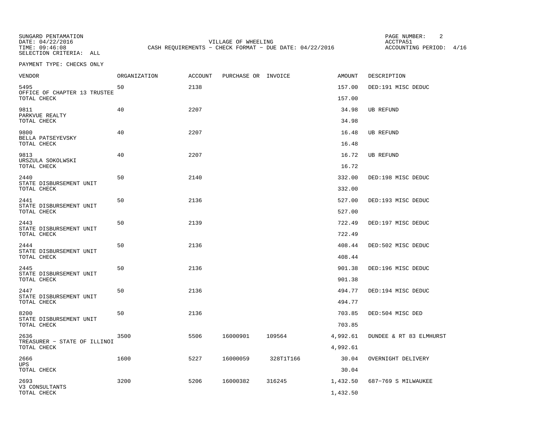SUNGARD PENTAMATION PAGE NUMBER: 2SELECTION CRITERIA: ALL

DATE: 04/22/2016 VILLAGE OF WHEELING ACCTPA51CASH REQUIREMENTS - CHECK FORMAT - DUE DATE: 04/22/2016

ACCOUNTING PERIOD: 4/16

| VENDOR                                         | <b>ORGANIZATION</b> | <b>ACCOUNT</b> | PURCHASE OR INVOICE |           | AMOUNT           | DESCRIPTION             |
|------------------------------------------------|---------------------|----------------|---------------------|-----------|------------------|-------------------------|
| 5495<br>OFFICE OF CHAPTER 13 TRUSTEE           | 50                  | 2138           |                     |           | 157.00           | DED:191 MISC DEDUC      |
| TOTAL CHECK                                    |                     |                |                     |           | 157.00           |                         |
| 9811<br>PARKVUE REALTY<br>TOTAL CHECK          | 40                  | 2207           |                     |           | 34.98<br>34.98   | <b>UB REFUND</b>        |
| 9800                                           | 40                  | 2207           |                     |           | 16.48            | <b>UB REFUND</b>        |
| BELLA PATSEYEVSKY<br>TOTAL CHECK               |                     |                |                     |           | 16.48            |                         |
| 9813<br>URSZULA SOKOLWSKI                      | 40                  | 2207           |                     |           | 16.72            | UB REFUND               |
| TOTAL CHECK                                    |                     |                |                     |           | 16.72            |                         |
| 2440<br>STATE DISBURSEMENT UNIT                | 50                  | 2140           |                     |           | 332.00           | DED:198 MISC DEDUC      |
| TOTAL CHECK                                    |                     |                |                     |           | 332.00           |                         |
| 2441<br>STATE DISBURSEMENT UNIT<br>TOTAL CHECK | 50                  | 2136           |                     |           | 527.00<br>527.00 | DED:193 MISC DEDUC      |
|                                                |                     |                |                     |           |                  |                         |
| 2443<br>STATE DISBURSEMENT UNIT<br>TOTAL CHECK | 50                  | 2139           |                     |           | 722.49<br>722.49 | DED:197 MISC DEDUC      |
| 2444                                           | 50                  | 2136           |                     |           | 408.44           | DED:502 MISC DEDUC      |
| STATE DISBURSEMENT UNIT<br>TOTAL CHECK         |                     |                |                     |           | 408.44           |                         |
| 2445<br>STATE DISBURSEMENT UNIT                | 50                  | 2136           |                     |           | 901.38           | DED:196 MISC DEDUC      |
| TOTAL CHECK                                    |                     |                |                     |           | 901.38           |                         |
| 2447<br>STATE DISBURSEMENT UNIT                | 50                  | 2136           |                     |           | 494.77           | DED:194 MISC DEDUC      |
| TOTAL CHECK                                    |                     |                |                     |           | 494.77           |                         |
| 8200                                           | 50                  | 2136           |                     |           | 703.85           | DED:504 MISC DED        |
| STATE DISBURSEMENT UNIT<br>TOTAL CHECK         |                     |                |                     |           | 703.85           |                         |
| 2636                                           | 3500                | 5506           | 16000901            | 109564    | 4,992.61         | DUNDEE & RT 83 ELMHURST |
| TREASURER - STATE OF ILLINOI<br>TOTAL CHECK    |                     |                |                     |           | 4,992.61         |                         |
| 2666                                           | 1600                | 5227           | 16000059            | 328T1T166 | 30.04            | OVERNIGHT DELIVERY      |
| <b>UPS</b><br>TOTAL CHECK                      |                     |                |                     |           | 30.04            |                         |
| 2693                                           | 3200                | 5206           | 16000382            | 316245    | 1,432.50         | 687-769 S MILWAUKEE     |
| V3 CONSULTANTS<br>TOTAL CHECK                  |                     |                |                     |           | 1,432.50         |                         |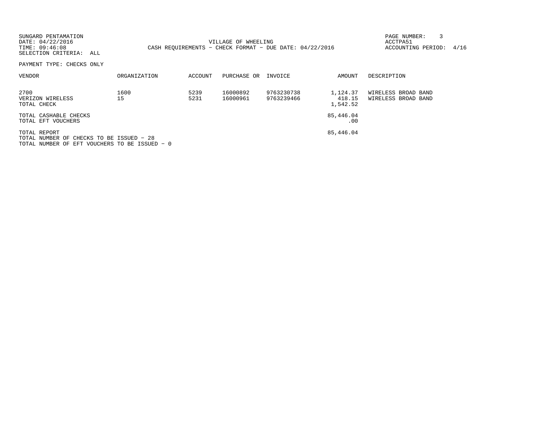| SUNGARD PENTAMATION<br>DATE: 04/22/2016<br>TIME: 09:46:08<br>SELECTION CRITERIA: ALL |              |              | VILLAGE OF WHEELING  | CASH REOUIREMENTS - CHECK FORMAT - DUE DATE: $04/22/2016$ |                                | PAGE NUMBER:<br>ACCTPA51<br>ACCOUNTING PERIOD: | 4/16 |
|--------------------------------------------------------------------------------------|--------------|--------------|----------------------|-----------------------------------------------------------|--------------------------------|------------------------------------------------|------|
| PAYMENT TYPE: CHECKS ONLY                                                            |              |              |                      |                                                           |                                |                                                |      |
| VENDOR                                                                               | ORGANIZATION | ACCOUNT      | PURCHASE OR          | INVOICE                                                   | AMOUNT                         | DESCRIPTION                                    |      |
| 2700<br>VERIZON WIRELESS<br>TOTAL CHECK                                              | 1600<br>15   | 5239<br>5231 | 16000892<br>16000961 | 9763230738<br>9763239466                                  | 1,124.37<br>418.15<br>1,542.52 | WIRELESS BROAD BAND<br>WIRELESS BROAD BAND     |      |
| TOTAL CASHABLE CHECKS<br>TOTAL EFT VOUCHERS                                          |              |              |                      |                                                           | 85,446.04<br>.00               |                                                |      |
| TOTAL REPORT<br>TOTAL NUMBER OF CHECKS TO BE ISSUED - 28                             |              |              |                      |                                                           | 85,446.04                      |                                                |      |

TOTAL NUMBER OF EFT VOUCHERS TO BE ISSUED − 0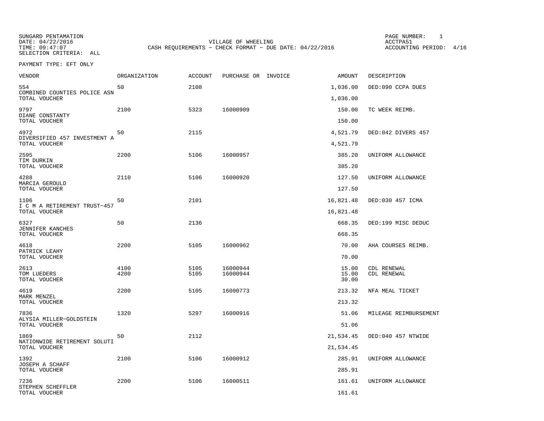SUNGARD PENTAMATION PAGE NUMBER: 1SELECTION CRITERIA: ALL

DATE: 04/22/2016 VILLAGE OF WHEELING ACCTPA51TIME: 09:47:07 CASH REQUIREMENTS - CHECK FORMAT - DUE DATE: 04/22/2016

ACCOUNTING PERIOD: 4/16

PAYMENT TYPE: EFT ONLY

| <b>VENDOR</b>                        | <b>ORGANIZATION</b> | ACCOUNT      | PURCHASE OR INVOICE  | AMOUNT         | DESCRIPTION                |
|--------------------------------------|---------------------|--------------|----------------------|----------------|----------------------------|
| 554<br>COMBINED COUNTIES POLICE ASN  | 50                  | 2108         |                      | 1,036.00       | DED:090 CCPA DUES          |
| TOTAL VOUCHER                        |                     |              |                      | 1,036.00       |                            |
| 9797<br>DIANE CONSTANTY              | 2100                | 5323         | 16000909             | 150.00         | TC WEEK REIMB.             |
| TOTAL VOUCHER                        |                     |              |                      | 150.00         |                            |
| 4972<br>DIVERSIFIED 457 INVESTMENT A | 50                  | 2115         |                      | 4,521.79       | DED:042 DIVERS 457         |
| TOTAL VOUCHER                        |                     |              |                      | 4,521.79       |                            |
| 2595<br>TIM DURKIN                   | 2200                | 5106         | 16000957             | 385.20         | UNIFORM ALLOWANCE          |
| TOTAL VOUCHER                        |                     |              |                      | 385.20         |                            |
| 4288<br>MARCIA GEROULD               | 2110                | 5106         | 16000920             | 127.50         | UNIFORM ALLOWANCE          |
| TOTAL VOUCHER                        |                     |              |                      | 127.50         |                            |
| 1106<br>I C M A RETIREMENT TRUST-457 | 50                  | 2101         |                      | 16,821.48      | DED:030 457 ICMA           |
| TOTAL VOUCHER                        |                     |              |                      | 16,821.48      |                            |
| 6327<br><b>JENNIFER KANCHES</b>      | 50                  | 2136         |                      | 668.35         | DED:199 MISC DEDUC         |
| TOTAL VOUCHER                        |                     |              |                      | 668.35         |                            |
| 4618<br>PATRICK LEAHY                | 2200                | 5105         | 16000962             | 70.00          | AHA COURSES REIMB.         |
| TOTAL VOUCHER                        |                     |              |                      | 70.00          |                            |
| 2613<br>TOM LUEDERS                  | 4100<br>4200        | 5105<br>5105 | 16000944<br>16000944 | 15.00<br>15.00 | CDL RENEWAL<br>CDL RENEWAL |
| TOTAL VOUCHER                        |                     |              |                      | 30.00          |                            |
| 4619<br>MARK MENZEL                  | 2200                | 5105         | 16000773             | 213.32         | NFA MEAL TICKET            |
| TOTAL VOUCHER                        |                     |              |                      | 213.32         |                            |
| 7836<br>ALYSIA MILLER-GOLDSTEIN      | 1320                | 5297         | 16000916             | 51.06          | MILEAGE REIMBURSEMENT      |
| TOTAL VOUCHER                        |                     |              |                      | 51.06          |                            |
| 1869<br>NATIONWIDE RETIREMENT SOLUTI | 50                  | 2112         |                      | 21,534.45      | DED:040 457 NTWIDE         |
| TOTAL VOUCHER                        |                     |              |                      | 21,534.45      |                            |
| 1392                                 | 2100                | 5106         | 16000912             | 285.91         | UNIFORM ALLOWANCE          |
| JOSEPH A SCHAFF<br>TOTAL VOUCHER     |                     |              |                      | 285.91         |                            |
| 7236                                 | 2200                | 5106         | 16000511             | 161.61         | UNIFORM ALLOWANCE          |
| STEPHEN SCHEFFLER<br>TOTAL VOUCHER   |                     |              |                      | 161.61         |                            |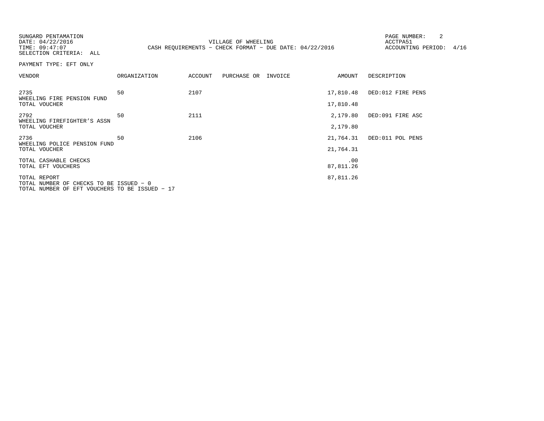SUNGARD PENTAMATION PAGE NUMBER: 2SELECTION CRITERIA: ALL

DATE: 04/22/2016 VILLAGE OF WHEELING ACCTPA51TIME: 09:47:07 CASH REQUIREMENTS - CHECK FORMAT - DUE DATE: 04/22/2016

ACCOUNTING PERIOD: 4/16

PAYMENT TYPE: EFT ONLY

| VENDOR                                                                                                    | <b>ORGANIZATION</b> | <b>ACCOUNT</b> | PURCHASE OR | INVOICE | <b>AMOUNT</b>          | DESCRIPTION       |
|-----------------------------------------------------------------------------------------------------------|---------------------|----------------|-------------|---------|------------------------|-------------------|
| 2735<br>WHEELING FIRE PENSION FUND<br>TOTAL VOUCHER                                                       | 50                  | 2107           |             |         | 17,810.48<br>17,810.48 | DED:012 FIRE PENS |
| 2792<br>WHEELING FIREFIGHTER'S ASSN<br>TOTAL VOUCHER                                                      | 50                  | 2111           |             |         | 2,179.80<br>2,179.80   | DED:091 FIRE ASC  |
| 2736<br>WHEELING POLICE PENSION FUND<br>TOTAL VOUCHER                                                     | 50                  | 2106           |             |         | 21,764.31<br>21,764.31 | DED:011 POL PENS  |
| TOTAL CASHABLE CHECKS<br>TOTAL EFT VOUCHERS                                                               |                     |                |             |         | .00<br>87,811.26       |                   |
| TOTAL REPORT<br>TOTAL NUMBER OF CHECKS TO BE ISSUED - 0<br>TOTAL NUMBER OF EFT VOUCHERS TO BE ISSUED - 17 |                     |                |             |         | 87,811.26              |                   |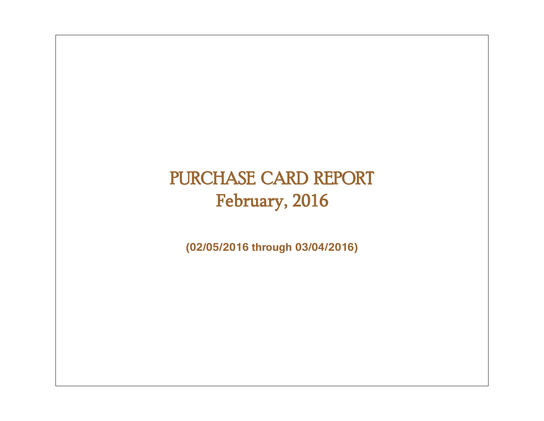# PURCHASE CARD REPORT February, 2016

**(02/05/2016 through 03/04/2016)**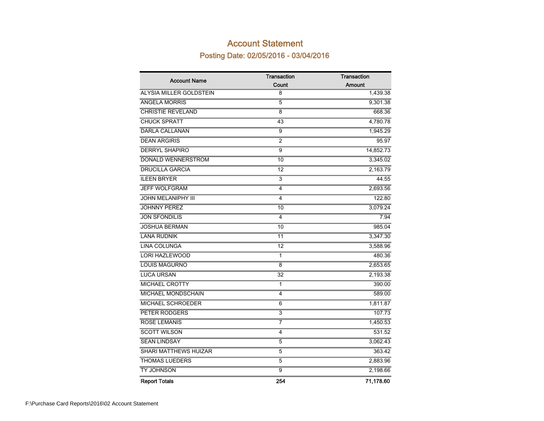### Account Statement Posting Date: 02/05/2016 - 03/04/2016

|                              | <b>Transaction</b> | Transaction   |
|------------------------------|--------------------|---------------|
| <b>Account Name</b>          | Count              | <b>Amount</b> |
| ALYSIA MILLER GOLDSTEIN      | 8                  | 1,439.38      |
| <b>ANGELA MORRIS</b>         | $\overline{5}$     | 9,301.38      |
| <b>CHRISTIE REVELAND</b>     | 8                  | 668.36        |
| <b>CHUCK SPRATT</b>          | 43                 | 4,780.78      |
| <b>DARLA CALLANAN</b>        | $\overline{9}$     | 1,945.29      |
| <b>DEAN ARGIRIS</b>          | $\overline{2}$     | 95.97         |
| <b>DERRYL SHAPIRO</b>        | $\overline{9}$     | 14,852.73     |
| <b>DONALD WENNERSTROM</b>    | 10                 | 3,345.02      |
| <b>DRUCILLA GARCIA</b>       | 12                 | 2,163.79      |
| <b>ILEEN BRYER</b>           | $\overline{3}$     | 44.55         |
| <b>JEFF WOLFGRAM</b>         | 4                  | 2,693.56      |
| <b>JOHN MELANIPHY III</b>    | 4                  | 122.80        |
| <b>JOHNNY PEREZ</b>          | 10                 | 3,079.24      |
| <b>JON SFONDILIS</b>         | 4                  | 7.94          |
| <b>JOSHUA BERMAN</b>         | 10                 | 985.04        |
| <b>LANA RUDNIK</b>           | 11                 | 3,347.30      |
| <b>LINA COLUNGA</b>          | $\overline{12}$    | 3,588.96      |
| <b>LORI HAZLEWOOD</b>        | 1                  | 480.36        |
| <b>LOUIS MAGURNO</b>         | 8                  | 2,653.65      |
| <b>LUCA URSAN</b>            | $\overline{32}$    | 2,193.38      |
| <b>MICHAEL CROTTY</b>        | $\mathbf{1}$       | 390.00        |
| MICHAEL MONDSCHAIN           | 4                  | 589.00        |
| <b>MICHAEL SCHROEDER</b>     | $\overline{6}$     | 1,811.87      |
| PETER RODGERS                | $\overline{3}$     | 107.73        |
| <b>ROSE LEMANIS</b>          | 7                  | 1,450.53      |
| <b>SCOTT WILSON</b>          | 4                  | 531.52        |
| <b>SEAN LINDSAY</b>          | $\overline{5}$     | 3,062.43      |
| <b>SHARI MATTHEWS HUIZAR</b> | $\overline{5}$     | 363.42        |
| <b>THOMAS LUEDERS</b>        | 5                  | 2,883.96      |
| <b>TY JOHNSON</b>            | $\overline{9}$     | 2,198.66      |
| <b>Report Totals</b>         | 254                | 71,178.60     |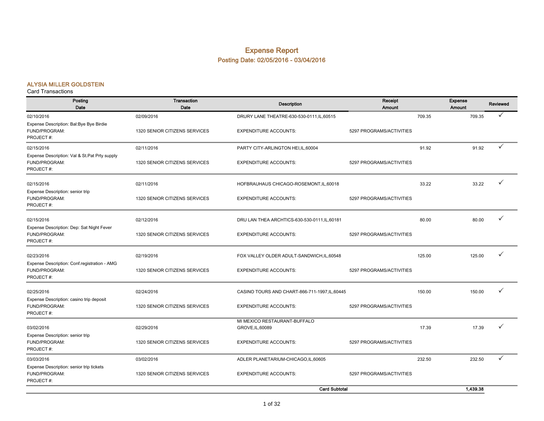#### Expense Report Posting Date: 02/05/2016 - 03/04/2016

#### ALYSIA MILLER GOLDSTEIN

| Posting<br>Date                                                             | <b>Transaction</b><br>Date    | <b>Description</b>                               | Receipt<br><b>Amount</b> |        | Expense<br>Amount | Reviewed     |
|-----------------------------------------------------------------------------|-------------------------------|--------------------------------------------------|--------------------------|--------|-------------------|--------------|
| 02/10/2016                                                                  | 02/09/2016                    | DRURY LANE THEATRE-630-530-0111, IL, 60515       |                          | 709.35 | 709.35            |              |
| Expense Description: Bal:Bye Bye Birdie<br>FUND/PROGRAM:<br>PROJECT#:       | 1320 SENIOR CITIZENS SERVICES | <b>EXPENDITURE ACCOUNTS:</b>                     | 5297 PROGRAMS/ACTIVITIES |        |                   |              |
| 02/15/2016                                                                  | 02/11/2016                    | PARTY CITY-ARLINGTON HEI, IL, 60004              |                          | 91.92  | 91.92             | ✓            |
| Expense Description: Val & St.Pat Prty supply<br>FUND/PROGRAM:<br>PROJECT#: | 1320 SENIOR CITIZENS SERVICES | <b>EXPENDITURE ACCOUNTS:</b>                     | 5297 PROGRAMS/ACTIVITIES |        |                   |              |
| 02/15/2016                                                                  | 02/11/2016                    | HOFBRAUHAUS CHICAGO-ROSEMONT, IL, 60018          |                          | 33.22  | 33.22             | ✓            |
| Expense Description: senior trip<br>FUND/PROGRAM:<br>PROJECT#:              | 1320 SENIOR CITIZENS SERVICES | <b>EXPENDITURE ACCOUNTS:</b>                     | 5297 PROGRAMS/ACTIVITIES |        |                   |              |
| 02/15/2016                                                                  | 02/12/2016                    | DRU LAN THEA ARCHTICS-630-530-0111, IL, 60181    |                          | 80.00  | 80.00             | ✓            |
| Expense Description: Dep: Sat Night Fever<br>FUND/PROGRAM:<br>PROJECT#:     | 1320 SENIOR CITIZENS SERVICES | <b>EXPENDITURE ACCOUNTS:</b>                     | 5297 PROGRAMS/ACTIVITIES |        |                   |              |
| 02/23/2016                                                                  | 02/19/2016                    | FOX VALLEY OLDER ADULT-SANDWICH, IL, 60548       |                          | 125.00 | 125.00            | ✓            |
| Expense Description: Conf.registration - AMG<br>FUND/PROGRAM:<br>PROJECT#:  | 1320 SENIOR CITIZENS SERVICES | <b>EXPENDITURE ACCOUNTS:</b>                     | 5297 PROGRAMS/ACTIVITIES |        |                   |              |
| 02/25/2016                                                                  | 02/24/2016                    | CASINO TOURS AND CHART-866-711-1997, IL, 60445   |                          | 150.00 | 150.00            | ✓            |
| Expense Description: casino trip deposit<br>FUND/PROGRAM:<br>PROJECT#:      | 1320 SENIOR CITIZENS SERVICES | <b>EXPENDITURE ACCOUNTS:</b>                     | 5297 PROGRAMS/ACTIVITIES |        |                   |              |
| 03/02/2016                                                                  | 02/29/2016                    | MI MEXICO RESTAURANT-BUFFALO<br>GROVE, IL, 60089 |                          | 17.39  | 17.39             | $\checkmark$ |
| Expense Description: senior trip<br>FUND/PROGRAM:<br>PROJECT#:              | 1320 SENIOR CITIZENS SERVICES | <b>EXPENDITURE ACCOUNTS:</b>                     | 5297 PROGRAMS/ACTIVITIES |        |                   |              |
| 03/03/2016                                                                  | 03/02/2016                    | ADLER PLANETARIUM-CHICAGO,IL,60605               |                          | 232.50 | 232.50            | ✓            |
| Expense Description: senior trip tickets<br>FUND/PROGRAM:<br>PROJECT#:      | 1320 SENIOR CITIZENS SERVICES | <b>EXPENDITURE ACCOUNTS:</b>                     | 5297 PROGRAMS/ACTIVITIES |        |                   |              |
|                                                                             |                               | <b>Card Subtotal</b>                             |                          |        | 1,439.38          |              |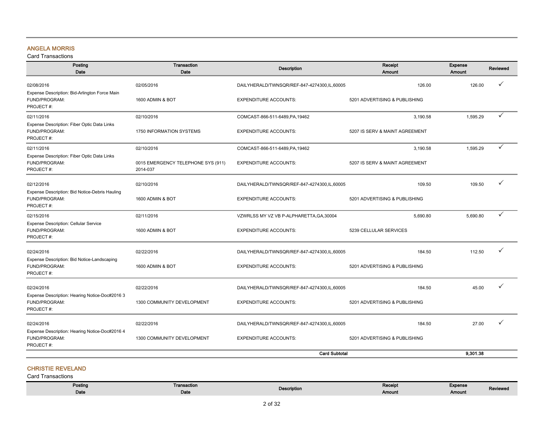#### ANGELA MORRIS

Card Transactions

| Posting<br>Date                                                              | Transaction<br>Date                            | <b>Description</b>                          | Receipt<br>Amount              | Expense<br><b>Amount</b> | Reviewed |
|------------------------------------------------------------------------------|------------------------------------------------|---------------------------------------------|--------------------------------|--------------------------|----------|
| 02/08/2016                                                                   | 02/05/2016                                     | DAILYHERALD/TWNSQR/REF-847-4274300,IL,60005 | 126.00                         | 126.00                   | ✓        |
| Expense Description: Bid-Arlington Force Main<br>FUND/PROGRAM:<br>PROJECT#:  | 1600 ADMIN & BOT                               | <b>EXPENDITURE ACCOUNTS:</b>                | 5201 ADVERTISING & PUBLISHING  |                          |          |
| 02/11/2016                                                                   | 02/10/2016                                     | COMCAST-866-511-6489, PA, 19462             | 3,190.58                       | 1,595.29                 | ✓        |
| Expense Description: Fiber Optic Data Links<br>FUND/PROGRAM:<br>PROJECT#:    | 1750 INFORMATION SYSTEMS                       | <b>EXPENDITURE ACCOUNTS:</b>                | 5207 IS SERV & MAINT AGREEMENT |                          |          |
| 02/11/2016                                                                   | 02/10/2016                                     | COMCAST-866-511-6489, PA, 19462             | 3,190.58                       | 1,595.29                 | ✓        |
| Expense Description: Fiber Optic Data Links<br>FUND/PROGRAM:<br>PROJECT#:    | 0015 EMERGENCY TELEPHONE SYS (911)<br>2014-037 | <b>EXPENDITURE ACCOUNTS:</b>                | 5207 IS SERV & MAINT AGREEMENT |                          |          |
| 02/12/2016                                                                   | 02/10/2016                                     | DAILYHERALD/TWNSQR/REF-847-4274300,IL,60005 | 109.50                         | 109.50                   | ✓        |
| Expense Description: Bid Notice-Debris Hauling<br>FUND/PROGRAM:<br>PROJECT#: | 1600 ADMIN & BOT                               | <b>EXPENDITURE ACCOUNTS:</b>                | 5201 ADVERTISING & PUBLISHING  |                          |          |
| 02/15/2016                                                                   | 02/11/2016                                     | VZWRLSS MY VZ VB P-ALPHARETTA, GA, 30004    | 5.690.80                       | 5.690.80                 | ✓        |
| Expense Description: Cellular Service<br>FUND/PROGRAM:<br>PROJECT#:          | 1600 ADMIN & BOT                               | <b>EXPENDITURE ACCOUNTS:</b>                | 5239 CELLULAR SERVICES         |                          |          |
| 02/24/2016                                                                   | 02/22/2016                                     | DAILYHERALD/TWNSQR/REF-847-4274300,IL,60005 | 184.50                         | 112.50                   | ✓        |
| Expense Description: Bid Notice-Landscaping<br>FUND/PROGRAM:<br>PROJECT#:    | 1600 ADMIN & BOT                               | <b>EXPENDITURE ACCOUNTS:</b>                | 5201 ADVERTISING & PUBLISHING  |                          |          |
| 02/24/2016                                                                   | 02/22/2016                                     | DAILYHERALD/TWNSQR/REF-847-4274300,IL,60005 | 184.50                         | 45.00                    | ✓        |
| Expense Description: Hearing Notice-Doc#2016 3<br>FUND/PROGRAM:<br>PROJECT#: | 1300 COMMUNITY DEVELOPMENT                     | <b>EXPENDITURE ACCOUNTS:</b>                | 5201 ADVERTISING & PUBLISHING  |                          |          |
| 02/24/2016                                                                   | 02/22/2016                                     | DAILYHERALD/TWNSQR/REF-847-4274300,IL,60005 | 184.50                         | 27.00                    |          |
| Expense Description: Hearing Notice-Doc#2016 4<br>FUND/PROGRAM:<br>PROJECT#: | 1300 COMMUNITY DEVELOPMENT                     | <b>EXPENDITURE ACCOUNTS:</b>                | 5201 ADVERTISING & PUBLISHING  |                          |          |
|                                                                              |                                                | <b>Card Subtotal</b>                        |                                | 9.301.38                 |          |

#### CHRISTIE REVELAND

| Posting | Transaction | <b>Description</b> | Receipt | Expense |                 |
|---------|-------------|--------------------|---------|---------|-----------------|
| Date    | Date        |                    | Amount  | Amount  | <b>Reviewer</b> |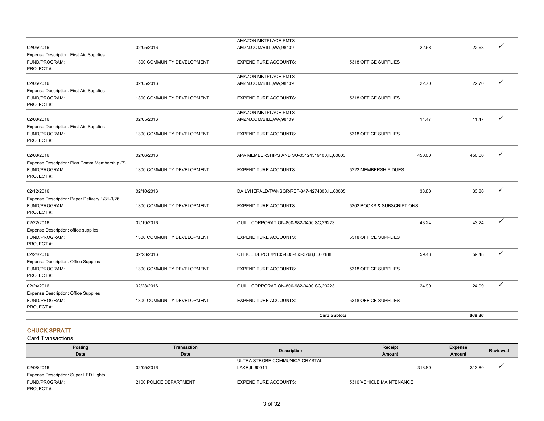|                                                                                            |                                          | <b>Card Subtotal</b>                                                                     |                            |        | 668.36 |   |
|--------------------------------------------------------------------------------------------|------------------------------------------|------------------------------------------------------------------------------------------|----------------------------|--------|--------|---|
| 02/24/2016<br><b>Expense Description: Office Supplies</b><br>FUND/PROGRAM:<br>PROJECT#:    | 02/23/2016<br>1300 COMMUNITY DEVELOPMENT | QUILL CORPORATION-800-982-3400, SC, 29223<br><b>EXPENDITURE ACCOUNTS:</b>                | 5318 OFFICE SUPPLIES       | 24.99  | 24.99  | ✓ |
| 02/24/2016<br><b>Expense Description: Office Supplies</b><br>FUND/PROGRAM:<br>PROJECT#:    | 02/23/2016<br>1300 COMMUNITY DEVELOPMENT | OFFICE DEPOT #1105-800-463-3768, IL, 60188<br><b>EXPENDITURE ACCOUNTS:</b>               | 5318 OFFICE SUPPLIES       | 59.48  | 59.48  | ✓ |
| 02/22/2016<br>Expense Description: office supplies<br>FUND/PROGRAM:<br>PROJECT#:           | 02/19/2016<br>1300 COMMUNITY DEVELOPMENT | QUILL CORPORATION-800-982-3400, SC, 29223<br><b>EXPENDITURE ACCOUNTS:</b>                | 5318 OFFICE SUPPLIES       | 43.24  | 43.24  | ✓ |
| 02/12/2016<br>Expense Description: Paper Delivery 1/31-3/26<br>FUND/PROGRAM:<br>PROJECT#:  | 02/10/2016<br>1300 COMMUNITY DEVELOPMENT | DAILYHERALD/TWNSQR/REF-847-4274300,IL,60005<br><b>EXPENDITURE ACCOUNTS:</b>              | 5302 BOOKS & SUBSCRIPTIONS | 33.80  | 33.80  |   |
| 02/08/2016<br>Expense Description: Plan Comm Membership (7)<br>FUND/PROGRAM:<br>PROJECT#:  | 02/06/2016<br>1300 COMMUNITY DEVELOPMENT | APA MEMBERSHIPS AND SU-03124319100, IL, 60603<br><b>EXPENDITURE ACCOUNTS:</b>            | 5222 MEMBERSHIP DUES       | 450.00 | 450.00 |   |
| 02/08/2016<br><b>Expense Description: First Aid Supplies</b><br>FUND/PROGRAM:<br>PROJECT#: | 02/05/2016<br>1300 COMMUNITY DEVELOPMENT | <b>AMAZON MKTPLACE PMTS-</b><br>AMZN.COM/BILL, WA, 98109<br><b>EXPENDITURE ACCOUNTS:</b> | 5318 OFFICE SUPPLIES       | 11.47  | 11.47  |   |
| 02/05/2016<br><b>Expense Description: First Aid Supplies</b><br>FUND/PROGRAM:<br>PROJECT#: | 02/05/2016<br>1300 COMMUNITY DEVELOPMENT | AMZN.COM/BILL, WA, 98109<br><b>EXPENDITURE ACCOUNTS:</b>                                 | 5318 OFFICE SUPPLIES       | 22.70  | 22.70  | ✓ |
| Expense Description: First Aid Supplies<br>FUND/PROGRAM:<br>PROJECT#:                      | 1300 COMMUNITY DEVELOPMENT               | <b>EXPENDITURE ACCOUNTS:</b><br><b>AMAZON MKTPLACE PMTS-</b>                             | 5318 OFFICE SUPPLIES       |        |        |   |
| 02/05/2016                                                                                 | 02/05/2016                               | AMAZON MKTPLACE PMTS-<br>AMZN.COM/BILL, WA, 98109                                        |                            | 22.68  | 22.68  | ✓ |

#### CHUCK SPRATT

| Posting                               | Transaction            | Description                    | Receipt                  | Expense | Reviewed |
|---------------------------------------|------------------------|--------------------------------|--------------------------|---------|----------|
| Date                                  | Date                   |                                | <b>Amount</b>            | Amount  |          |
|                                       |                        | ULTRA STROBE COMMUNICA-CRYSTAL |                          |         |          |
| 02/08/2016                            | 02/05/2016             | LAKE, IL, 60014                | 313.80                   | 313.80  |          |
| Expense Description: Super LED Lights |                        |                                |                          |         |          |
| FUND/PROGRAM:                         | 2100 POLICE DEPARTMENT | <b>EXPENDITURE ACCOUNTS:</b>   | 5310 VEHICLE MAINTENANCE |         |          |
| PROJECT#:                             |                        |                                |                          |         |          |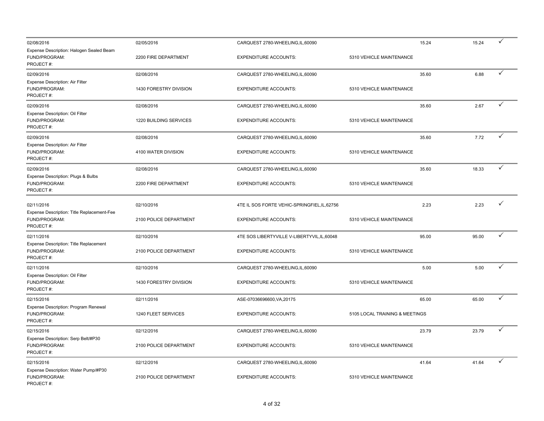| 02/08/2016                                                               | 02/05/2016             | CARQUEST 2780-WHEELING, IL, 60090            |                                | 15.24 | 15.24 | ✓ |
|--------------------------------------------------------------------------|------------------------|----------------------------------------------|--------------------------------|-------|-------|---|
| Expense Description: Halogen Sealed Beam<br>FUND/PROGRAM:<br>PROJECT#:   | 2200 FIRE DEPARTMENT   | <b>EXPENDITURE ACCOUNTS:</b>                 | 5310 VEHICLE MAINTENANCE       |       |       |   |
| 02/09/2016                                                               | 02/08/2016             | CARQUEST 2780-WHEELING,IL,60090              |                                | 35.60 | 6.88  |   |
| Expense Description: Air Filter<br>FUND/PROGRAM:<br>PROJECT#:            | 1430 FORESTRY DIVISION | <b>EXPENDITURE ACCOUNTS:</b>                 | 5310 VEHICLE MAINTENANCE       |       |       |   |
| 02/09/2016                                                               | 02/08/2016             | CARQUEST 2780-WHEELING, IL, 60090            |                                | 35.60 | 2.67  | ✓ |
| Expense Description: Oil Filter<br>FUND/PROGRAM:<br>PROJECT#:            | 1220 BUILDING SERVICES | <b>EXPENDITURE ACCOUNTS:</b>                 | 5310 VEHICLE MAINTENANCE       |       |       |   |
| 02/09/2016                                                               | 02/08/2016             | CARQUEST 2780-WHEELING,IL,60090              |                                | 35.60 | 7.72  | ✓ |
| Expense Description: Air Filter<br>FUND/PROGRAM:<br>PROJECT#:            | 4100 WATER DIVISION    | <b>EXPENDITURE ACCOUNTS:</b>                 | 5310 VEHICLE MAINTENANCE       |       |       |   |
| 02/09/2016                                                               | 02/08/2016             | CARQUEST 2780-WHEELING, IL, 60090            |                                | 35.60 | 18.33 |   |
| Expense Description: Plugs & Bulbs<br>FUND/PROGRAM:<br>PROJECT#:         | 2200 FIRE DEPARTMENT   | <b>EXPENDITURE ACCOUNTS:</b>                 | 5310 VEHICLE MAINTENANCE       |       |       |   |
| 02/11/2016                                                               | 02/10/2016             | 4TE IL SOS FORTE VEHIC-SPRINGFIEL, IL, 62756 |                                | 2.23  | 2.23  |   |
| Expense Description: Title Replacement-Fee<br>FUND/PROGRAM:<br>PROJECT#: | 2100 POLICE DEPARTMENT | <b>EXPENDITURE ACCOUNTS:</b>                 | 5310 VEHICLE MAINTENANCE       |       |       |   |
| 02/11/2016                                                               | 02/10/2016             | 4TE SOS LIBERTYVILLE V-LIBERTYVIL, IL, 60048 |                                | 95.00 | 95.00 | ✓ |
| Expense Description: Title Replacement<br>FUND/PROGRAM:<br>PROJECT#:     | 2100 POLICE DEPARTMENT | <b>EXPENDITURE ACCOUNTS:</b>                 | 5310 VEHICLE MAINTENANCE       |       |       |   |
| 02/11/2016                                                               | 02/10/2016             | CARQUEST 2780-WHEELING, IL, 60090            |                                | 5.00  | 5.00  | ✓ |
| Expense Description: Oil Filter<br>FUND/PROGRAM:<br>PROJECT#:            | 1430 FORESTRY DIVISION | <b>EXPENDITURE ACCOUNTS:</b>                 | 5310 VEHICLE MAINTENANCE       |       |       |   |
| 02/15/2016                                                               | 02/11/2016             | ASE-07036696600, VA, 20175                   |                                | 65.00 | 65.00 | ✓ |
| Expense Description: Program Renewal<br>FUND/PROGRAM:<br>PROJECT#:       | 1240 FLEET SERVICES    | <b>EXPENDITURE ACCOUNTS:</b>                 | 5105 LOCAL TRAINING & MEETINGS |       |       |   |
| 02/15/2016                                                               | 02/12/2016             | CARQUEST 2780-WHEELING, IL, 60090            |                                | 23.79 | 23.79 | ✓ |
| Expense Description: Serp Belt/#P30<br>FUND/PROGRAM:<br>PROJECT#:        | 2100 POLICE DEPARTMENT | <b>EXPENDITURE ACCOUNTS:</b>                 | 5310 VEHICLE MAINTENANCE       |       |       |   |
| 02/15/2016                                                               | 02/12/2016             | CARQUEST 2780-WHEELING, IL, 60090            |                                | 41.64 | 41.64 | ✓ |
| Expense Description: Water Pump/#P30<br>FUND/PROGRAM:<br>PROJECT#:       | 2100 POLICE DEPARTMENT | <b>EXPENDITURE ACCOUNTS:</b>                 | 5310 VEHICLE MAINTENANCE       |       |       |   |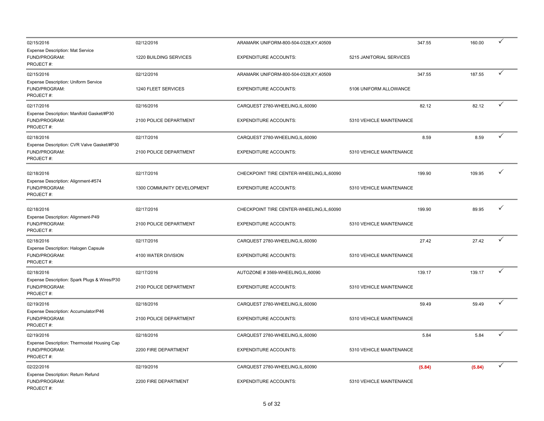| 02/15/2016                                                                 | 02/12/2016                 | ARAMARK UNIFORM-800-504-0328, KY, 40509    |                          | 347.55 | 160.00 | ✓ |
|----------------------------------------------------------------------------|----------------------------|--------------------------------------------|--------------------------|--------|--------|---|
| <b>Expense Description: Mat Service</b><br>FUND/PROGRAM:<br>PROJECT#:      | 1220 BUILDING SERVICES     | <b>EXPENDITURE ACCOUNTS:</b>               | 5215 JANITORIAL SERVICES |        |        |   |
| 02/15/2016                                                                 | 02/12/2016                 | ARAMARK UNIFORM-800-504-0328, KY, 40509    |                          | 347.55 | 187.55 | ✓ |
| Expense Description: Uniform Service<br>FUND/PROGRAM:<br>PROJECT#:         | 1240 FLEET SERVICES        | <b>EXPENDITURE ACCOUNTS:</b>               | 5106 UNIFORM ALLOWANCE   |        |        |   |
| 02/17/2016                                                                 | 02/16/2016                 | CARQUEST 2780-WHEELING, IL, 60090          |                          | 82.12  | 82.12  | ✓ |
| Expense Description: Manifold Gasket/#P30<br>FUND/PROGRAM:<br>PROJECT#:    | 2100 POLICE DEPARTMENT     | <b>EXPENDITURE ACCOUNTS:</b>               | 5310 VEHICLE MAINTENANCE |        |        |   |
| 02/18/2016                                                                 | 02/17/2016                 | CARQUEST 2780-WHEELING,IL,60090            |                          | 8.59   | 8.59   | ✓ |
| Expense Description: CVR Valve Gasket/#P30<br>FUND/PROGRAM:<br>PROJECT#:   | 2100 POLICE DEPARTMENT     | <b>EXPENDITURE ACCOUNTS:</b>               | 5310 VEHICLE MAINTENANCE |        |        |   |
| 02/18/2016                                                                 | 02/17/2016                 | CHECKPOINT TIRE CENTER-WHEELING, IL, 60090 |                          | 199.90 | 109.95 | ✓ |
| Expense Description: Alignment-#574<br>FUND/PROGRAM:<br>PROJECT#:          | 1300 COMMUNITY DEVELOPMENT | <b>EXPENDITURE ACCOUNTS:</b>               | 5310 VEHICLE MAINTENANCE |        |        |   |
| 02/18/2016                                                                 | 02/17/2016                 | CHECKPOINT TIRE CENTER-WHEELING, IL, 60090 |                          | 199.90 | 89.95  | ✓ |
| Expense Description: Alignment-P49<br>FUND/PROGRAM:<br>PROJECT#:           | 2100 POLICE DEPARTMENT     | <b>EXPENDITURE ACCOUNTS:</b>               | 5310 VEHICLE MAINTENANCE |        |        |   |
| 02/18/2016                                                                 | 02/17/2016                 | CARQUEST 2780-WHEELING, IL, 60090          |                          | 27.42  | 27.42  | ✓ |
| Expense Description: Halogen Capsule<br>FUND/PROGRAM:<br>PROJECT#:         | 4100 WATER DIVISION        | <b>EXPENDITURE ACCOUNTS:</b>               | 5310 VEHICLE MAINTENANCE |        |        |   |
| 02/18/2016                                                                 | 02/17/2016                 | AUTOZONE #3569-WHEELING,IL,60090           |                          | 139.17 | 139.17 | ✓ |
| Expense Description: Spark Plugs & Wires/P30<br>FUND/PROGRAM:<br>PROJECT#: | 2100 POLICE DEPARTMENT     | <b>EXPENDITURE ACCOUNTS:</b>               | 5310 VEHICLE MAINTENANCE |        |        |   |
| 02/19/2016                                                                 | 02/18/2016                 | CARQUEST 2780-WHEELING, IL, 60090          |                          | 59.49  | 59.49  | ✓ |
| Expense Description: Accumulator/P46<br>FUND/PROGRAM:<br>PROJECT#:         | 2100 POLICE DEPARTMENT     | <b>EXPENDITURE ACCOUNTS:</b>               | 5310 VEHICLE MAINTENANCE |        |        |   |
| 02/19/2016                                                                 | 02/18/2016                 | CARQUEST 2780-WHEELING, IL, 60090          |                          | 5.84   | 5.84   |   |
| Expense Description: Thermostat Housing Cap<br>FUND/PROGRAM:<br>PROJECT#:  | 2200 FIRE DEPARTMENT       | <b>EXPENDITURE ACCOUNTS:</b>               | 5310 VEHICLE MAINTENANCE |        |        |   |
| 02/22/2016                                                                 | 02/19/2016                 | CARQUEST 2780-WHEELING, IL, 60090          |                          | (5.84) | (5.84) | ✓ |
| Expense Description: Return Refund<br>FUND/PROGRAM:<br>PROJECT#:           | 2200 FIRE DEPARTMENT       | <b>EXPENDITURE ACCOUNTS:</b>               | 5310 VEHICLE MAINTENANCE |        |        |   |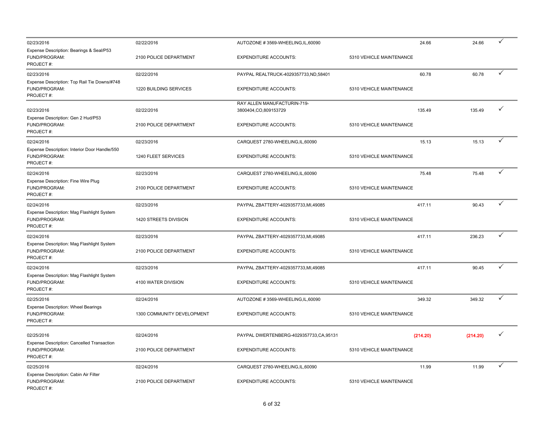| 02/23/2016                                                                  | 02/22/2016                 | AUTOZONE #3569-WHEELING, IL, 60090                    | 24.66                    | 24.66    | ✓ |
|-----------------------------------------------------------------------------|----------------------------|-------------------------------------------------------|--------------------------|----------|---|
| Expense Description: Bearings & Seal/P53<br>FUND/PROGRAM:<br>PROJECT#:      | 2100 POLICE DEPARTMENT     | <b>EXPENDITURE ACCOUNTS:</b>                          | 5310 VEHICLE MAINTENANCE |          |   |
| 02/23/2016                                                                  | 02/22/2016                 | PAYPAL REALTRUCK-4029357733,ND,58401                  | 60.78                    | 60.78    | ✓ |
| Expense Description: Top Rail Tie Downs/#748<br>FUND/PROGRAM:<br>PROJECT#:  | 1220 BUILDING SERVICES     | <b>EXPENDITURE ACCOUNTS:</b>                          | 5310 VEHICLE MAINTENANCE |          |   |
| 02/23/2016                                                                  | 02/22/2016                 | RAY ALLEN MANUFACTURIN-719-<br>3800404, CO, 809153729 | 135.49                   | 135.49   | ✓ |
| Expense Description: Gen 2 Hud/P53<br>FUND/PROGRAM:<br>PROJECT#:            | 2100 POLICE DEPARTMENT     | <b>EXPENDITURE ACCOUNTS:</b>                          | 5310 VEHICLE MAINTENANCE |          |   |
| 02/24/2016                                                                  | 02/23/2016                 | CARQUEST 2780-WHEELING, IL, 60090                     | 15.13                    | 15.13    |   |
| Expense Description: Interior Door Handle/550<br>FUND/PROGRAM:<br>PROJECT#: | 1240 FLEET SERVICES        | <b>EXPENDITURE ACCOUNTS:</b>                          | 5310 VEHICLE MAINTENANCE |          |   |
| 02/24/2016                                                                  | 02/23/2016                 | CARQUEST 2780-WHEELING, IL, 60090                     | 75.48                    | 75.48    | ✓ |
| Expense Description: Fine Wire Plug<br>FUND/PROGRAM:<br>PROJECT#:           | 2100 POLICE DEPARTMENT     | <b>EXPENDITURE ACCOUNTS:</b>                          | 5310 VEHICLE MAINTENANCE |          |   |
| 02/24/2016                                                                  | 02/23/2016                 | PAYPAL ZBATTERY-4029357733, MI, 49085                 | 417.11                   | 90.43    | ✓ |
| Expense Description: Mag Flashlight System<br>FUND/PROGRAM:<br>PROJECT#:    | 1420 STREETS DIVISION      | <b>EXPENDITURE ACCOUNTS:</b>                          | 5310 VEHICLE MAINTENANCE |          |   |
| 02/24/2016                                                                  | 02/23/2016                 | PAYPAL ZBATTERY-4029357733,MI,49085                   | 417.11                   | 236.23   | ✓ |
| Expense Description: Mag Flashlight System<br>FUND/PROGRAM:<br>PROJECT#:    | 2100 POLICE DEPARTMENT     | <b>EXPENDITURE ACCOUNTS:</b>                          | 5310 VEHICLE MAINTENANCE |          |   |
| 02/24/2016                                                                  | 02/23/2016                 | PAYPAL ZBATTERY-4029357733,MI,49085                   | 417.11                   | 90.45    | ✓ |
| Expense Description: Mag Flashlight System<br>FUND/PROGRAM:<br>PROJECT#:    | 4100 WATER DIVISION        | <b>EXPENDITURE ACCOUNTS:</b>                          | 5310 VEHICLE MAINTENANCE |          |   |
| 02/25/2016                                                                  | 02/24/2016                 | AUTOZONE #3569-WHEELING, IL, 60090                    | 349.32                   | 349.32   | ✓ |
| Expense Description: Wheel Bearings<br>FUND/PROGRAM:<br>PROJECT#:           | 1300 COMMUNITY DEVELOPMENT | <b>EXPENDITURE ACCOUNTS:</b>                          | 5310 VEHICLE MAINTENANCE |          |   |
| 02/25/2016                                                                  | 02/24/2016                 | PAYPAL DWERTENBERG-4029357733,CA,95131                | (214.20)                 | (214.20) | ✓ |
| Expense Description: Cancelled Transaction<br>FUND/PROGRAM:<br>PROJECT#:    | 2100 POLICE DEPARTMENT     | <b>EXPENDITURE ACCOUNTS:</b>                          | 5310 VEHICLE MAINTENANCE |          |   |
| 02/25/2016                                                                  | 02/24/2016                 | CARQUEST 2780-WHEELING, IL, 60090                     | 11.99                    | 11.99    | ✓ |
| Expense Description: Cabin Air Filter<br>FUND/PROGRAM:<br>PROJECT#:         | 2100 POLICE DEPARTMENT     | <b>EXPENDITURE ACCOUNTS:</b>                          | 5310 VEHICLE MAINTENANCE |          |   |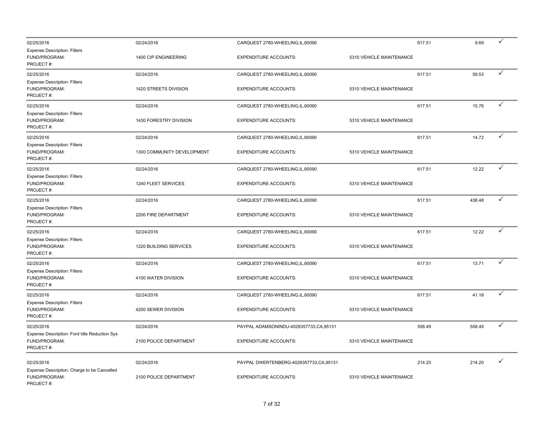| 02/25/2016                                                                 | 02/24/2016                 | CARQUEST 2780-WHEELING, IL, 60090      |                          | 617.51 | 9.69   | ✓ |
|----------------------------------------------------------------------------|----------------------------|----------------------------------------|--------------------------|--------|--------|---|
| <b>Expense Description: Filters</b><br>FUND/PROGRAM:<br>PROJECT#:          | 1400 CIP ENGINEERING       | <b>EXPENDITURE ACCOUNTS:</b>           | 5310 VEHICLE MAINTENANCE |        |        |   |
| 02/25/2016                                                                 | 02/24/2016                 | CARQUEST 2780-WHEELING, IL, 60090      |                          | 617.51 | 59.53  | ✓ |
| <b>Expense Description: Filters</b><br>FUND/PROGRAM:<br>PROJECT#:          | 1420 STREETS DIVISION      | <b>EXPENDITURE ACCOUNTS:</b>           | 5310 VEHICLE MAINTENANCE |        |        |   |
| 02/25/2016                                                                 | 02/24/2016                 | CARQUEST 2780-WHEELING,IL,60090        |                          | 617.51 | 15.76  | ✓ |
| <b>Expense Description: Filters</b><br>FUND/PROGRAM:<br>PROJECT#:          | 1430 FORESTRY DIVISION     | <b>EXPENDITURE ACCOUNTS:</b>           | 5310 VEHICLE MAINTENANCE |        |        |   |
| 02/25/2016                                                                 | 02/24/2016                 | CARQUEST 2780-WHEELING, IL, 60090      |                          | 617.51 | 14.72  | ✓ |
| <b>Expense Description: Filters</b><br>FUND/PROGRAM:<br>PROJECT#:          | 1300 COMMUNITY DEVELOPMENT | <b>EXPENDITURE ACCOUNTS:</b>           | 5310 VEHICLE MAINTENANCE |        |        |   |
| 02/25/2016                                                                 | 02/24/2016                 | CARQUEST 2780-WHEELING, IL, 60090      |                          | 617.51 | 12.22  |   |
| <b>Expense Description: Filters</b><br>FUND/PROGRAM:<br>PROJECT#:          | 1240 FLEET SERVICES        | <b>EXPENDITURE ACCOUNTS:</b>           | 5310 VEHICLE MAINTENANCE |        |        |   |
| 02/25/2016                                                                 | 02/24/2016                 | CARQUEST 2780-WHEELING,IL,60090        |                          | 617.51 | 438.48 | ✓ |
| <b>Expense Description: Filters</b><br>FUND/PROGRAM:<br>PROJECT#:          | 2200 FIRE DEPARTMENT       | <b>EXPENDITURE ACCOUNTS:</b>           | 5310 VEHICLE MAINTENANCE |        |        |   |
| 02/25/2016                                                                 | 02/24/2016                 | CARQUEST 2780-WHEELING, IL, 60090      |                          | 617.51 | 12.22  | ✓ |
| Expense Description: Filters<br>FUND/PROGRAM:<br>PROJECT#:                 | 1220 BUILDING SERVICES     | <b>EXPENDITURE ACCOUNTS:</b>           | 5310 VEHICLE MAINTENANCE |        |        |   |
| 02/25/2016                                                                 | 02/24/2016                 | CARQUEST 2780-WHEELING, IL, 60090      |                          | 617.51 | 13.71  | ✓ |
| <b>Expense Description: Filters</b><br>FUND/PROGRAM:<br>PROJECT#:          | 4100 WATER DIVISION        | <b>EXPENDITURE ACCOUNTS:</b>           | 5310 VEHICLE MAINTENANCE |        |        |   |
| 02/25/2016                                                                 | 02/24/2016                 | CARQUEST 2780-WHEELING, IL, 60090      |                          | 617.51 | 41.18  | ✓ |
| <b>Expense Description: Filters</b><br>FUND/PROGRAM:<br>PROJECT#:          | 4200 SEWER DIVISION        | <b>EXPENDITURE ACCOUNTS:</b>           | 5310 VEHICLE MAINTENANCE |        |        |   |
| 02/25/2016                                                                 | 02/24/2016                 | PAYPAL ADAMSONINDU-4029357733,CA,95131 |                          | 558.49 | 558.49 | ✓ |
| Expense Description: Ford Idle Reduction Sys<br>FUND/PROGRAM:<br>PROJECT#: | 2100 POLICE DEPARTMENT     | <b>EXPENDITURE ACCOUNTS:</b>           | 5310 VEHICLE MAINTENANCE |        |        |   |
| 02/25/2016                                                                 | 02/24/2016                 | PAYPAL DWERTENBERG-4029357733,CA,95131 |                          | 214.20 | 214.20 | ✓ |
| Expense Description: Charge to be Cancelled<br>FUND/PROGRAM:<br>PROJECT#:  | 2100 POLICE DEPARTMENT     | <b>EXPENDITURE ACCOUNTS:</b>           | 5310 VEHICLE MAINTENANCE |        |        |   |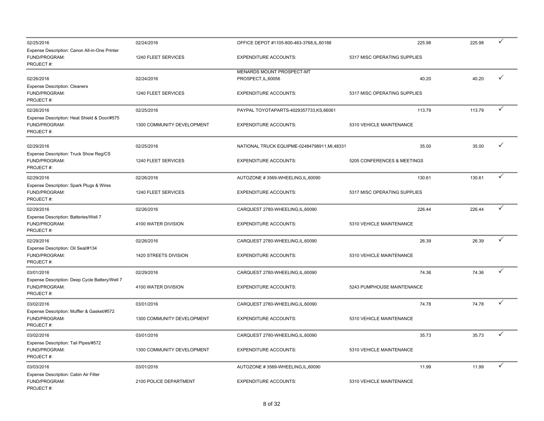| 02/25/2016                                                                   | 02/24/2016                 | OFFICE DEPOT #1105-800-463-3768,IL,60188         | 225.98                       | 225.98 | $\checkmark$ |
|------------------------------------------------------------------------------|----------------------------|--------------------------------------------------|------------------------------|--------|--------------|
| Expense Description: Canon All-in-One Printer<br>FUND/PROGRAM:<br>PROJECT#:  | 1240 FLEET SERVICES        | <b>EXPENDITURE ACCOUNTS:</b>                     | 5317 MISC OPERATING SUPPLIES |        |              |
| 02/26/2016<br><b>Expense Description: Cleaners</b>                           | 02/24/2016                 | MENARDS MOUNT PROSPECT-MT<br>PROSPECT, IL, 60056 | 40.20                        | 40.20  | ✓            |
| FUND/PROGRAM:<br>PROJECT#:                                                   | 1240 FLEET SERVICES        | <b>EXPENDITURE ACCOUNTS:</b>                     | 5317 MISC OPERATING SUPPLIES |        |              |
| 02/26/2016                                                                   | 02/25/2016                 | PAYPAL TOYOTAPARTS-4029357733,KS,66061           | 113.79                       | 113.79 | ✓            |
| Expense Description: Heat Shield & Door/#575<br>FUND/PROGRAM:<br>PROJECT#:   | 1300 COMMUNITY DEVELOPMENT | <b>EXPENDITURE ACCOUNTS:</b>                     | 5310 VEHICLE MAINTENANCE     |        |              |
| 02/29/2016<br>Expense Description: Truck Show Reg/CS                         | 02/25/2016                 | NATIONAL TRUCK EQUIPME-02484798911, MI, 48331    | 35.00                        | 35.00  | ✓            |
| FUND/PROGRAM:<br>PROJECT#:                                                   | 1240 FLEET SERVICES        | <b>EXPENDITURE ACCOUNTS:</b>                     | 5205 CONFERENCES & MEETINGS  |        |              |
| 02/29/2016                                                                   | 02/26/2016                 | AUTOZONE #3569-WHEELING, IL, 60090               | 130.61                       | 130.61 | ✓            |
| Expense Description: Spark Plugs & Wires<br>FUND/PROGRAM:<br>PROJECT#:       | 1240 FLEET SERVICES        | <b>EXPENDITURE ACCOUNTS:</b>                     | 5317 MISC OPERATING SUPPLIES |        |              |
| 02/29/2016                                                                   | 02/26/2016                 | CARQUEST 2780-WHEELING, IL, 60090                | 226.44                       | 226.44 | ✓            |
| Expense Description: Batteries/Well 7<br>FUND/PROGRAM:<br>PROJECT#:          | 4100 WATER DIVISION        | <b>EXPENDITURE ACCOUNTS:</b>                     | 5310 VEHICLE MAINTENANCE     |        |              |
| 02/29/2016                                                                   | 02/26/2016                 | CARQUEST 2780-WHEELING, IL, 60090                | 26.39                        | 26.39  | ✓            |
| Expense Description: Oil Seal/#134<br>FUND/PROGRAM:<br>PROJECT#:             | 1420 STREETS DIVISION      | <b>EXPENDITURE ACCOUNTS:</b>                     | 5310 VEHICLE MAINTENANCE     |        |              |
| 03/01/2016                                                                   | 02/29/2016                 | CARQUEST 2780-WHEELING, IL, 60090                | 74.36                        | 74.36  | ✓            |
| Expense Description: Deep Cycle Battery/Well 7<br>FUND/PROGRAM:<br>PROJECT#: | 4100 WATER DIVISION        | <b>EXPENDITURE ACCOUNTS:</b>                     | 5243 PUMPHOUSE MAINTENANCE   |        |              |
| 03/02/2016                                                                   | 03/01/2016                 | CARQUEST 2780-WHEELING, IL, 60090                | 74.78                        | 74.78  | ✓            |
| Expense Description: Muffler & Gasket/#572<br>FUND/PROGRAM:<br>PROJECT#:     | 1300 COMMUNITY DEVELOPMENT | <b>EXPENDITURE ACCOUNTS:</b>                     | 5310 VEHICLE MAINTENANCE     |        |              |
| 03/02/2016                                                                   | 03/01/2016                 | CARQUEST 2780-WHEELING, IL, 60090                | 35.73                        | 35.73  |              |
| Expense Description: Tail Pipes/#572<br>FUND/PROGRAM:<br>PROJECT#:           | 1300 COMMUNITY DEVELOPMENT | <b>EXPENDITURE ACCOUNTS:</b>                     | 5310 VEHICLE MAINTENANCE     |        |              |
| 03/03/2016                                                                   | 03/01/2016                 | AUTOZONE #3569-WHEELING, IL, 60090               | 11.99                        | 11.99  | ✓            |
| Expense Description: Cabin Air Filter<br>FUND/PROGRAM:<br>PROJECT#:          | 2100 POLICE DEPARTMENT     | <b>EXPENDITURE ACCOUNTS:</b>                     | 5310 VEHICLE MAINTENANCE     |        |              |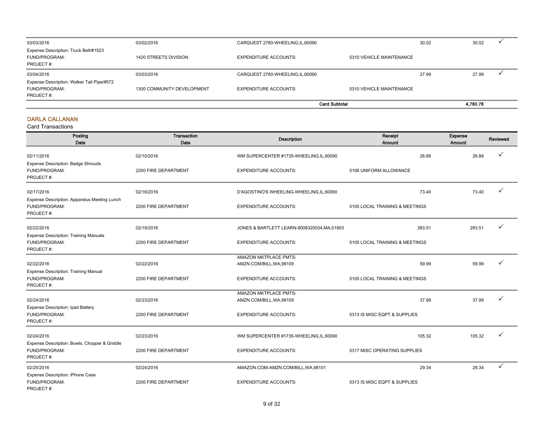| 03/03/2016                                                               | 03/02/2016                 | CARQUEST 2780-WHEELING, IL, 60090 |                          | 30.02 | 30.02    |  |
|--------------------------------------------------------------------------|----------------------------|-----------------------------------|--------------------------|-------|----------|--|
| Expense Description: Truck Belt/#1523<br>FUND/PROGRAM:<br>PROJECT#:      | 1420 STREETS DIVISION      | <b>EXPENDITURE ACCOUNTS:</b>      | 5310 VEHICLE MAINTENANCE |       |          |  |
| 03/04/2016                                                               | 03/03/2016                 | CARQUEST 2780-WHEELING, IL, 60090 |                          | 27.99 | 27.99    |  |
| Expense Description: Walker Tail Pipe/#572<br>FUND/PROGRAM:<br>PROJECT#: | 1300 COMMUNITY DEVELOPMENT | <b>EXPENDITURE ACCOUNTS:</b>      | 5310 VEHICLE MAINTENANCE |       |          |  |
|                                                                          |                            |                                   | <b>Card Subtotal</b>     |       | 4.780.78 |  |

#### DARLA CALLANAN

| Posting<br>Date                                                             | Transaction<br>Date  | <b>Description</b>                                       | Receipt<br>Amount              | Expense<br><b>Amount</b> | Reviewed     |
|-----------------------------------------------------------------------------|----------------------|----------------------------------------------------------|--------------------------------|--------------------------|--------------|
| 02/11/2016<br>Expense Description: Badge Shrouds                            | 02/10/2016           | WM SUPERCENTER #1735-WHEELING,IL,60090                   | 26.88                          | 26.88                    |              |
| FUND/PROGRAM:<br>PROJECT#:                                                  | 2200 FIRE DEPARTMENT | <b>EXPENDITURE ACCOUNTS:</b>                             | 5106 UNIFORM ALLOWANCE         |                          |              |
| 02/17/2016                                                                  | 02/16/2016           | D'AGOSTINO'S WHEELING-WHEELING, IL, 60090                | 73.40                          | 73.40                    | ✓            |
| Expense Description: Apparatus Meeting Lunch<br>FUND/PROGRAM:<br>PROJECT#:  | 2200 FIRE DEPARTMENT | <b>EXPENDITURE ACCOUNTS:</b>                             | 5105 LOCAL TRAINING & MEETINGS |                          |              |
| 02/22/2016<br><b>Expense Description: Training Manuals</b>                  | 02/19/2016           | JONES & BARTLETT LEARN-8008320034, MA, 01803             | 283.51                         | 283.51                   |              |
| FUND/PROGRAM:<br>PROJECT#:                                                  | 2200 FIRE DEPARTMENT | <b>EXPENDITURE ACCOUNTS:</b>                             | 5105 LOCAL TRAINING & MEETINGS |                          |              |
| 02/22/2016<br>Expense Description: Training Manual                          | 02/22/2016           | <b>AMAZON MKTPLACE PMTS-</b><br>AMZN.COM/BILL, WA, 98109 | 59.99                          | 59.99                    |              |
| FUND/PROGRAM:<br>PROJECT#:                                                  | 2200 FIRE DEPARTMENT | <b>EXPENDITURE ACCOUNTS:</b>                             | 5105 LOCAL TRAINING & MEETINGS |                          |              |
| 02/24/2016                                                                  | 02/23/2016           | <b>AMAZON MKTPLACE PMTS-</b><br>AMZN.COM/BILL, WA, 98109 | 37.99                          | 37.99                    | ✓            |
| <b>Expense Description: Ipad Battery</b><br>FUND/PROGRAM:<br>PROJECT#:      | 2200 FIRE DEPARTMENT | <b>EXPENDITURE ACCOUNTS:</b>                             | 5313 IS MISC EQPT & SUPPLIES   |                          |              |
| 02/24/2016                                                                  | 02/23/2016           | WM SUPERCENTER #1735-WHEELING, IL, 60090                 | 105.32                         | 105.32                   | ✓            |
| Expense Description: Bowls, Chopper & Griddle<br>FUND/PROGRAM:<br>PROJECT#: | 2200 FIRE DEPARTMENT | <b>EXPENDITURE ACCOUNTS:</b>                             | 5317 MISC OPERATING SUPPLIES   |                          |              |
| 02/25/2016                                                                  | 02/24/2016           | AMAZON.COM-AMZN.COM/BILL, WA, 98101                      | 29.34                          | 29.34                    | $\checkmark$ |
| Expense Description: iPhone Case<br>FUND/PROGRAM:<br>PROJECT#:              | 2200 FIRE DEPARTMENT | <b>EXPENDITURE ACCOUNTS:</b>                             | 5313 IS MISC EQPT & SUPPLIES   |                          |              |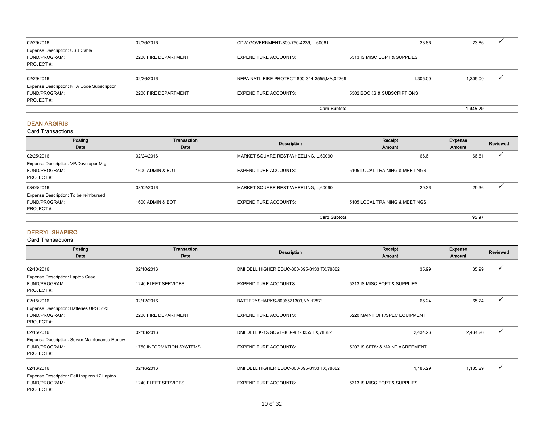| 02/29/2016                                                          | 02/26/2016           | CDW GOVERNMENT-800-750-4239, IL, 60061         | 23.86                        | 23.86    |  |
|---------------------------------------------------------------------|----------------------|------------------------------------------------|------------------------------|----------|--|
| <b>Expense Description: USB Cable</b><br>FUND/PROGRAM:<br>PROJECT#: | 2200 FIRE DEPARTMENT | <b>EXPENDITURE ACCOUNTS:</b>                   | 5313 IS MISC EQPT & SUPPLIES |          |  |
| 02/29/2016<br>Expense Description: NFA Code Subscription            | 02/26/2016           | NFPA NATL FIRE PROTECT-800-344-3555, MA, 02269 | 1.305.00                     | 1,305.00 |  |
| FUND/PROGRAM:<br>PROJECT#:                                          | 2200 FIRE DEPARTMENT | EXPENDITURE ACCOUNTS:                          | 5302 BOOKS & SUBSCRIPTIONS   |          |  |
|                                                                     |                      |                                                | <b>Card Subtotal</b>         | 1,945.29 |  |

#### DEAN ARGIRIS

Card Transactions

| Posting<br>Date                                                     | Transaction<br>Date | Description                            | Receipt<br><b>Amount</b>       | Expense<br>Amount | Reviewed |
|---------------------------------------------------------------------|---------------------|----------------------------------------|--------------------------------|-------------------|----------|
| 02/25/2016                                                          | 02/24/2016          | MARKET SQUARE REST-WHEELING, IL, 60090 | 66.61                          | 66.61             |          |
| Expense Description: VP/Developer Mtg<br>FUND/PROGRAM:<br>PROJECT#: | 1600 ADMIN & BOT    | <b>EXPENDITURE ACCOUNTS:</b>           | 5105 LOCAL TRAINING & MEETINGS |                   |          |
| 03/03/2016                                                          | 03/02/2016          | MARKET SQUARE REST-WHEELING,IL,60090   | 29.36                          | 29.36             |          |
| Expense Description: To be reimbursed<br>FUND/PROGRAM:<br>PROJECT#: | 1600 ADMIN & BOT    | <b>EXPENDITURE ACCOUNTS:</b>           | 5105 LOCAL TRAINING & MEETINGS |                   |          |
|                                                                     |                     | <b>Card Subtotal</b>                   |                                | 95.97             |          |

#### DERRYL SHAPIRO

| Posting<br>Date                                                             | Transaction<br>Date      | Description                                  | Receipt<br><b>Amount</b>       | Expense<br>Amount | Reviewed |
|-----------------------------------------------------------------------------|--------------------------|----------------------------------------------|--------------------------------|-------------------|----------|
| 02/10/2016                                                                  | 02/10/2016               | DMI DELL HIGHER EDUC-800-695-8133, TX, 78682 | 35.99                          | 35.99             |          |
| Expense Description: Laptop Case<br>FUND/PROGRAM:<br>PROJECT#:              | 1240 FLEET SERVICES      | <b>EXPENDITURE ACCOUNTS:</b>                 | 5313 IS MISC EQPT & SUPPLIES   |                   |          |
| 02/15/2016                                                                  | 02/12/2016               | BATTERYSHARKS-8006571303,NY,12571            | 65.24                          | 65.24             | ✓        |
| Expense Description: Batteries UPS St23<br>FUND/PROGRAM:<br>PROJECT#:       | 2200 FIRE DEPARTMENT     | <b>EXPENDITURE ACCOUNTS:</b>                 | 5220 MAINT OFF/SPEC EQUIPMENT  |                   |          |
| 02/15/2016                                                                  | 02/13/2016               | DMI DELL K-12/GOVT-800-981-3355, TX, 78682   | 2,434.26                       | 2,434.26          | ✓        |
| Expense Description: Server Maintenance Renew<br>FUND/PROGRAM:<br>PROJECT#: | 1750 INFORMATION SYSTEMS | <b>EXPENDITURE ACCOUNTS:</b>                 | 5207 IS SERV & MAINT AGREEMENT |                   |          |
| 02/16/2016                                                                  | 02/16/2016               | DMI DELL HIGHER EDUC-800-695-8133, TX, 78682 | 1,185.29                       | 1,185.29          |          |
| Expense Description: Dell Inspiron 17 Laptop<br>FUND/PROGRAM:<br>PROJECT#:  | 1240 FLEET SERVICES      | <b>EXPENDITURE ACCOUNTS:</b>                 | 5313 IS MISC EQPT & SUPPLIES   |                   |          |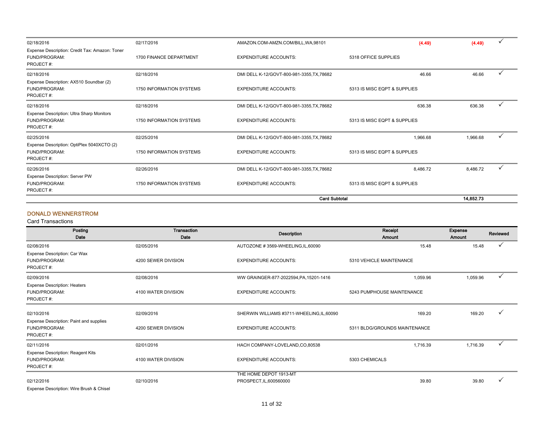|                                                                              |                          | <b>Card Subtotal</b>                       |                              | 14.852.73 |              |
|------------------------------------------------------------------------------|--------------------------|--------------------------------------------|------------------------------|-----------|--------------|
| Expense Description: Server PW<br>FUND/PROGRAM:<br>PROJECT#:                 | 1750 INFORMATION SYSTEMS | <b>EXPENDITURE ACCOUNTS:</b>               | 5313 IS MISC EQPT & SUPPLIES |           |              |
| 02/26/2016                                                                   | 02/26/2016               | DMI DELL K-12/GOVT-800-981-3355, TX, 78682 | 8,486.72                     | 8,486.72  | $\checkmark$ |
| Expense Description: OptiPlex 5040XCTO (2)<br>FUND/PROGRAM:<br>PROJECT#:     | 1750 INFORMATION SYSTEMS | <b>EXPENDITURE ACCOUNTS:</b>               | 5313 IS MISC EQPT & SUPPLIES |           |              |
| 02/25/2016                                                                   | 02/25/2016               | DMI DELL K-12/GOVT-800-981-3355, TX, 78682 | 1,966.68                     | 1,966.68  |              |
| Expense Description: Ultra Sharp Monitors<br>FUND/PROGRAM:<br>PROJECT#:      | 1750 INFORMATION SYSTEMS | <b>EXPENDITURE ACCOUNTS:</b>               | 5313 IS MISC EQPT & SUPPLIES |           |              |
| 02/18/2016                                                                   | 02/18/2016               | DMI DELL K-12/GOVT-800-981-3355, TX, 78682 | 636.38                       | 636.38    |              |
| Expense Description: AX510 Soundbar (2)<br>FUND/PROGRAM:<br>PROJECT#:        | 1750 INFORMATION SYSTEMS | <b>EXPENDITURE ACCOUNTS:</b>               | 5313 IS MISC EQPT & SUPPLIES |           |              |
| 02/18/2016                                                                   | 02/18/2016               | DMI DELL K-12/GOVT-800-981-3355, TX, 78682 | 46.66                        | 46.66     |              |
| Expense Description: Credit Tax: Amazon: Toner<br>FUND/PROGRAM:<br>PROJECT#: | 1700 FINANCE DEPARTMENT  | <b>EXPENDITURE ACCOUNTS:</b>               | 5318 OFFICE SUPPLIES         |           |              |
| 02/18/2016                                                                   | 02/17/2016               | AMAZON.COM-AMZN.COM/BILL, WA, 98101        | (4.49)                       | (4.49)    |              |

#### DONALD WENNERSTROM

| Posting<br>Date                                                        | Transaction<br>Date | <b>Description</b>                                | Receipt<br><b>Amount</b>      | Expense<br>Amount | Reviewed     |
|------------------------------------------------------------------------|---------------------|---------------------------------------------------|-------------------------------|-------------------|--------------|
| 02/08/2016                                                             | 02/05/2016          | AUTOZONE #3569-WHEELING, IL, 60090                | 15.48                         | 15.48             | ✓            |
| Expense Description: Car Wax<br>FUND/PROGRAM:<br>PROJECT#:             | 4200 SEWER DIVISION | <b>EXPENDITURE ACCOUNTS:</b>                      | 5310 VEHICLE MAINTENANCE      |                   |              |
| 02/09/2016                                                             | 02/08/2016          | WW GRAINGER-877-2022594, PA, 15201-1416           | 1,059.96                      | 1,059.96          | ✓            |
| <b>Expense Description: Heaters</b><br>FUND/PROGRAM:<br>PROJECT#:      | 4100 WATER DIVISION | <b>EXPENDITURE ACCOUNTS:</b>                      | 5243 PUMPHOUSE MAINTENANCE    |                   |              |
| 02/10/2016<br>Expense Description: Paint and supplies                  | 02/09/2016          | SHERWIN WILLIAMS #3711-WHEELING,IL,60090          | 169.20                        | 169.20            | $\checkmark$ |
| FUND/PROGRAM:<br>PROJECT#:                                             | 4200 SEWER DIVISION | <b>EXPENDITURE ACCOUNTS:</b>                      | 5311 BLDG/GROUNDS MAINTENANCE |                   |              |
| 02/11/2016                                                             | 02/01/2016          | HACH COMPANY-LOVELAND,CO,80538                    | 1,716.39                      | 1,716.39          | ✓            |
| <b>Expense Description: Reagent Kits</b><br>FUND/PROGRAM:<br>PROJECT#: | 4100 WATER DIVISION | <b>EXPENDITURE ACCOUNTS:</b>                      | 5303 CHEMICALS                |                   |              |
| 02/12/2016<br>Expense Description: Wire Brush & Chisel                 | 02/10/2016          | THE HOME DEPOT 1913-MT<br>PROSPECT, IL, 600560000 | 39.80                         | 39.80             | ✓            |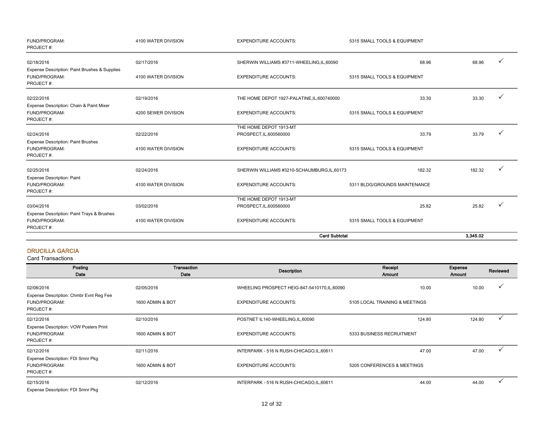| FUND/PROGRAM:<br>PROJECT#:                                      | 4100 WATER DIVISION | <b>EXPENDITURE ACCOUNTS:</b>                      | 5315 SMALL TOOLS & EQUIPMENT  |          |              |
|-----------------------------------------------------------------|---------------------|---------------------------------------------------|-------------------------------|----------|--------------|
| 02/18/2016<br>Expense Description: Paint Brushes & Supplies     | 02/17/2016          | SHERWIN WILLIAMS #3711-WHEELING,IL,60090          | 68.96                         | 68.96    |              |
| FUND/PROGRAM:<br>PROJECT#:                                      | 4100 WATER DIVISION | <b>EXPENDITURE ACCOUNTS:</b>                      | 5315 SMALL TOOLS & EQUIPMENT  |          |              |
| 02/22/2016<br>Expense Description: Chain & Paint Mixer          | 02/19/2016          | THE HOME DEPOT 1927-PALATINE, IL, 600740000       | 33.30                         | 33.30    | ✓            |
| FUND/PROGRAM:<br>PROJECT#:                                      | 4200 SEWER DIVISION | <b>EXPENDITURE ACCOUNTS:</b>                      | 5315 SMALL TOOLS & EQUIPMENT  |          |              |
| 02/24/2016                                                      | 02/22/2016          | THE HOME DEPOT 1913-MT<br>PROSPECT, IL, 600560000 | 33.79                         | 33.79    | $\checkmark$ |
| <b>Expense Description: Paint Brushes</b>                       |                     |                                                   |                               |          |              |
| FUND/PROGRAM:<br>PROJECT#:                                      | 4100 WATER DIVISION | <b>EXPENDITURE ACCOUNTS:</b>                      | 5315 SMALL TOOLS & EQUIPMENT  |          |              |
| 02/25/2016                                                      | 02/24/2016          | SHERWIN WILLIAMS #3210-SCHAUMBURG, IL, 60173      | 182.32                        | 182.32   |              |
| <b>Expense Description: Paint</b><br>FUND/PROGRAM:<br>PROJECT#: | 4100 WATER DIVISION | <b>EXPENDITURE ACCOUNTS:</b>                      | 5311 BLDG/GROUNDS MAINTENANCE |          |              |
|                                                                 |                     | THE HOME DEPOT 1913-MT                            |                               |          |              |
| 03/04/2016                                                      | 03/02/2016          | PROSPECT, IL, 600560000                           | 25.82                         | 25.82    |              |
| Expense Description: Paint Trays & Brushes                      |                     |                                                   |                               |          |              |
| FUND/PROGRAM:<br>PROJECT#:                                      | 4100 WATER DIVISION | <b>EXPENDITURE ACCOUNTS:</b>                      | 5315 SMALL TOOLS & EQUIPMENT  |          |              |
|                                                                 |                     |                                                   | <b>Card Subtotal</b>          | 3,345.02 |              |

#### DRUCILLA GARCIA

| Posting<br>Date                         | <b>Transaction</b><br>Date | <b>Description</b>                            | Receipt<br>Amount              | Expense<br>Amount | Reviewed |
|-----------------------------------------|----------------------------|-----------------------------------------------|--------------------------------|-------------------|----------|
| 02/08/2016                              | 02/05/2016                 | WHEELING PROSPECT HEIG-847-5410170, IL, 60090 | 10.00                          | 10.00             |          |
| Expense Description: Chmbr Evnt Reg Fee |                            |                                               |                                |                   |          |
| FUND/PROGRAM:                           | 1600 ADMIN & BOT           | <b>EXPENDITURE ACCOUNTS:</b>                  | 5105 LOCAL TRAINING & MEETINGS |                   |          |
| PROJECT#:                               |                            |                                               |                                |                   |          |
| 02/12/2016                              | 02/10/2016                 | POSTNET IL140-WHEELING, IL, 60090             | 124.80                         | 124.80            |          |
| Expense Description: VOW Posters Print  |                            |                                               |                                |                   |          |
| FUND/PROGRAM:                           | 1600 ADMIN & BOT           | <b>EXPENDITURE ACCOUNTS:</b>                  | 5333 BUSINESS RECRUITMENT      |                   |          |
| PROJECT#:                               |                            |                                               |                                |                   |          |
| 02/12/2016                              | 02/11/2016                 | INTERPARK - 516 N RUSH-CHICAGO, IL, 60611     | 47.00                          | 47.00             |          |
| Expense Description: FDI Smnr Pkg       |                            |                                               |                                |                   |          |
| FUND/PROGRAM:                           | 1600 ADMIN & BOT           | <b>EXPENDITURE ACCOUNTS:</b>                  | 5205 CONFERENCES & MEETINGS    |                   |          |
| PROJECT#:                               |                            |                                               |                                |                   |          |
| 02/15/2016                              | 02/12/2016                 | INTERPARK - 516 N RUSH-CHICAGO, IL, 60611     | 44.00                          | 44.00             |          |
| Expense Description: FDI Smnr Pkg       |                            |                                               |                                |                   |          |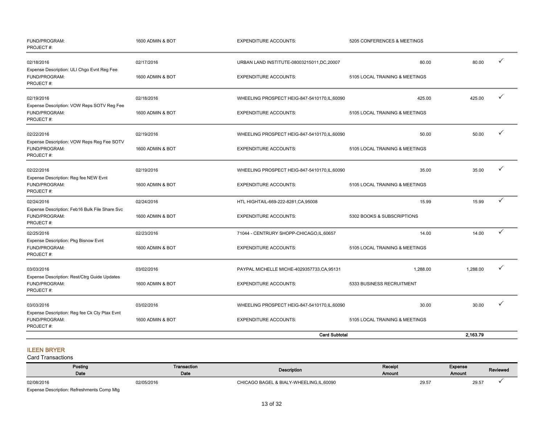| FUND/PROGRAM:<br>PROJECT#:                                                   | 1600 ADMIN & BOT | <b>EXPENDITURE ACCOUNTS:</b>                  | 5205 CONFERENCES & MEETINGS    |          |              |
|------------------------------------------------------------------------------|------------------|-----------------------------------------------|--------------------------------|----------|--------------|
| 02/18/2016<br>Expense Description: ULI Chgo Evnt Reg Fee                     | 02/17/2016       | URBAN LAND INSTITUTE-08003215011, DC, 20007   | 80.00                          | 80.00    | ✓            |
| FUND/PROGRAM:<br>PROJECT#:                                                   | 1600 ADMIN & BOT | <b>EXPENDITURE ACCOUNTS:</b>                  | 5105 LOCAL TRAINING & MEETINGS |          |              |
| 02/19/2016                                                                   | 02/18/2016       | WHEELING PROSPECT HEIG-847-5410170, IL, 60090 | 425.00                         | 425.00   | ✓            |
| Expense Description: VOW Reps SOTV Reg Fee<br>FUND/PROGRAM:<br>PROJECT#:     | 1600 ADMIN & BOT | <b>EXPENDITURE ACCOUNTS:</b>                  | 5105 LOCAL TRAINING & MEETINGS |          |              |
| 02/22/2016                                                                   | 02/19/2016       | WHEELING PROSPECT HEIG-847-5410170, IL, 60090 | 50.00                          | 50.00    | ✓            |
| Expense Description: VOW Reps Reg Fee SOTV<br>FUND/PROGRAM:<br>PROJECT#:     | 1600 ADMIN & BOT | <b>EXPENDITURE ACCOUNTS:</b>                  | 5105 LOCAL TRAINING & MEETINGS |          |              |
| 02/22/2016                                                                   | 02/19/2016       | WHEELING PROSPECT HEIG-847-5410170,IL,60090   | 35.00                          | 35.00    | ✓            |
| Expense Description: Reg fee NEW Evnt<br>FUND/PROGRAM:<br>PROJECT#:          | 1600 ADMIN & BOT | <b>EXPENDITURE ACCOUNTS:</b>                  | 5105 LOCAL TRAINING & MEETINGS |          |              |
| 02/24/2016                                                                   | 02/24/2016       | HTL HIGHTAIL-669-222-8281, CA, 95008          | 15.99                          | 15.99    | $\checkmark$ |
| Expense Description: Feb16 Bulk File Share Svc<br>FUND/PROGRAM:<br>PROJECT#: | 1600 ADMIN & BOT | <b>EXPENDITURE ACCOUNTS:</b>                  | 5302 BOOKS & SUBSCRIPTIONS     |          |              |
| 02/25/2016                                                                   | 02/23/2016       | 71044 - CENTRURY SHOPP-CHICAGO,IL,60657       | 14.00                          | 14.00    | ✓            |
| Expense Description: Pkg Bisnow Evnt<br>FUND/PROGRAM:<br>PROJECT#:           | 1600 ADMIN & BOT | <b>EXPENDITURE ACCOUNTS:</b>                  | 5105 LOCAL TRAINING & MEETINGS |          |              |
| 03/03/2016                                                                   | 03/02/2016       | PAYPAL MICHELLE MICHE-4029357733, CA, 95131   | 1,288.00                       | 1,288.00 | ✓            |
| Expense Description: Rest/Ctrg Guide Updates<br>FUND/PROGRAM:<br>PROJECT#:   | 1600 ADMIN & BOT | <b>EXPENDITURE ACCOUNTS:</b>                  | 5333 BUSINESS RECRUITMENT      |          |              |
| 03/03/2016                                                                   | 03/02/2016       | WHEELING PROSPECT HEIG-847-5410170, IL, 60090 | 30.00                          | 30.00    | ✓            |
| Expense Description: Reg fee Ck Cty Ptax Evnt<br>FUND/PROGRAM:<br>PROJECT#:  | 1600 ADMIN & BOT | <b>EXPENDITURE ACCOUNTS:</b>                  | 5105 LOCAL TRAINING & MEETINGS |          |              |
|                                                                              |                  | <b>Card Subtotal</b>                          |                                | 2.163.79 |              |

#### ILEEN BRYER

| Posting<br>Date                            | Transaction<br>Date | Description                             | Receipt<br>Amount | Expense<br>Amount | Reviewed |
|--------------------------------------------|---------------------|-----------------------------------------|-------------------|-------------------|----------|
| 02/08/2016                                 | 02/05/2016          | CHICAGO BAGEL & BIALY-WHEELING.IL.60090 |                   | 29.57             | 29.57    |
| Expense Description: Refreshments Comp Mtg |                     |                                         |                   |                   |          |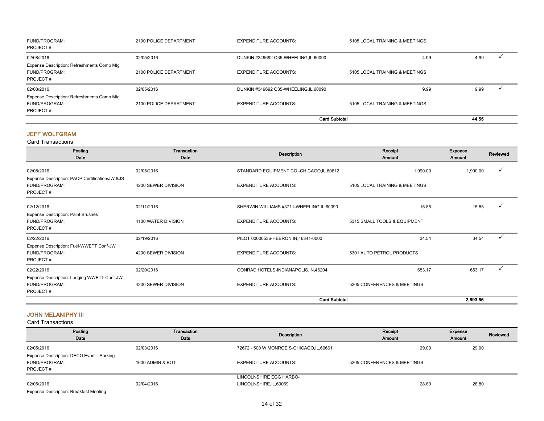| FUND/PROGRAM:<br>PROJECT#:                 | 2100 POLICE DEPARTMENT | <b>EXPENDITURE ACCOUNTS:</b>           | 5105 LOCAL TRAINING & MEETINGS |       |  |
|--------------------------------------------|------------------------|----------------------------------------|--------------------------------|-------|--|
| 02/08/2016                                 | 02/05/2016             | DUNKIN #349692 Q35-WHEELING, IL, 60090 | 4.99                           | 4.99  |  |
| Expense Description: Refreshments Comp Mtg |                        |                                        |                                |       |  |
| FUND/PROGRAM:                              | 2100 POLICE DEPARTMENT | <b>EXPENDITURE ACCOUNTS:</b>           | 5105 LOCAL TRAINING & MEETINGS |       |  |
| PROJECT#:                                  |                        |                                        |                                |       |  |
| 02/08/2016                                 | 02/05/2016             | DUNKIN #349692 Q35-WHEELING, IL, 60090 | 9.99                           | 9.99  |  |
| Expense Description: Refreshments Comp Mtg |                        |                                        |                                |       |  |
| FUND/PROGRAM:                              | 2100 POLICE DEPARTMENT | <b>EXPENDITURE ACCOUNTS:</b>           | 5105 LOCAL TRAINING & MEETINGS |       |  |
| PROJECT#:                                  |                        |                                        |                                |       |  |
|                                            |                        | <b>Card Subtotal</b>                   |                                | 44.55 |  |

#### JEFF WOLFGRAM

Card Transactions

| Posting<br>Date                                                               | Transaction<br>Date | <b>Description</b>                         | Receipt<br><b>Amount</b>       | Expense<br>Amount | Reviewed     |
|-------------------------------------------------------------------------------|---------------------|--------------------------------------------|--------------------------------|-------------------|--------------|
| 02/08/2016                                                                    | 02/05/2016          | STANDARD EQUIPMENT CO.-CHICAGO,IL,60612    | 1,990.00                       | 1,990.00          |              |
| Expense Description: PACP Certification/JW & JS<br>FUND/PROGRAM:<br>PROJECT#: | 4200 SEWER DIVISION | <b>EXPENDITURE ACCOUNTS:</b>               | 5105 LOCAL TRAINING & MEETINGS |                   |              |
| 02/12/2016                                                                    | 02/11/2016          | SHERWIN WILLIAMS #3711-WHEELING, IL, 60090 | 15.85                          | 15.85             |              |
| <b>Expense Description: Paint Brushes</b><br>FUND/PROGRAM:<br>PROJECT#:       | 4100 WATER DIVISION | <b>EXPENDITURE ACCOUNTS:</b>               | 5315 SMALL TOOLS & EQUIPMENT   |                   |              |
| 02/22/2016                                                                    | 02/19/2016          | PILOT 00006536-HEBRON, IN, 46341-0000      | 34.54                          | 34.54             | $\checkmark$ |
| Expense Description: Fuel-WWETT Conf-JW<br>FUND/PROGRAM:<br>PROJECT#:         | 4200 SEWER DIVISION | <b>EXPENDITURE ACCOUNTS:</b>               | 5301 AUTO PETROL PRODUCTS      |                   |              |
| 02/22/2016                                                                    | 02/20/2016          | CONRAD HOTELS-INDIANAPOLIS, IN, 46204      | 653.17                         | 653.17            |              |
| Expense Description: Lodging WWETT Conf-JW<br>FUND/PROGRAM:<br>PROJECT#:      | 4200 SEWER DIVISION | <b>EXPENDITURE ACCOUNTS:</b>               | 5205 CONFERENCES & MEETINGS    |                   |              |
|                                                                               |                     | <b>Card Subtotal</b>                       |                                | 2,693.56          |              |

#### JOHN MELANIPHY III

| Posting<br>Date                                                          | Transaction<br>Date | Description                                        | Receipt<br><b>Amount</b>    | Expense<br><b>Amount</b> | Reviewed |
|--------------------------------------------------------------------------|---------------------|----------------------------------------------------|-----------------------------|--------------------------|----------|
| 02/05/2016                                                               | 02/03/2016          | 72672 - 500 W MONROE S-CHICAGO, IL, 60661          | 29.00                       | 29.00                    |          |
| Expense Description: DECO Event - Parking<br>FUND/PROGRAM:<br>PROJECT #: | 1600 ADMIN & BOT    | <b>EXPENDITURE ACCOUNTS:</b>                       | 5205 CONFERENCES & MEETINGS |                          |          |
| 02/05/2016<br><b>Expense Description: Breakfast Meeting</b>              | 02/04/2016          | LINCOLNSHIRE EGG HARBO-<br>LINCOLNSHIRE, IL, 60069 | 28.80                       | 28.80                    |          |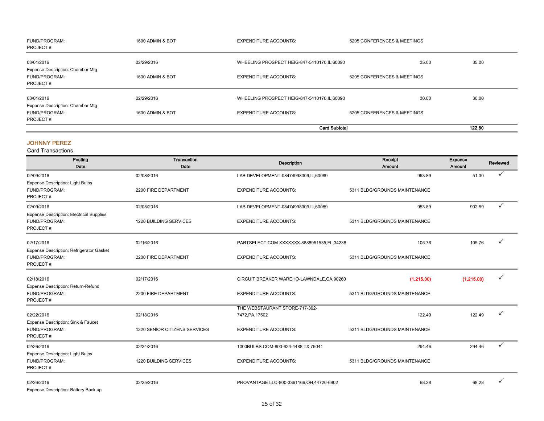| FUND/PROGRAM:<br>PROJECT#:                                     | 1600 ADMIN & BOT | <b>EXPENDITURE ACCOUNTS:</b>                  | 5205 CONFERENCES & MEETINGS |        |
|----------------------------------------------------------------|------------------|-----------------------------------------------|-----------------------------|--------|
| 03/01/2016<br>Expense Description: Chamber Mtg                 | 02/29/2016       | WHEELING PROSPECT HEIG-847-5410170, IL, 60090 | 35.00                       | 35.00  |
| FUND/PROGRAM:<br>PROJECT#:                                     | 1600 ADMIN & BOT | <b>EXPENDITURE ACCOUNTS:</b>                  | 5205 CONFERENCES & MEETINGS |        |
| 03/01/2016                                                     | 02/29/2016       | WHEELING PROSPECT HEIG-847-5410170, IL, 60090 | 30.00                       | 30.00  |
| Expense Description: Chamber Mtg<br>FUND/PROGRAM:<br>PROJECT#: | 1600 ADMIN & BOT | <b>EXPENDITURE ACCOUNTS:</b>                  | 5205 CONFERENCES & MEETINGS |        |
|                                                                |                  |                                               | <b>Card Subtotal</b>        | 122.80 |

#### JOHNNY PEREZ

| Posting<br>Date                                                               | Transaction<br>Date           | <b>Description</b>                         | Receipt<br>Amount             | Expense<br>Amount | Reviewed     |
|-------------------------------------------------------------------------------|-------------------------------|--------------------------------------------|-------------------------------|-------------------|--------------|
| 02/09/2016                                                                    | 02/08/2016                    | LAB DEVELOPMENT-08474998309,IL,60089       | 953.89                        | 51.30             |              |
| <b>Expense Description: Light Bulbs</b><br>FUND/PROGRAM:<br>PROJECT#:         | 2200 FIRE DEPARTMENT          | <b>EXPENDITURE ACCOUNTS:</b>               | 5311 BLDG/GROUNDS MAINTENANCE |                   |              |
| 02/09/2016                                                                    | 02/08/2016                    | LAB DEVELOPMENT-08474998309,IL,60089       | 953.89                        | 902.59            | ✓            |
| <b>Expense Description: Electrical Supplies</b><br>FUND/PROGRAM:<br>PROJECT#: | 1220 BUILDING SERVICES        | <b>EXPENDITURE ACCOUNTS:</b>               | 5311 BLDG/GROUNDS MAINTENANCE |                   |              |
| 02/17/2016                                                                    | 02/16/2016                    | PARTSELECT.COM XXXXXXX-8888951535,FL,34238 | 105.76                        | 105.76            |              |
| Expense Description: Refrigerator Gasket<br>FUND/PROGRAM:<br>PROJECT#:        | 2200 FIRE DEPARTMENT          | <b>EXPENDITURE ACCOUNTS:</b>               | 5311 BLDG/GROUNDS MAINTENANCE |                   |              |
| 02/18/2016                                                                    | 02/17/2016                    | CIRCUIT BREAKER WAREHO-LAWNDALE, CA, 90260 | (1,215.00)                    | (1,215.00)        | ✓            |
| Expense Description: Return-Refund<br>FUND/PROGRAM:<br>PROJECT#:              | 2200 FIRE DEPARTMENT          | <b>EXPENDITURE ACCOUNTS:</b>               | 5311 BLDG/GROUNDS MAINTENANCE |                   |              |
|                                                                               |                               | THE WEBSTAURANT STORE-717-392-             |                               |                   |              |
| 02/22/2016                                                                    | 02/18/2016                    | 7472, PA, 17602                            | 122.49                        | 122.49            |              |
| Expense Description: Sink & Faucet<br>FUND/PROGRAM:<br>PROJECT#:              | 1320 SENIOR CITIZENS SERVICES | <b>EXPENDITURE ACCOUNTS:</b>               | 5311 BLDG/GROUNDS MAINTENANCE |                   |              |
| 02/26/2016                                                                    | 02/24/2016                    | 1000BULBS.COM-800-624-4488,TX,75041        | 294.46                        | 294.46            | $\checkmark$ |
| <b>Expense Description: Light Bulbs</b><br>FUND/PROGRAM:<br>PROJECT#:         | 1220 BUILDING SERVICES        | <b>EXPENDITURE ACCOUNTS:</b>               | 5311 BLDG/GROUNDS MAINTENANCE |                   |              |
| 02/26/2016<br>Expense Description: Battery Back up                            | 02/25/2016                    | PROVANTAGE LLC-800-3361166, OH, 44720-6902 | 68.28                         | 68.28             |              |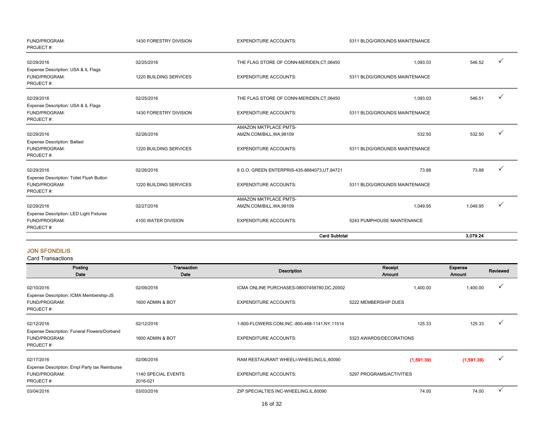| FUND/PROGRAM:<br>PROJECT#:                                             | 1430 FORESTRY DIVISION | <b>EXPENDITURE ACCOUNTS:</b>                      | 5311 BLDG/GROUNDS MAINTENANCE |          |   |
|------------------------------------------------------------------------|------------------------|---------------------------------------------------|-------------------------------|----------|---|
| 02/29/2016<br>Expense Description: USA & IL Flags                      | 02/25/2016             | THE FLAG STORE OF CONN-MERIDEN, CT, 06450         | 1,093.03                      | 546.52   |   |
| FUND/PROGRAM:<br>PROJECT#:                                             | 1220 BUILDING SERVICES | <b>EXPENDITURE ACCOUNTS:</b>                      | 5311 BLDG/GROUNDS MAINTENANCE |          |   |
| 02/29/2016                                                             | 02/25/2016             | THE FLAG STORE OF CONN-MERIDEN, CT, 06450         | 1,093.03                      | 546.51   |   |
| Expense Description: USA & IL Flags<br>FUND/PROGRAM:<br>PROJECT#:      | 1430 FORESTRY DIVISION | <b>EXPENDITURE ACCOUNTS:</b>                      | 5311 BLDG/GROUNDS MAINTENANCE |          |   |
| 02/29/2016                                                             | 02/26/2016             | AMAZON MKTPLACE PMTS-<br>AMZN.COM/BILL, WA, 98109 | 532.50                        | 532.50   | ✓ |
| <b>Expense Description: Ballast</b><br>FUND/PROGRAM:<br>PROJECT#:      | 1220 BUILDING SERVICES | <b>EXPENDITURE ACCOUNTS:</b>                      | 5311 BLDG/GROUNDS MAINTENANCE |          |   |
| 02/29/2016                                                             | 02/26/2016             | 8 G.O. GREEN ENTERPRIS-435-8684073.UT.84721       | 73.88                         | 73.88    |   |
| Expense Description: Toilet Flush Button<br>FUND/PROGRAM:<br>PROJECT#: | 1220 BUILDING SERVICES | <b>EXPENDITURE ACCOUNTS:</b>                      | 5311 BLDG/GROUNDS MAINTENANCE |          |   |
| 02/29/2016                                                             | 02/27/2016             | AMAZON MKTPLACE PMTS-<br>AMZN.COM/BILL, WA, 98109 | 1,049.95                      | 1,049.95 |   |
| Expense Description: LED Light Fixtures<br>FUND/PROGRAM:<br>PROJECT#:  | 4100 WATER DIVISION    | <b>EXPENDITURE ACCOUNTS:</b>                      | 5243 PUMPHOUSE MAINTENANCE    |          |   |
|                                                                        |                        |                                                   | <b>Card Subtotal</b>          | 3,079.24 |   |

#### JON SFONDILIS

| Posting<br>Date                                                             | Transaction<br>Date             | <b>Description</b>                              | Receipt<br><b>Amount</b> | Expense<br>Amount | Reviewed     |
|-----------------------------------------------------------------------------|---------------------------------|-------------------------------------------------|--------------------------|-------------------|--------------|
| 02/10/2016                                                                  | 02/09/2016                      | ICMA ONLINE PURCHASES-08007458780,DC,20002      | 1,400.00                 | 1,400.00          | $\checkmark$ |
| Expense Description: ICMA Membership-JS<br>FUND/PROGRAM:<br>PROJECT#:       | 1600 ADMIN & BOT                | <b>EXPENDITURE ACCOUNTS:</b>                    | 5222 MEMBERSHIP DUES     |                   |              |
| 02/12/2016                                                                  | 02/12/2016                      | 1-800-FLOWERS.COM, INC.-800-468-1141, NY, 11514 | 125.33                   | 125.33            | $\checkmark$ |
| Expense Description: Funeral Flowers/Dorband<br>FUND/PROGRAM:<br>PROJECT#:  | 1600 ADMIN & BOT                | <b>EXPENDITURE ACCOUNTS:</b>                    | 5323 AWARDS/DECORATIONS  |                   |              |
| 02/17/2016                                                                  | 02/06/2016                      | RAM RESTAURANT WHEELI-WHEELING, IL, 60090       | (1,591.39)               | (1,591.39)        | ✓            |
| Expense Description: Empl Party tax Reimburse<br>FUND/PROGRAM:<br>PROJECT#: | 1140 SPECIAL EVENTS<br>2016-021 | <b>EXPENDITURE ACCOUNTS:</b>                    | 5297 PROGRAMS/ACTIVITIES |                   |              |
| 03/04/2016                                                                  | 03/03/2016                      | ZIP SPECIALTIES INC-WHEELING, IL, 60090         | 74.00                    | 74.00             |              |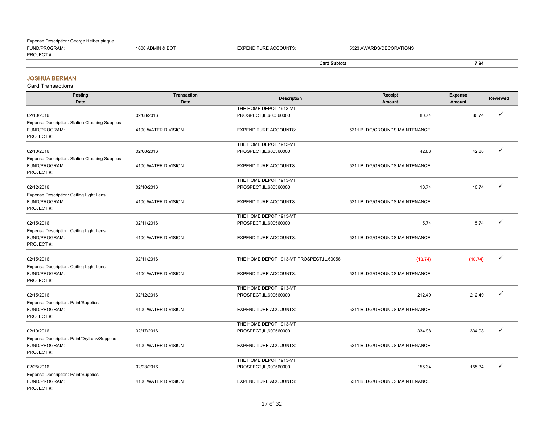#### FUND/PROGRAM: 1600 ADMIN & BOT EXPENDITURE ACCOUNTS: 5323 AWARDS/DECORATIONS PROJECT #: Card Subtotal 7.94 Expense Description: George Heiber plaque

#### JOSHUA BERMAN

| Posting<br>Date                                                              | <b>Transaction</b><br>Date | <b>Description</b>                         | Receipt<br>Amount             | Expense<br>Amount | <b>Reviewed</b> |
|------------------------------------------------------------------------------|----------------------------|--------------------------------------------|-------------------------------|-------------------|-----------------|
|                                                                              |                            | THE HOME DEPOT 1913-MT                     |                               |                   |                 |
| 02/10/2016                                                                   | 02/08/2016                 | PROSPECT, IL, 600560000                    | 80.74                         | 80.74             |                 |
| Expense Description: Station Cleaning Supplies<br>FUND/PROGRAM:<br>PROJECT#: | 4100 WATER DIVISION        | <b>EXPENDITURE ACCOUNTS:</b>               | 5311 BLDG/GROUNDS MAINTENANCE |                   |                 |
|                                                                              |                            | THE HOME DEPOT 1913-MT                     |                               |                   |                 |
| 02/10/2016                                                                   | 02/08/2016                 | PROSPECT, IL, 600560000                    | 42.88                         | 42.88             | ✓               |
| Expense Description: Station Cleaning Supplies                               |                            |                                            |                               |                   |                 |
| FUND/PROGRAM:<br>PROJECT#:                                                   | 4100 WATER DIVISION        | <b>EXPENDITURE ACCOUNTS:</b>               | 5311 BLDG/GROUNDS MAINTENANCE |                   |                 |
|                                                                              |                            | THE HOME DEPOT 1913-MT                     |                               |                   |                 |
| 02/12/2016                                                                   | 02/10/2016                 | PROSPECT, IL, 600560000                    | 10.74                         | 10.74             | ✓               |
| Expense Description: Ceiling Light Lens                                      |                            |                                            |                               |                   |                 |
| FUND/PROGRAM:<br>PROJECT#:                                                   | 4100 WATER DIVISION        | <b>EXPENDITURE ACCOUNTS:</b>               | 5311 BLDG/GROUNDS MAINTENANCE |                   |                 |
|                                                                              |                            | THE HOME DEPOT 1913-MT                     |                               |                   |                 |
| 02/15/2016                                                                   | 02/11/2016                 | PROSPECT, IL, 600560000                    | 5.74                          | 5.74              | ✓               |
| Expense Description: Ceiling Light Lens                                      |                            |                                            |                               |                   |                 |
| FUND/PROGRAM:                                                                | 4100 WATER DIVISION        | <b>EXPENDITURE ACCOUNTS:</b>               | 5311 BLDG/GROUNDS MAINTENANCE |                   |                 |
| PROJECT#:                                                                    |                            |                                            |                               |                   |                 |
| 02/15/2016                                                                   | 02/11/2016                 | THE HOME DEPOT 1913-MT PROSPECT, IL, 60056 |                               | (10.74)           |                 |
|                                                                              |                            |                                            | (10.74)                       |                   |                 |
| Expense Description: Ceiling Light Lens<br>FUND/PROGRAM:<br>PROJECT#:        | 4100 WATER DIVISION        | <b>EXPENDITURE ACCOUNTS:</b>               | 5311 BLDG/GROUNDS MAINTENANCE |                   |                 |
|                                                                              |                            | THE HOME DEPOT 1913-MT                     |                               |                   |                 |
| 02/15/2016                                                                   | 02/12/2016                 | PROSPECT, IL, 600560000                    | 212.49                        | 212.49            |                 |
| <b>Expense Description: Paint/Supplies</b>                                   |                            |                                            |                               |                   |                 |
| FUND/PROGRAM:                                                                | 4100 WATER DIVISION        | <b>EXPENDITURE ACCOUNTS:</b>               | 5311 BLDG/GROUNDS MAINTENANCE |                   |                 |
| PROJECT#:                                                                    |                            |                                            |                               |                   |                 |
|                                                                              |                            | THE HOME DEPOT 1913-MT                     |                               |                   |                 |
| 02/19/2016                                                                   | 02/17/2016                 | PROSPECT, IL, 600560000                    | 334.98                        | 334.98            | ✓               |
| Expense Description: Paint/DryLock/Supplies                                  |                            |                                            |                               |                   |                 |
| FUND/PROGRAM:                                                                | 4100 WATER DIVISION        | <b>EXPENDITURE ACCOUNTS:</b>               | 5311 BLDG/GROUNDS MAINTENANCE |                   |                 |
| PROJECT#:                                                                    |                            |                                            |                               |                   |                 |
|                                                                              |                            | THE HOME DEPOT 1913-MT                     |                               |                   |                 |
| 02/25/2016                                                                   | 02/23/2016                 | PROSPECT, IL, 600560000                    | 155.34                        | 155.34            |                 |
| Expense Description: Paint/Supplies                                          |                            |                                            |                               |                   |                 |
| FUND/PROGRAM:                                                                | 4100 WATER DIVISION        | <b>EXPENDITURE ACCOUNTS:</b>               | 5311 BLDG/GROUNDS MAINTENANCE |                   |                 |
| PROJECT#:                                                                    |                            |                                            |                               |                   |                 |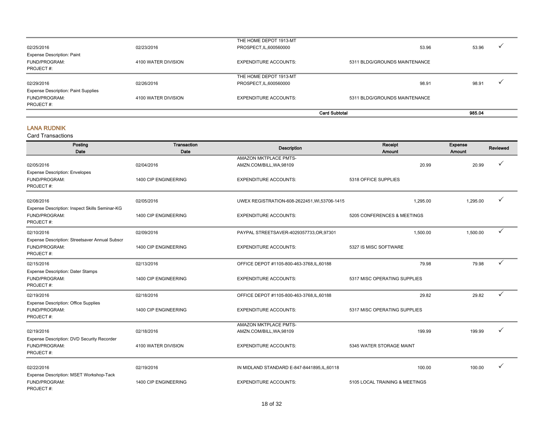|                                            |                     |                              | <b>Card Subtotal</b>          | 985.04                            |
|--------------------------------------------|---------------------|------------------------------|-------------------------------|-----------------------------------|
| PROJECT#:                                  |                     |                              |                               |                                   |
| FUND/PROGRAM:                              | 4100 WATER DIVISION | <b>EXPENDITURE ACCOUNTS:</b> | 5311 BLDG/GROUNDS MAINTENANCE |                                   |
| <b>Expense Description: Paint Supplies</b> |                     |                              |                               |                                   |
| 02/29/2016                                 | 02/26/2016          | PROSPECT, IL, 600560000      | 98.91                         | 98.91                             |
|                                            |                     | THE HOME DEPOT 1913-MT       |                               |                                   |
| PROJECT#:                                  |                     |                              |                               |                                   |
| FUND/PROGRAM:                              | 4100 WATER DIVISION | <b>EXPENDITURE ACCOUNTS:</b> | 5311 BLDG/GROUNDS MAINTENANCE |                                   |
| <b>Expense Description: Paint</b>          |                     |                              |                               |                                   |
| 02/25/2016                                 | 02/23/2016          | PROSPECT, IL, 600560000      | 53.96                         | 53.96<br>$\overline{\phantom{a}}$ |
|                                            |                     | THE HOME DEPOT 1913-MT       |                               |                                   |

#### LANA RUDNIK

| Posting<br>Date                                                              | <b>Transaction</b><br>Date | <b>Description</b>                                | Receipt<br>Amount              | Expense<br>Amount | Reviewed |
|------------------------------------------------------------------------------|----------------------------|---------------------------------------------------|--------------------------------|-------------------|----------|
| 02/05/2016                                                                   | 02/04/2016                 | AMAZON MKTPLACE PMTS-<br>AMZN.COM/BILL, WA, 98109 | 20.99                          | 20.99             |          |
| <b>Expense Description: Envelopes</b><br>FUND/PROGRAM:<br>PROJECT#:          | 1400 CIP ENGINEERING       | <b>EXPENDITURE ACCOUNTS:</b>                      | 5318 OFFICE SUPPLIES           |                   |          |
| 02/08/2016                                                                   | 02/05/2016                 | UWEX REGISTRATION-608-2622451, WI,53706-1415      | 1,295.00                       | 1,295.00          |          |
| Expense Description: Inspect Skills Seminar-KG<br>FUND/PROGRAM:<br>PROJECT#: | 1400 CIP ENGINEERING       | <b>EXPENDITURE ACCOUNTS:</b>                      | 5205 CONFERENCES & MEETINGS    |                   |          |
| 02/10/2016                                                                   | 02/09/2016                 | PAYPAL STREETSAVER-4029357733, OR, 97301          | 1,500.00                       | 1,500.00          | ✓        |
| Expense Description: Streetsaver Annual Subscr<br>FUND/PROGRAM:<br>PROJECT#: | 1400 CIP ENGINEERING       | <b>EXPENDITURE ACCOUNTS:</b>                      | 5327 IS MISC SOFTWARE          |                   |          |
| 02/15/2016                                                                   | 02/13/2016                 | OFFICE DEPOT #1105-800-463-3768,IL,60188          | 79.98                          | 79.98             |          |
| <b>Expense Description: Dater Stamps</b><br>FUND/PROGRAM:<br>PROJECT#:       | 1400 CIP ENGINEERING       | <b>EXPENDITURE ACCOUNTS:</b>                      | 5317 MISC OPERATING SUPPLIES   |                   |          |
| 02/19/2016                                                                   | 02/18/2016                 | OFFICE DEPOT #1105-800-463-3768,IL,60188          | 29.82                          | 29.82             |          |
| <b>Expense Description: Office Supplies</b><br>FUND/PROGRAM:<br>PROJECT#:    | 1400 CIP ENGINEERING       | <b>EXPENDITURE ACCOUNTS:</b>                      | 5317 MISC OPERATING SUPPLIES   |                   |          |
| 02/19/2016<br>Expense Description: DVD Security Recorder                     | 02/18/2016                 | AMAZON MKTPLACE PMTS-<br>AMZN.COM/BILL, WA, 98109 | 199.99                         | 199.99            |          |
| FUND/PROGRAM:<br>PROJECT#:                                                   | 4100 WATER DIVISION        | <b>EXPENDITURE ACCOUNTS:</b>                      | 5345 WATER STORAGE MAINT       |                   |          |
| 02/22/2016                                                                   | 02/19/2016                 | IN MIDLAND STANDARD E-847-8441895, IL, 60118      | 100.00                         | 100.00            |          |
| Expense Description: MSET Workshop-Tack<br>FUND/PROGRAM:<br>PROJECT#:        | 1400 CIP ENGINEERING       | <b>EXPENDITURE ACCOUNTS:</b>                      | 5105 LOCAL TRAINING & MEETINGS |                   |          |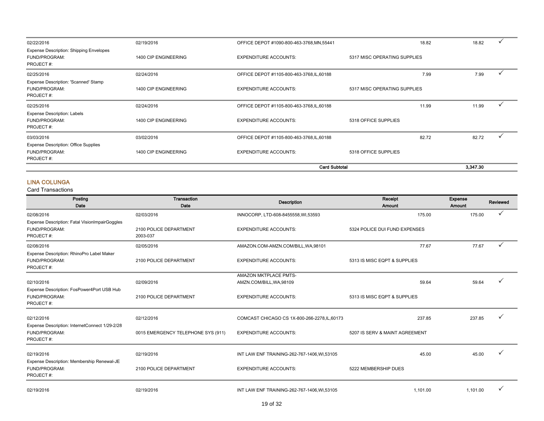|                                                                              |                      | <b>Card Subtotal</b>                       |                              | 3.347.30 |       |  |
|------------------------------------------------------------------------------|----------------------|--------------------------------------------|------------------------------|----------|-------|--|
| FUND/PROGRAM:<br>PROJECT#:                                                   | 1400 CIP ENGINEERING | <b>EXPENDITURE ACCOUNTS:</b>               | 5318 OFFICE SUPPLIES         |          |       |  |
| 03/03/2016<br><b>Expense Description: Office Supplies</b>                    | 03/02/2016           | OFFICE DEPOT #1105-800-463-3768, IL, 60188 |                              | 82.72    | 82.72 |  |
| <b>Expense Description: Labels</b><br>FUND/PROGRAM:<br>PROJECT#:             | 1400 CIP ENGINEERING | <b>EXPENDITURE ACCOUNTS:</b>               | 5318 OFFICE SUPPLIES         |          |       |  |
| 02/25/2016                                                                   | 02/24/2016           | OFFICE DEPOT #1105-800-463-3768, IL, 60188 |                              | 11.99    | 11.99 |  |
| Expense Description: 'Scanned' Stamp<br>FUND/PROGRAM:<br>PROJECT#:           | 1400 CIP ENGINEERING | <b>EXPENDITURE ACCOUNTS:</b>               | 5317 MISC OPERATING SUPPLIES |          |       |  |
| 02/25/2016                                                                   | 02/24/2016           | OFFICE DEPOT #1105-800-463-3768, IL, 60188 |                              | 7.99     | 7.99  |  |
| <b>Expense Description: Shipping Envelopes</b><br>FUND/PROGRAM:<br>PROJECT#: | 1400 CIP ENGINEERING | <b>EXPENDITURE ACCOUNTS:</b>               | 5317 MISC OPERATING SUPPLIES |          |       |  |
| 02/22/2016                                                                   | 02/19/2016           | OFFICE DEPOT #1090-800-463-3768, MN, 55441 |                              | 18.82    | 18.82 |  |

#### LINA COLUNGA

| Posting<br>Date                                                              | <b>Transaction</b><br>Date         | <b>Description</b>                                | Receipt<br>Amount              | Expense<br>Amount | <b>Reviewed</b> |
|------------------------------------------------------------------------------|------------------------------------|---------------------------------------------------|--------------------------------|-------------------|-----------------|
| 02/08/2016                                                                   | 02/03/2016                         | INNOCORP, LTD-608-8455558, WI,53593               | 175.00                         | 175.00            |                 |
| Expense Description: Fatal VisionImpairGoggles<br>FUND/PROGRAM:<br>PROJECT#: | 2100 POLICE DEPARTMENT<br>2003-037 | <b>EXPENDITURE ACCOUNTS:</b>                      | 5324 POLICE DUI FUND EXPENSES  |                   |                 |
| 02/08/2016                                                                   | 02/05/2016                         | AMAZON.COM-AMZN.COM/BILL, WA, 98101               | 77.67                          | 77.67             | ✓               |
| Expense Description: RhinoPro Label Maker<br>FUND/PROGRAM:<br>PROJECT#:      | 2100 POLICE DEPARTMENT             | <b>EXPENDITURE ACCOUNTS:</b>                      | 5313 IS MISC EQPT & SUPPLIES   |                   |                 |
| 02/10/2016                                                                   | 02/09/2016                         | AMAZON MKTPLACE PMTS-<br>AMZN.COM/BILL, WA, 98109 | 59.64                          | 59.64             |                 |
| Expense Description: FosPower4Port USB Hub<br>FUND/PROGRAM:<br>PROJECT#:     | 2100 POLICE DEPARTMENT             | <b>EXPENDITURE ACCOUNTS:</b>                      | 5313 IS MISC EQPT & SUPPLIES   |                   |                 |
| 02/12/2016                                                                   | 02/12/2016                         | COMCAST CHICAGO CS 1X-800-266-2278, IL, 60173     | 237.85                         | 237.85            |                 |
| Expense Description: InternetConnect 1/29-2/28<br>FUND/PROGRAM:<br>PROJECT#: | 0015 EMERGENCY TELEPHONE SYS (911) | <b>EXPENDITURE ACCOUNTS:</b>                      | 5207 IS SERV & MAINT AGREEMENT |                   |                 |
| 02/19/2016                                                                   | 02/19/2016                         | INT LAW ENF TRAINING-262-767-1406, WI, 53105      | 45.00                          | 45.00             |                 |
| Expense Description: Membership Renewal-JE<br>FUND/PROGRAM:<br>PROJECT#:     | 2100 POLICE DEPARTMENT             | <b>EXPENDITURE ACCOUNTS:</b>                      | 5222 MEMBERSHIP DUES           |                   |                 |
| 02/19/2016                                                                   | 02/19/2016                         | INT LAW ENF TRAINING-262-767-1406, WI, 53105      | 1.101.00                       | 1.101.00          |                 |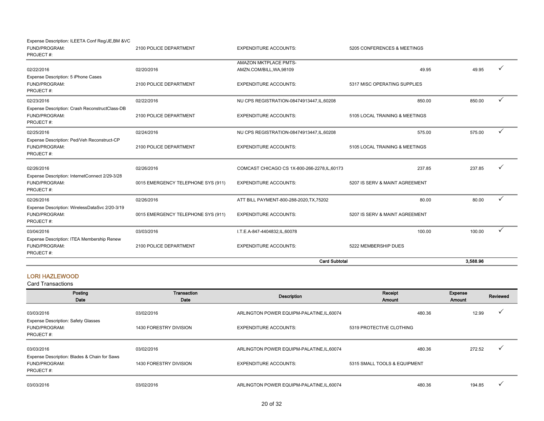| I.T.E.A-847-4404832,IL,60078<br><b>EXPENDITURE ACCOUNTS:</b>                  | 100.00<br>5222 MEMBERSHIP DUES           | 100.00 |              |
|-------------------------------------------------------------------------------|------------------------------------------|--------|--------------|
|                                                                               |                                          |        | $\checkmark$ |
| ATT BILL PAYMENT-800-288-2020, TX, 75202<br><b>EXPENDITURE ACCOUNTS:</b>      | 80.00<br>5207 IS SERV & MAINT AGREEMENT  | 80.00  | ✓            |
| COMCAST CHICAGO CS 1X-800-266-2278, IL, 60173<br><b>EXPENDITURE ACCOUNTS:</b> | 237.85<br>5207 IS SERV & MAINT AGREEMENT | 237.85 |              |
| NU CPS REGISTRATION-08474913447, IL, 60208<br><b>EXPENDITURE ACCOUNTS:</b>    | 575.00<br>5105 LOCAL TRAINING & MEETINGS | 575.00 | ✓            |
| NU CPS REGISTRATION-08474913447, IL, 60208<br><b>EXPENDITURE ACCOUNTS:</b>    | 850.00<br>5105 LOCAL TRAINING & MEETINGS | 850.00 | $\checkmark$ |
| AMZN.COM/BILL, WA, 98109<br><b>EXPENDITURE ACCOUNTS:</b>                      | 49.95<br>5317 MISC OPERATING SUPPLIES    | 49.95  |              |
| AMAZON MKTPLACE PMTS-                                                         |                                          |        |              |
| <b>EXPENDITURE ACCOUNTS:</b>                                                  | 5205 CONFERENCES & MEETINGS              |        |              |
|                                                                               |                                          |        |              |

#### LORI HAZLEWOOD

| Posting<br>Date                                                            | Transaction<br>Date    | Description                                | Receipt<br>Amount            | Expense<br>Amount | Reviewed     |
|----------------------------------------------------------------------------|------------------------|--------------------------------------------|------------------------------|-------------------|--------------|
| 03/03/2016                                                                 | 03/02/2016             | ARLINGTON POWER EQUIPM-PALATINE, IL, 60074 | 480.36                       | 12.99             | $\checkmark$ |
| <b>Expense Description: Safety Glasses</b><br>FUND/PROGRAM:<br>PROJECT#:   | 1430 FORESTRY DIVISION | <b>EXPENDITURE ACCOUNTS:</b>               | 5319 PROTECTIVE CLOTHING     |                   |              |
| 03/03/2016                                                                 | 03/02/2016             | ARLINGTON POWER EQUIPM-PALATINE, IL, 60074 | 480.36                       | 272.52            |              |
| Expense Description: Blades & Chain for Saws<br>FUND/PROGRAM:<br>PROJECT#: | 1430 FORESTRY DIVISION | <b>EXPENDITURE ACCOUNTS:</b>               | 5315 SMALL TOOLS & EQUIPMENT |                   |              |
| 03/03/2016                                                                 | 03/02/2016             | ARLINGTON POWER EQUIPM-PALATINE, IL, 60074 | 480.36                       | 194.85            |              |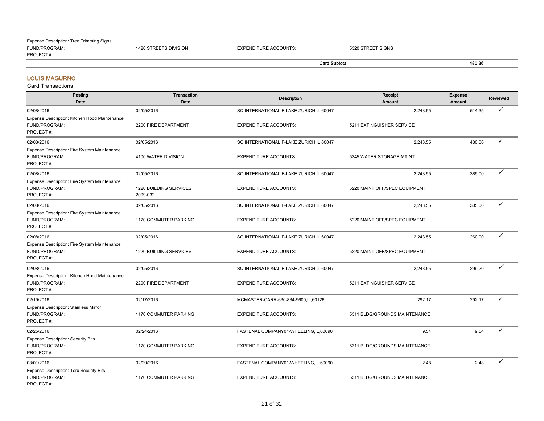#### FUND/PROGRAM: 1420 STREETS DIVISION EXPENDITURE ACCOUNTS: 5320 STREET SIGNS PROJECT #: Expense Description: Tree Trimming Signs

### Card Subtotal 480.36

#### LOUIS MAGURNO

| Posting<br>Date                                                              | <b>Transaction</b><br>Date         | <b>Description</b>                        | Receipt<br>Amount             | Expense<br><b>Amount</b> | <b>Reviewed</b> |
|------------------------------------------------------------------------------|------------------------------------|-------------------------------------------|-------------------------------|--------------------------|-----------------|
| 02/08/2016<br>Expense Description: Kitchen Hood Maintenance                  | 02/05/2016                         | SQ INTERNATIONAL F-LAKE ZURICH, IL, 60047 | 2,243.55                      | 514.35                   | ✓               |
| FUND/PROGRAM:<br>PROJECT#:                                                   | 2200 FIRE DEPARTMENT               | <b>EXPENDITURE ACCOUNTS:</b>              | 5211 EXTINGUISHER SERVICE     |                          |                 |
| 02/08/2016                                                                   | 02/05/2016                         | SQ INTERNATIONAL F-LAKE ZURICH, IL, 60047 | 2,243.55                      | 480.00                   | ✓               |
| Expense Description: Fire System Maintenance<br>FUND/PROGRAM:<br>PROJECT#:   | 4100 WATER DIVISION                | <b>EXPENDITURE ACCOUNTS:</b>              | 5345 WATER STORAGE MAINT      |                          |                 |
| 02/08/2016                                                                   | 02/05/2016                         | SQ INTERNATIONAL F-LAKE ZURICH, IL, 60047 | 2,243.55                      | 385.00                   | ✓               |
| Expense Description: Fire System Maintenance<br>FUND/PROGRAM:<br>PROJECT#:   | 1220 BUILDING SERVICES<br>2009-032 | <b>EXPENDITURE ACCOUNTS:</b>              | 5220 MAINT OFF/SPEC EQUIPMENT |                          |                 |
| 02/08/2016                                                                   | 02/05/2016                         | SQ INTERNATIONAL F-LAKE ZURICH, IL, 60047 | 2,243.55                      | 305.00                   | ✓               |
| Expense Description: Fire System Maintenance<br>FUND/PROGRAM:<br>PROJECT#:   | 1170 COMMUTER PARKING              | <b>EXPENDITURE ACCOUNTS:</b>              | 5220 MAINT OFF/SPEC EQUIPMENT |                          |                 |
| 02/08/2016                                                                   | 02/05/2016                         | SQ INTERNATIONAL F-LAKE ZURICH, IL, 60047 | 2,243.55                      | 260.00                   | ✓               |
| Expense Description: Fire System Maintenance<br>FUND/PROGRAM:<br>PROJECT#:   | 1220 BUILDING SERVICES             | <b>EXPENDITURE ACCOUNTS:</b>              | 5220 MAINT OFF/SPEC EQUIPMENT |                          |                 |
| 02/08/2016                                                                   | 02/05/2016                         | SQ INTERNATIONAL F-LAKE ZURICH, IL, 60047 | 2,243.55                      | 299.20                   | ✓               |
| Expense Description: Kitchen Hood Maintenance<br>FUND/PROGRAM:<br>PROJECT#:  | 2200 FIRE DEPARTMENT               | <b>EXPENDITURE ACCOUNTS:</b>              | 5211 EXTINGUISHER SERVICE     |                          |                 |
| 02/19/2016                                                                   | 02/17/2016                         | MCMASTER-CARR-630-834-9600,IL,60126       | 292.17                        | 292.17                   | ✓               |
| Expense Description: Stainless Mirror<br>FUND/PROGRAM:<br>PROJECT#:          | 1170 COMMUTER PARKING              | <b>EXPENDITURE ACCOUNTS:</b>              | 5311 BLDG/GROUNDS MAINTENANCE |                          |                 |
| 02/25/2016                                                                   | 02/24/2016                         | FASTENAL COMPANY01-WHEELING,IL,60090      | 9.54                          | 9.54                     | ✓               |
| <b>Expense Description: Security Bits</b><br>FUND/PROGRAM:<br>PROJECT#:      | 1170 COMMUTER PARKING              | <b>EXPENDITURE ACCOUNTS:</b>              | 5311 BLDG/GROUNDS MAINTENANCE |                          |                 |
| 03/01/2016                                                                   | 02/29/2016                         | FASTENAL COMPANY01-WHEELING,IL,60090      | 2.48                          | 2.48                     |                 |
| <b>Expense Description: Torx Security Bits</b><br>FUND/PROGRAM:<br>PROJECT#: | 1170 COMMUTER PARKING              | <b>EXPENDITURE ACCOUNTS:</b>              | 5311 BLDG/GROUNDS MAINTENANCE |                          |                 |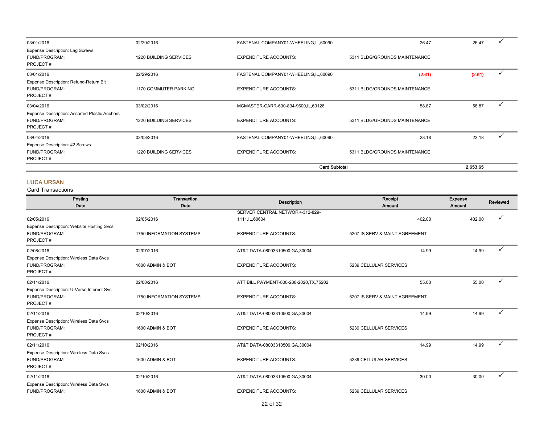| 03/01/2016                                                                  | 02/29/2016             | FASTENAL COMPANY01-WHEELING,IL,60090  | 26.47                         | 26.47  |  |
|-----------------------------------------------------------------------------|------------------------|---------------------------------------|-------------------------------|--------|--|
| <b>Expense Description: Lag Screws</b><br>FUND/PROGRAM:<br>PROJECT#:        | 1220 BUILDING SERVICES | <b>EXPENDITURE ACCOUNTS:</b>          | 5311 BLDG/GROUNDS MAINTENANCE |        |  |
| 03/01/2016                                                                  | 02/29/2016             | FASTENAL COMPANY01-WHEELING,IL,60090  | (2.61)                        | (2.61) |  |
| Expense Description: Refund-Return Bit<br>FUND/PROGRAM:<br>PROJECT#:        | 1170 COMMUTER PARKING  | <b>EXPENDITURE ACCOUNTS:</b>          | 5311 BLDG/GROUNDS MAINTENANCE |        |  |
| 03/04/2016                                                                  | 03/02/2016             | MCMASTER-CARR-630-834-9600, IL, 60126 | 58.87                         | 58.87  |  |
| Expense Description: Assorted Plastic Anchors<br>FUND/PROGRAM:<br>PROJECT#: | 1220 BUILDING SERVICES | <b>EXPENDITURE ACCOUNTS:</b>          | 5311 BLDG/GROUNDS MAINTENANCE |        |  |
| 03/04/2016                                                                  | 03/03/2016             | FASTENAL COMPANY01-WHEELING,IL,60090  | 23.18                         | 23.18  |  |
| Expense Description: #2 Screws<br>FUND/PROGRAM:<br>PROJECT#:                | 1220 BUILDING SERVICES | <b>EXPENDITURE ACCOUNTS:</b>          | 5311 BLDG/GROUNDS MAINTENANCE |        |  |
|                                                                             |                        | <b>Card Subtotal</b>                  | 2.653.65                      |        |  |

#### LUCA URSAN

| Posting<br>Date                                                         | Transaction<br>Date      | <b>Description</b>                                 | Receipt<br>Amount              | Expense<br>Amount | Reviewed     |
|-------------------------------------------------------------------------|--------------------------|----------------------------------------------------|--------------------------------|-------------------|--------------|
| 02/05/2016                                                              | 02/05/2016               | SERVER CENTRAL NETWORK-312-829-<br>1111, IL, 60604 | 402.00                         | 402.00            | $\checkmark$ |
| Expense Description: Website Hosting Svcs<br>FUND/PROGRAM:<br>PROJECT#: | 1750 INFORMATION SYSTEMS | <b>EXPENDITURE ACCOUNTS:</b>                       | 5207 IS SERV & MAINT AGREEMENT |                   |              |
| 02/08/2016                                                              | 02/07/2016               | AT&T DATA-08003310500, GA, 30004                   | 14.99                          | 14.99             |              |
| Expense Description: Wireless Data Svcs<br>FUND/PROGRAM:<br>PROJECT#:   | 1600 ADMIN & BOT         | <b>EXPENDITURE ACCOUNTS:</b>                       | 5239 CELLULAR SERVICES         |                   |              |
| 02/11/2016                                                              | 02/08/2016               | ATT BILL PAYMENT-800-288-2020, TX, 75202           | 55.00                          | 55.00             | ✓            |
| Expense Description: U-Verse Internet Svc<br>FUND/PROGRAM:<br>PROJECT#: | 1750 INFORMATION SYSTEMS | <b>EXPENDITURE ACCOUNTS:</b>                       | 5207 IS SERV & MAINT AGREEMENT |                   |              |
| 02/11/2016                                                              | 02/10/2016               | AT&T DATA-08003310500, GA, 30004                   | 14.99                          | 14.99             | ✓            |
| Expense Description: Wireless Data Svcs<br>FUND/PROGRAM:<br>PROJECT#:   | 1600 ADMIN & BOT         | <b>EXPENDITURE ACCOUNTS:</b>                       | 5239 CELLULAR SERVICES         |                   |              |
| 02/11/2016                                                              | 02/10/2016               | AT&T DATA-08003310500, GA, 30004                   | 14.99                          | 14.99             |              |
| Expense Description: Wireless Data Svcs<br>FUND/PROGRAM:<br>PROJECT#:   | 1600 ADMIN & BOT         | <b>EXPENDITURE ACCOUNTS:</b>                       | 5239 CELLULAR SERVICES         |                   |              |
| 02/11/2016                                                              | 02/10/2016               | AT&T DATA-08003310500, GA, 30004                   | 30.00                          | 30.00             |              |
| Expense Description: Wireless Data Svcs<br>FUND/PROGRAM:                | 1600 ADMIN & BOT         | <b>EXPENDITURE ACCOUNTS:</b>                       | 5239 CELLULAR SERVICES         |                   |              |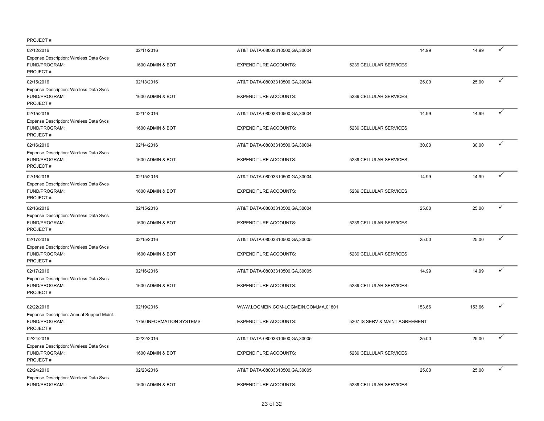| 02/12/2016                                                               | 02/11/2016               | AT&T DATA-08003310500, GA, 30004     |                                | 14.99  | 14.99  | ✓ |
|--------------------------------------------------------------------------|--------------------------|--------------------------------------|--------------------------------|--------|--------|---|
| Expense Description: Wireless Data Svcs<br>FUND/PROGRAM:<br>PROJECT#:    | 1600 ADMIN & BOT         | <b>EXPENDITURE ACCOUNTS:</b>         | 5239 CELLULAR SERVICES         |        |        |   |
| 02/15/2016                                                               | 02/13/2016               | AT&T DATA-08003310500, GA, 30004     |                                | 25.00  | 25.00  | ✓ |
| Expense Description: Wireless Data Svcs<br>FUND/PROGRAM:<br>PROJECT#:    | 1600 ADMIN & BOT         | <b>EXPENDITURE ACCOUNTS:</b>         | 5239 CELLULAR SERVICES         |        |        |   |
| 02/15/2016                                                               | 02/14/2016               | AT&T DATA-08003310500, GA, 30004     |                                | 14.99  | 14.99  | ✓ |
| Expense Description: Wireless Data Svcs<br>FUND/PROGRAM:<br>PROJECT#:    | 1600 ADMIN & BOT         | <b>EXPENDITURE ACCOUNTS:</b>         | 5239 CELLULAR SERVICES         |        |        |   |
| 02/16/2016                                                               | 02/14/2016               | AT&T DATA-08003310500, GA, 30004     |                                | 30.00  | 30.00  | ✓ |
| Expense Description: Wireless Data Svcs<br>FUND/PROGRAM:<br>PROJECT#:    | 1600 ADMIN & BOT         | <b>EXPENDITURE ACCOUNTS:</b>         | 5239 CELLULAR SERVICES         |        |        |   |
| 02/16/2016                                                               | 02/15/2016               | AT&T DATA-08003310500, GA, 30004     |                                | 14.99  | 14.99  | ✓ |
| Expense Description: Wireless Data Svcs<br>FUND/PROGRAM:<br>PROJECT#:    | 1600 ADMIN & BOT         | <b>EXPENDITURE ACCOUNTS:</b>         | 5239 CELLULAR SERVICES         |        |        |   |
| 02/16/2016                                                               | 02/15/2016               | AT&T DATA-08003310500, GA, 30004     |                                | 25.00  | 25.00  | ✓ |
| Expense Description: Wireless Data Svcs<br>FUND/PROGRAM:<br>PROJECT#:    | 1600 ADMIN & BOT         | <b>EXPENDITURE ACCOUNTS:</b>         | 5239 CELLULAR SERVICES         |        |        |   |
| 02/17/2016                                                               | 02/15/2016               | AT&T DATA-08003310500, GA, 30005     |                                | 25.00  | 25.00  | ✓ |
| Expense Description: Wireless Data Svcs<br>FUND/PROGRAM:<br>PROJECT#:    | 1600 ADMIN & BOT         | <b>EXPENDITURE ACCOUNTS:</b>         | 5239 CELLULAR SERVICES         |        |        |   |
| 02/17/2016                                                               | 02/16/2016               | AT&T DATA-08003310500, GA, 30005     |                                | 14.99  | 14.99  | ✓ |
| Expense Description: Wireless Data Svcs<br>FUND/PROGRAM:<br>PROJECT#:    | 1600 ADMIN & BOT         | <b>EXPENDITURE ACCOUNTS:</b>         | 5239 CELLULAR SERVICES         |        |        |   |
| 02/22/2016                                                               | 02/19/2016               | WWW.LOGMEIN.COM-LOGMEIN.COM,MA,01801 |                                | 153.66 | 153.66 | ✓ |
| Expense Description: Annual Support Maint.<br>FUND/PROGRAM:<br>PROJECT#: | 1750 INFORMATION SYSTEMS | <b>EXPENDITURE ACCOUNTS:</b>         | 5207 IS SERV & MAINT AGREEMENT |        |        |   |
| 02/24/2016                                                               | 02/22/2016               | AT&T DATA-08003310500, GA, 30005     |                                | 25.00  | 25.00  | ✓ |
| Expense Description: Wireless Data Svcs<br>FUND/PROGRAM:<br>PROJECT#:    | 1600 ADMIN & BOT         | <b>EXPENDITURE ACCOUNTS:</b>         | 5239 CELLULAR SERVICES         |        |        |   |
| 02/24/2016                                                               | 02/23/2016               | AT&T DATA-08003310500, GA, 30005     |                                | 25.00  | 25.00  | ✓ |
| Expense Description: Wireless Data Svcs<br>FUND/PROGRAM:                 | 1600 ADMIN & BOT         | <b>EXPENDITURE ACCOUNTS:</b>         | 5239 CELLULAR SERVICES         |        |        |   |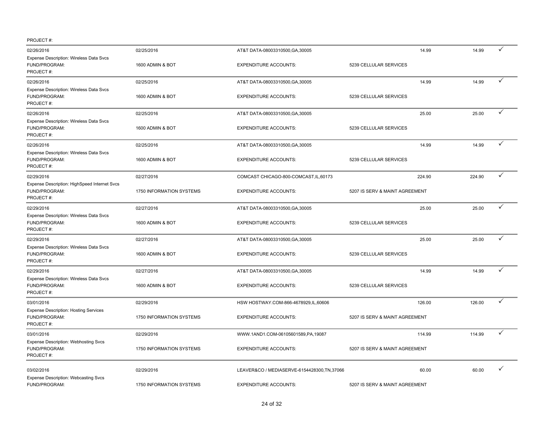| 02/26/2016                                                                 | 02/25/2016               | AT&T DATA-08003310500, GA, 30005           | 14.99                          | 14.99  | ✓            |
|----------------------------------------------------------------------------|--------------------------|--------------------------------------------|--------------------------------|--------|--------------|
| Expense Description: Wireless Data Svcs<br>FUND/PROGRAM:<br>PROJECT#:      | 1600 ADMIN & BOT         | <b>EXPENDITURE ACCOUNTS:</b>               | 5239 CELLULAR SERVICES         |        |              |
| 02/26/2016                                                                 | 02/25/2016               | AT&T DATA-08003310500, GA, 30005           | 14.99                          | 14.99  | ✓            |
| Expense Description: Wireless Data Svcs<br>FUND/PROGRAM:<br>PROJECT#:      | 1600 ADMIN & BOT         | <b>EXPENDITURE ACCOUNTS:</b>               | 5239 CELLULAR SERVICES         |        |              |
| 02/26/2016                                                                 | 02/25/2016               | AT&T DATA-08003310500, GA, 30005           | 25.00                          | 25.00  | $\checkmark$ |
| Expense Description: Wireless Data Svcs<br>FUND/PROGRAM:<br>PROJECT#:      | 1600 ADMIN & BOT         | <b>EXPENDITURE ACCOUNTS:</b>               | 5239 CELLULAR SERVICES         |        |              |
| 02/26/2016                                                                 | 02/25/2016               | AT&T DATA-08003310500, GA, 30005           | 14.99                          | 14.99  | ✓            |
| Expense Description: Wireless Data Svcs<br>FUND/PROGRAM:<br>PROJECT#:      | 1600 ADMIN & BOT         | <b>EXPENDITURE ACCOUNTS:</b>               | 5239 CELLULAR SERVICES         |        |              |
| 02/29/2016                                                                 | 02/27/2016               | COMCAST CHICAGO-800-COMCAST, IL, 60173     | 224.90                         | 224.90 | $\checkmark$ |
| Expense Description: HighSpeed Internet Svcs<br>FUND/PROGRAM:<br>PROJECT#: | 1750 INFORMATION SYSTEMS | <b>EXPENDITURE ACCOUNTS:</b>               | 5207 IS SERV & MAINT AGREEMENT |        |              |
| 02/29/2016                                                                 | 02/27/2016               | AT&T DATA-08003310500, GA, 30005           | 25.00                          | 25.00  | ✓            |
| Expense Description: Wireless Data Svcs<br>FUND/PROGRAM:<br>PROJECT#:      | 1600 ADMIN & BOT         | <b>EXPENDITURE ACCOUNTS:</b>               | 5239 CELLULAR SERVICES         |        |              |
| 02/29/2016                                                                 | 02/27/2016               | AT&T DATA-08003310500, GA, 30005           | 25.00                          | 25.00  | ✓            |
| Expense Description: Wireless Data Svcs<br>FUND/PROGRAM:<br>PROJECT#:      | 1600 ADMIN & BOT         | <b>EXPENDITURE ACCOUNTS:</b>               | 5239 CELLULAR SERVICES         |        |              |
| 02/29/2016                                                                 | 02/27/2016               | AT&T DATA-08003310500, GA, 30005           | 14.99                          | 14.99  | ✓            |
| Expense Description: Wireless Data Svcs<br>FUND/PROGRAM:<br>PROJECT#:      | 1600 ADMIN & BOT         | <b>EXPENDITURE ACCOUNTS:</b>               | 5239 CELLULAR SERVICES         |        |              |
| 03/01/2016                                                                 | 02/29/2016               | HSW HOSTWAY.COM-866-4678929,IL,60606       | 126.00                         | 126.00 | ✓            |
| <b>Expense Description: Hosting Services</b><br>FUND/PROGRAM:<br>PROJECT#: | 1750 INFORMATION SYSTEMS | <b>EXPENDITURE ACCOUNTS:</b>               | 5207 IS SERV & MAINT AGREEMENT |        |              |
| 03/01/2016                                                                 | 02/29/2016               | WWW.1AND1.COM-06105601589,PA,19087         | 114.99                         | 114.99 | ✓            |
| <b>Expense Description: Webhosting Svcs</b><br>FUND/PROGRAM:<br>PROJECT#:  | 1750 INFORMATION SYSTEMS | <b>EXPENDITURE ACCOUNTS:</b>               | 5207 IS SERV & MAINT AGREEMENT |        |              |
| 03/02/2016                                                                 | 02/29/2016               | LEAVER&CO / MEDIASERVE-6154428300,TN,37066 | 60.00                          | 60.00  | $\checkmark$ |
| <b>Expense Description: Webcasting Svcs</b><br>FUND/PROGRAM:               | 1750 INFORMATION SYSTEMS | <b>EXPENDITURE ACCOUNTS:</b>               | 5207 IS SERV & MAINT AGREEMENT |        |              |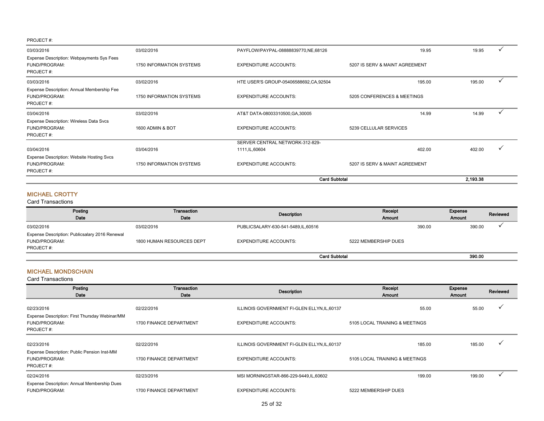|                                                                                |                          | <b>Card Subtotal</b>                    |                                | 2.193.38 |   |
|--------------------------------------------------------------------------------|--------------------------|-----------------------------------------|--------------------------------|----------|---|
| <b>Expense Description: Website Hosting Svcs</b><br>FUND/PROGRAM:<br>PROJECT#: | 1750 INFORMATION SYSTEMS | <b>EXPENDITURE ACCOUNTS:</b>            | 5207 IS SERV & MAINT AGREEMENT |          |   |
| 03/04/2016                                                                     | 03/04/2016               | 1111, IL, 60604                         | 402.00                         | 402.00   |   |
|                                                                                |                          | SERVER CENTRAL NETWORK-312-829-         |                                |          |   |
| Expense Description: Wireless Data Svcs<br>FUND/PROGRAM:<br>PROJECT#:          | 1600 ADMIN & BOT         | <b>EXPENDITURE ACCOUNTS:</b>            | 5239 CELLULAR SERVICES         |          |   |
| 03/04/2016                                                                     | 03/02/2016               | AT&T DATA-08003310500, GA, 30005        | 14.99                          | 14.99    |   |
| Expense Description: Annual Membership Fee<br>FUND/PROGRAM:<br>PROJECT#:       | 1750 INFORMATION SYSTEMS | <b>EXPENDITURE ACCOUNTS:</b>            | 5205 CONFERENCES & MEETINGS    |          |   |
| 03/03/2016                                                                     | 03/02/2016               | HTE USER'S GROUP-05406588692, CA, 92504 | 195.00                         | 195.00   | ✓ |
| Expense Description: Webpayments Sys Fees<br>FUND/PROGRAM:<br>PROJECT#:        | 1750 INFORMATION SYSTEMS | <b>EXPENDITURE ACCOUNTS:</b>            | 5207 IS SERV & MAINT AGREEMENT |          |   |
| 03/03/2016                                                                     | 03/02/2016               | PAYFLOW/PAYPAL-08888839770, NE, 68126   | 19.95                          | 19.95    |   |

#### MICHAEL CROTTY

#### Card Transactions

| Posting                                        | Transaction               | Description                          | Receipt              |        | Expense | Reviewed |
|------------------------------------------------|---------------------------|--------------------------------------|----------------------|--------|---------|----------|
| Date                                           | Date                      |                                      | Amount               |        | Amount  |          |
| 03/02/2016                                     | 03/02/2016                | PUBLICSALARY-630-541-5489, IL, 60516 |                      | 390.00 | 390.00  |          |
| Expense Description: Publicsalary 2016 Renewal |                           |                                      |                      |        |         |          |
| FUND/PROGRAM:                                  | 1800 HUMAN RESOURCES DEPT | <b>EXPENDITURE ACCOUNTS:</b>         | 5222 MEMBERSHIP DUES |        |         |          |
| PROJECT#:                                      |                           |                                      |                      |        |         |          |
|                                                |                           | <b>Card Subtotal</b>                 |                      |        | 390.00  |          |

#### MICHAEL MONDSCHAIN

| Posting<br>Date                                                              | Transaction<br>Date     | <b>Description</b>                           | Receipt<br>Amount              | Expense<br>Amount | Reviewed             |
|------------------------------------------------------------------------------|-------------------------|----------------------------------------------|--------------------------------|-------------------|----------------------|
| 02/23/2016                                                                   | 02/22/2016              | ILLINOIS GOVERNMENT FI-GLEN ELLYN, IL, 60137 | 55.00                          | 55.00             | ✓                    |
| Expense Description: First Thursday Webinar/MM<br>FUND/PROGRAM:<br>PROJECT#: | 1700 FINANCE DEPARTMENT | <b>EXPENDITURE ACCOUNTS:</b>                 | 5105 LOCAL TRAINING & MEETINGS |                   |                      |
| 02/23/2016<br>Expense Description: Public Pension Inst-MM                    | 02/22/2016              | ILLINOIS GOVERNMENT FI-GLEN ELLYN, IL, 60137 | 185.00                         | 185.00            | ✓                    |
| FUND/PROGRAM:<br>PROJECT#:                                                   | 1700 FINANCE DEPARTMENT | <b>EXPENDITURE ACCOUNTS:</b>                 | 5105 LOCAL TRAINING & MEETINGS |                   |                      |
| 02/24/2016                                                                   | 02/23/2016              | MSI MORNINGSTAR-866-229-9449, IL, 60602      | 199.00                         | 199.00            | $\ddot{\phantom{0}}$ |
| Expense Description: Annual Membership Dues<br>FUND/PROGRAM:                 | 1700 FINANCE DEPARTMENT | <b>EXPENDITURE ACCOUNTS:</b>                 | 5222 MEMBERSHIP DUES           |                   |                      |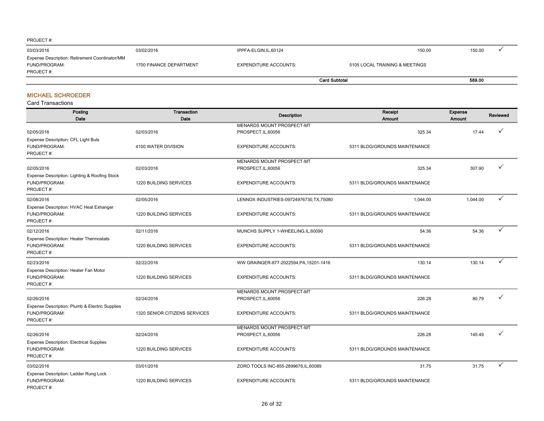| PROJECT#:                                             |                         |                              |                                |        |
|-------------------------------------------------------|-------------------------|------------------------------|--------------------------------|--------|
| 03/03/2016                                            | 03/02/2016              | IPPFA-ELGIN, IL, 60124       | 150.00                         | 150.00 |
| <b>Expense Description: Retirement Coordinator/MM</b> |                         |                              |                                |        |
| FUND/PROGRAM:                                         | 1700 FINANCE DEPARTMENT | <b>EXPENDITURE ACCOUNTS:</b> | 5105 LOCAL TRAINING & MEETINGS |        |
| PROJECT#:                                             |                         |                              |                                |        |
|                                                       |                         |                              | <b>Card Subtotal</b>           | 589.00 |

#### MICHAEL SCHROEDER

| Posting<br>Date                                                                             | Transaction<br>Date                         | <b>Description</b>                                  | Receipt<br>Amount                       | Expense<br><b>Amount</b> | <b>Reviewed</b> |
|---------------------------------------------------------------------------------------------|---------------------------------------------|-----------------------------------------------------|-----------------------------------------|--------------------------|-----------------|
| 02/05/2016                                                                                  | 02/03/2016                                  | MENARDS MOUNT PROSPECT-MT<br>PROSPECT, IL, 60056    | 325.34                                  | 17.44                    |                 |
| Expense Description: CFL Light Buls<br>FUND/PROGRAM:<br>PROJECT#:                           | 4100 WATER DIVISION                         | <b>EXPENDITURE ACCOUNTS:</b>                        | 5311 BLDG/GROUNDS MAINTENANCE           |                          |                 |
| 02/05/2016                                                                                  | 02/03/2016                                  | MENARDS MOUNT PROSPECT-MT<br>PROSPECT, IL, 60056    | 325.34                                  | 307.90                   |                 |
| Expense Description: Lighting & Roofing Stock<br>FUND/PROGRAM:<br>PROJECT#:                 | 1220 BUILDING SERVICES                      | <b>EXPENDITURE ACCOUNTS:</b>                        | 5311 BLDG/GROUNDS MAINTENANCE           |                          |                 |
| 02/08/2016                                                                                  | 02/05/2016                                  | LENNOX INDUSTRIES-09724976730, TX, 75080            | 1,044.00                                | 1,044.00                 | ✓               |
| Expense Description: HVAC Heat Exhanger<br>FUND/PROGRAM:<br>PROJECT#:                       | 1220 BUILDING SERVICES                      | <b>EXPENDITURE ACCOUNTS:</b>                        | 5311 BLDG/GROUNDS MAINTENANCE           |                          |                 |
| 02/12/2016                                                                                  | 02/11/2016                                  | MUNCHS SUPPLY 1-WHEELING, IL, 60090                 | 54.36                                   | 54.36                    | ✓               |
| <b>Expense Description: Heater Thermostats</b><br>FUND/PROGRAM:<br>PROJECT#:                | 1220 BUILDING SERVICES                      | <b>EXPENDITURE ACCOUNTS:</b>                        | 5311 BLDG/GROUNDS MAINTENANCE           |                          |                 |
| 02/23/2016                                                                                  | 02/22/2016                                  | WW GRAINGER-877-2022594, PA, 15201-1416             | 130.14                                  | 130.14                   | ✓               |
| Expense Description: Heater Fan Motor<br>FUND/PROGRAM:<br>PROJECT#:                         | 1220 BUILDING SERVICES                      | <b>EXPENDITURE ACCOUNTS:</b>                        | 5311 BLDG/GROUNDS MAINTENANCE           |                          |                 |
|                                                                                             |                                             | MENARDS MOUNT PROSPECT-MT                           |                                         |                          | ✓               |
| 02/26/2016<br>Expense Description: Plumb & Electric Supplies<br>FUND/PROGRAM:<br>PROJECT#:  | 02/24/2016<br>1320 SENIOR CITIZENS SERVICES | PROSPECT, IL, 60056<br><b>EXPENDITURE ACCOUNTS:</b> | 226.28<br>5311 BLDG/GROUNDS MAINTENANCE | 80.79                    |                 |
|                                                                                             |                                             | MENARDS MOUNT PROSPECT-MT                           |                                         |                          |                 |
| 02/26/2016<br><b>Expense Description: Electrical Supplies</b><br>FUND/PROGRAM:<br>PROJECT#: | 02/24/2016<br>1220 BUILDING SERVICES        | PROSPECT, IL, 60056<br><b>EXPENDITURE ACCOUNTS:</b> | 226.28<br>5311 BLDG/GROUNDS MAINTENANCE | 145.49                   |                 |
| 03/02/2016                                                                                  | 03/01/2016                                  | ZORO TOOLS INC-855-2899676, IL, 60089               | 31.75                                   | 31.75                    | ✓               |
| Expense Description: Ladder Rung Lock<br>FUND/PROGRAM:<br>PROJECT#:                         | 1220 BUILDING SERVICES                      | <b>EXPENDITURE ACCOUNTS:</b>                        | 5311 BLDG/GROUNDS MAINTENANCE           |                          |                 |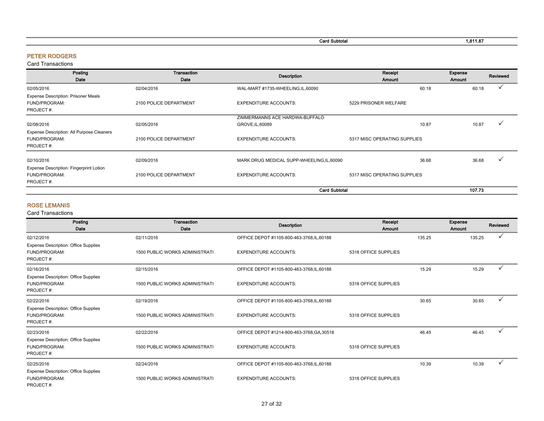| . .<br>∵ard Subtotal<br>------ | 1.811.87 |
|--------------------------------|----------|
|                                |          |

#### PETER RODGERS

Card Transactions

| Posting<br>Date                                                          | Transaction<br>Date    | <b>Description</b>                         | Receipt<br>Amount            |       | Expense<br>Amount | Reviewed |
|--------------------------------------------------------------------------|------------------------|--------------------------------------------|------------------------------|-------|-------------------|----------|
| 02/05/2016                                                               | 02/04/2016             | WAL-MART #1735-WHEELING,IL,60090           |                              | 60.18 | 60.18             |          |
| <b>Expense Description: Prisoner Meals</b><br>FUND/PROGRAM:<br>PROJECT#: | 2100 POLICE DEPARTMENT | <b>EXPENDITURE ACCOUNTS:</b>               | 5229 PRISONER WELFARE        |       |                   |          |
|                                                                          |                        | ZIMMERMANNS ACE HARDWA-BUFFALO             |                              |       |                   |          |
| 02/08/2016                                                               | 02/05/2016             | GROVE, IL, 60089                           |                              | 10.87 | 10.87             |          |
| Expense Description: All Purpose Cleaners<br>FUND/PROGRAM:<br>PROJECT#:  | 2100 POLICE DEPARTMENT | <b>EXPENDITURE ACCOUNTS:</b>               | 5317 MISC OPERATING SUPPLIES |       |                   |          |
| 02/10/2016                                                               | 02/09/2016             | MARK DRUG MEDICAL SUPP-WHEELING, IL, 60090 |                              | 36.68 | 36.68             |          |
| <b>Expense Description: Fingerprint Lotion</b>                           |                        |                                            |                              |       |                   |          |
| FUND/PROGRAM:<br>PROJECT#:                                               | 2100 POLICE DEPARTMENT | <b>EXPENDITURE ACCOUNTS:</b>               | 5317 MISC OPERATING SUPPLIES |       |                   |          |
|                                                                          |                        | <b>Card Subtotal</b>                       |                              |       | 107.73            |          |

#### ROSE LEMANIS

| Posting<br>Date                                                           | Transaction<br>Date                   | <b>Description</b>                         | Receipt<br><b>Amount</b> |        | <b>Expense</b><br>Amount | Reviewed     |
|---------------------------------------------------------------------------|---------------------------------------|--------------------------------------------|--------------------------|--------|--------------------------|--------------|
| 02/12/2016                                                                | 02/11/2016                            | OFFICE DEPOT #1105-800-463-3768, IL, 60188 |                          | 135.25 | 135.25                   | $\checkmark$ |
| <b>Expense Description: Office Supplies</b><br>FUND/PROGRAM:<br>PROJECT#: | <b>1500 PUBLIC WORKS ADMINISTRATI</b> | <b>EXPENDITURE ACCOUNTS:</b>               | 5318 OFFICE SUPPLIES     |        |                          |              |
| 02/16/2016                                                                | 02/15/2016                            | OFFICE DEPOT #1105-800-463-3768, IL, 60188 |                          | 15.29  | 15.29                    | $\checkmark$ |
| <b>Expense Description: Office Supplies</b><br>FUND/PROGRAM:<br>PROJECT#: | <b>1500 PUBLIC WORKS ADMINISTRATI</b> | <b>EXPENDITURE ACCOUNTS:</b>               | 5318 OFFICE SUPPLIES     |        |                          |              |
| 02/22/2016                                                                | 02/19/2016                            | OFFICE DEPOT #1105-800-463-3768, IL, 60188 |                          | 30.65  | 30.65                    | ✓            |
| <b>Expense Description: Office Supplies</b><br>FUND/PROGRAM:<br>PROJECT#: | <b>1500 PUBLIC WORKS ADMINISTRATI</b> | <b>EXPENDITURE ACCOUNTS:</b>               | 5318 OFFICE SUPPLIES     |        |                          |              |
| 02/23/2016                                                                | 02/22/2016                            | OFFICE DEPOT #1214-800-463-3768, GA, 30518 |                          | 46.45  | 46.45                    | ✓            |
| <b>Expense Description: Office Supplies</b><br>FUND/PROGRAM:<br>PROJECT#: | <b>1500 PUBLIC WORKS ADMINISTRATI</b> | <b>EXPENDITURE ACCOUNTS:</b>               | 5318 OFFICE SUPPLIES     |        |                          |              |
| 02/25/2016                                                                | 02/24/2016                            | OFFICE DEPOT #1105-800-463-3768, IL, 60188 |                          | 10.39  | 10.39                    | ✓            |
| <b>Expense Description: Office Supplies</b><br>FUND/PROGRAM:<br>PROJECT#: | <b>1500 PUBLIC WORKS ADMINISTRATI</b> | <b>EXPENDITURE ACCOUNTS:</b>               | 5318 OFFICE SUPPLIES     |        |                          |              |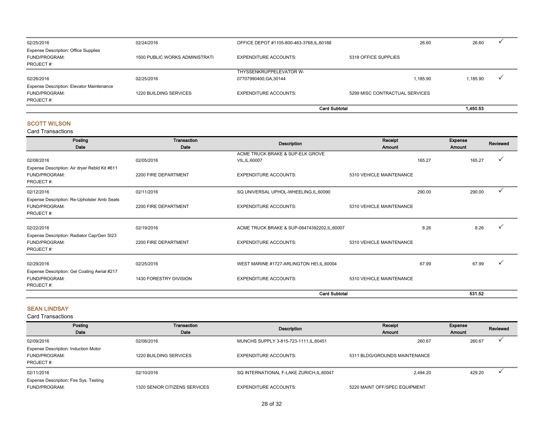| 02/25/2016                                                   | 02/24/2016                            | OFFICE DEPOT #1105-800-463-3768, IL, 60188 | 26.60                          | 26.60    |  |
|--------------------------------------------------------------|---------------------------------------|--------------------------------------------|--------------------------------|----------|--|
| <b>Expense Description: Office Supplies</b><br>FUND/PROGRAM: | <b>1500 PUBLIC WORKS ADMINISTRATI</b> | <b>EXPENDITURE ACCOUNTS:</b>               | 5318 OFFICE SUPPLIES           |          |  |
| PROJECT#:                                                    |                                       |                                            |                                |          |  |
|                                                              |                                       | THYSSENKRUPPELEVATOR W-                    |                                |          |  |
| 02/26/2016                                                   | 02/25/2016                            | 07707990400, GA, 30144                     | 1.185.90                       | 1,185.90 |  |
| <b>Expense Description: Elevator Maintenance</b>             |                                       |                                            |                                |          |  |
| FUND/PROGRAM:                                                | 1220 BUILDING SERVICES                | EXPENDITURE ACCOUNTS:                      | 5299 MISC CONTRACTUAL SERVICES |          |  |
| PROJECT#:                                                    |                                       |                                            |                                |          |  |
|                                                              |                                       | <b>Card Subtotal</b>                       |                                | 1,450.53 |  |

#### SCOTT WILSON

Card Transactions

| Posting<br>Date                               | <b>Transaction</b><br>Date | <b>Description</b>                            | Receipt<br><b>Amount</b> |        | Expense<br>Amount | Reviewed     |
|-----------------------------------------------|----------------------------|-----------------------------------------------|--------------------------|--------|-------------------|--------------|
|                                               |                            | ACME TRUCK BRAKE & SUP-ELK GROVE              |                          |        |                   |              |
| 02/08/2016                                    | 02/05/2016                 | VIL, IL, 60007                                |                          | 165.27 | 165.27            |              |
| Expense Description: Air dryer Rebld Kit #611 |                            |                                               |                          |        |                   |              |
| FUND/PROGRAM:                                 | 2200 FIRE DEPARTMENT       | <b>EXPENDITURE ACCOUNTS:</b>                  | 5310 VEHICLE MAINTENANCE |        |                   |              |
| PROJECT#:                                     |                            |                                               |                          |        |                   |              |
| 02/12/2016                                    | 02/11/2016                 | SQ UNIVERSAL UPHOL-WHEELING, IL, 60090        |                          | 290.00 | 290.00            | $\checkmark$ |
| Expense Description: Re-Upholster Amb Seats   |                            |                                               |                          |        |                   |              |
| FUND/PROGRAM:                                 | 2200 FIRE DEPARTMENT       | <b>EXPENDITURE ACCOUNTS:</b>                  | 5310 VEHICLE MAINTENANCE |        |                   |              |
| PROJECT#:                                     |                            |                                               |                          |        |                   |              |
| 02/22/2016                                    | 02/19/2016                 | ACME TRUCK BRAKE & SUP-08474392202, IL, 60007 |                          | 8.26   | 8.26              |              |
| Expense Description: Radiator Cap/Gen St23    |                            |                                               |                          |        |                   |              |
| FUND/PROGRAM:                                 | 2200 FIRE DEPARTMENT       | <b>EXPENDITURE ACCOUNTS:</b>                  | 5310 VEHICLE MAINTENANCE |        |                   |              |
| PROJECT#:                                     |                            |                                               |                          |        |                   |              |
| 02/29/2016                                    | 02/25/2016                 | WEST MARINE #1727-ARLINGTON HEI, IL, 60004    |                          | 67.99  | 67.99             |              |
| Expense Description: Gel Coating Aerial #217  |                            |                                               |                          |        |                   |              |
| FUND/PROGRAM:                                 | 1430 FORESTRY DIVISION     | <b>EXPENDITURE ACCOUNTS:</b>                  | 5310 VEHICLE MAINTENANCE |        |                   |              |
| PROJECT#:                                     |                            |                                               |                          |        |                   |              |
|                                               |                            |                                               |                          |        |                   |              |
|                                               |                            | <b>Card Subtotal</b>                          |                          |        | 531.52            |              |

#### SEAN LINDSAY

| Posting<br>Date                                                           | Transaction<br>Date           | Description                               | Receipt<br>Amount             | Expense<br>Amount | Reviewed |
|---------------------------------------------------------------------------|-------------------------------|-------------------------------------------|-------------------------------|-------------------|----------|
| 02/09/2016                                                                | 02/08/2016                    | MUNCHS SUPPLY 3-815-723-1111, IL, 60451   | 260.67                        | 260.67            |          |
| <b>Expense Description: Induction Motor</b><br>FUND/PROGRAM:<br>PROJECT#: | 1220 BUILDING SERVICES        | <b>EXPENDITURE ACCOUNTS:</b>              | 5311 BLDG/GROUNDS MAINTENANCE |                   |          |
| 02/11/2016                                                                | 02/10/2016                    | SQ INTERNATIONAL F-LAKE ZURICH, IL, 60047 | 2.494.20                      | 429.20            |          |
| Expense Description: Fire Sys. Testing<br>FUND/PROGRAM:                   | 1320 SENIOR CITIZENS SERVICES | <b>EXPENDITURE ACCOUNTS:</b>              | 5220 MAINT OFF/SPEC EQUIPMENT |                   |          |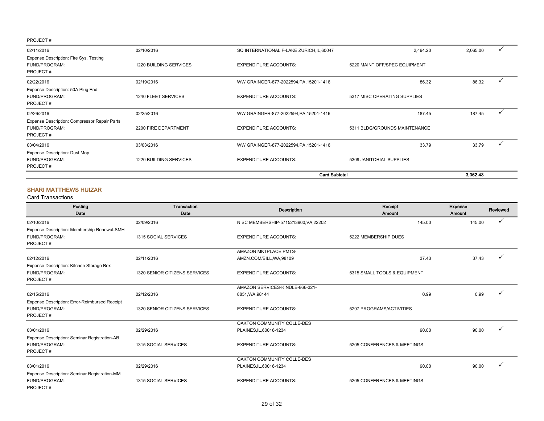|                                                                            |                        | <b>Card Subtotal</b>                      |                               | 3.062.43 |  |
|----------------------------------------------------------------------------|------------------------|-------------------------------------------|-------------------------------|----------|--|
| Expense Description: Dust Mop<br>FUND/PROGRAM:<br>PROJECT#:                | 1220 BUILDING SERVICES | <b>EXPENDITURE ACCOUNTS:</b>              | 5309 JANITORIAL SUPPLIES      |          |  |
| 03/04/2016                                                                 | 03/03/2016             | WW GRAINGER-877-2022594, PA, 15201-1416   | 33.79                         | 33.79    |  |
| Expense Description: Compressor Repair Parts<br>FUND/PROGRAM:<br>PROJECT#: | 2200 FIRE DEPARTMENT   | <b>EXPENDITURE ACCOUNTS:</b>              | 5311 BLDG/GROUNDS MAINTENANCE |          |  |
| 02/26/2016                                                                 | 02/25/2016             | WW GRAINGER-877-2022594, PA, 15201-1416   | 187.45                        | 187.45   |  |
| Expense Description: 50A Plug End<br>FUND/PROGRAM:<br>PROJECT#:            | 1240 FLEET SERVICES    | <b>EXPENDITURE ACCOUNTS:</b>              | 5317 MISC OPERATING SUPPLIES  |          |  |
| 02/22/2016                                                                 | 02/19/2016             | WW GRAINGER-877-2022594, PA, 15201-1416   | 86.32                         | 86.32    |  |
| Expense Description: Fire Sys. Testing<br>FUND/PROGRAM:<br>PROJECT#:       | 1220 BUILDING SERVICES | <b>EXPENDITURE ACCOUNTS:</b>              | 5220 MAINT OFF/SPEC EQUIPMENT |          |  |
| 02/11/2016                                                                 | 02/10/2016             | SQ INTERNATIONAL F-LAKE ZURICH, IL, 60047 | 2,494.20                      | 2,065.00 |  |

#### SHARI MATTHEWS HUIZAR

| Posting<br>Date                                                             | <b>Transaction</b><br>Date    | <b>Description</b>                    | Receipt<br>Amount            | <b>Expense</b><br>Amount | <b>Reviewed</b> |
|-----------------------------------------------------------------------------|-------------------------------|---------------------------------------|------------------------------|--------------------------|-----------------|
| 02/10/2016                                                                  | 02/09/2016                    | NISC MEMBERSHIP-5715213900, VA, 22202 | 145.00                       | 145.00                   |                 |
| Expense Description: Membership Renewal-SMH<br>FUND/PROGRAM:<br>PROJECT#:   | 1315 SOCIAL SERVICES          | <b>EXPENDITURE ACCOUNTS:</b>          | 5222 MEMBERSHIP DUES         |                          |                 |
|                                                                             |                               | AMAZON MKTPLACE PMTS-                 |                              |                          |                 |
| 02/12/2016                                                                  | 02/11/2016                    | AMZN.COM/BILL, WA, 98109              | 37.43                        | 37.43                    |                 |
| Expense Description: Kitchen Storage Box<br>FUND/PROGRAM:<br>PROJECT#:      | 1320 SENIOR CITIZENS SERVICES | <b>EXPENDITURE ACCOUNTS:</b>          | 5315 SMALL TOOLS & EQUIPMENT |                          |                 |
|                                                                             |                               | AMAZON SERVICES-KINDLE-866-321-       |                              |                          |                 |
| 02/15/2016                                                                  | 02/12/2016                    | 8851, WA, 98144                       | 0.99                         | 0.99                     |                 |
| Expense Description: Error-Reimbursed Receipt<br>FUND/PROGRAM:<br>PROJECT#: | 1320 SENIOR CITIZENS SERVICES | <b>EXPENDITURE ACCOUNTS:</b>          | 5297 PROGRAMS/ACTIVITIES     |                          |                 |
|                                                                             |                               | OAKTON COMMUNITY COLLE-DES            |                              |                          |                 |
| 03/01/2016                                                                  | 02/29/2016                    | PLAINES, IL, 60016-1234               | 90.00                        | 90.00                    |                 |
| Expense Description: Seminar Registration-AB<br>FUND/PROGRAM:<br>PROJECT#:  | 1315 SOCIAL SERVICES          | <b>EXPENDITURE ACCOUNTS:</b>          | 5205 CONFERENCES & MEETINGS  |                          |                 |
|                                                                             |                               | OAKTON COMMUNITY COLLE-DES            |                              |                          |                 |
| 03/01/2016                                                                  | 02/29/2016                    | PLAINES, IL, 60016-1234               | 90.00                        | 90.00                    |                 |
| Expense Description: Seminar Registration-MM<br>FUND/PROGRAM:<br>PROJECT#:  | 1315 SOCIAL SERVICES          | <b>EXPENDITURE ACCOUNTS:</b>          | 5205 CONFERENCES & MEETINGS  |                          |                 |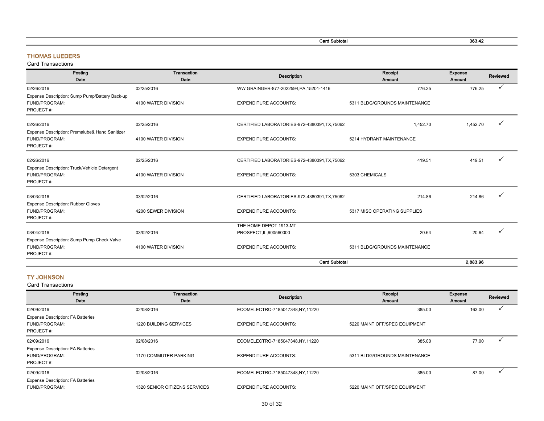Card Subtotal 363.42

#### THOMAS LUEDERS

Card Transactions

| Posting<br>Date                                                              | Transaction<br>Date | Receipt<br><b>Description</b><br>Amount       |                               | Expense<br>Amount | Reviewed |
|------------------------------------------------------------------------------|---------------------|-----------------------------------------------|-------------------------------|-------------------|----------|
| 02/26/2016                                                                   | 02/25/2016          | WW GRAINGER-877-2022594, PA, 15201-1416       | 776.25                        | 776.25            |          |
| Expense Description: Sump Pump/Battery Back-up<br>FUND/PROGRAM:<br>PROJECT#: | 4100 WATER DIVISION | <b>EXPENDITURE ACCOUNTS:</b>                  | 5311 BLDG/GROUNDS MAINTENANCE |                   |          |
| 02/26/2016                                                                   | 02/25/2016          | CERTIFIED LABORATORIES-972-4380391, TX, 75062 | 1,452.70                      | 1,452.70          |          |
| Expense Description: Premalube& Hand Sanitizer<br>FUND/PROGRAM:<br>PROJECT#: | 4100 WATER DIVISION | <b>EXPENDITURE ACCOUNTS:</b>                  | 5214 HYDRANT MAINTENANCE      |                   |          |
| 02/26/2016<br>Expense Description: Truck/Vehicle Detergent                   | 02/25/2016          | CERTIFIED LABORATORIES-972-4380391, TX, 75062 | 419.51                        | 419.51            |          |
| FUND/PROGRAM:<br>PROJECT#:                                                   | 4100 WATER DIVISION | <b>EXPENDITURE ACCOUNTS:</b>                  | 5303 CHEMICALS                |                   |          |
| 03/03/2016<br><b>Expense Description: Rubber Gloves</b>                      | 03/02/2016          | CERTIFIED LABORATORIES-972-4380391, TX, 75062 | 214.86                        | 214.86            |          |
| FUND/PROGRAM:<br>PROJECT#:                                                   | 4200 SEWER DIVISION | <b>EXPENDITURE ACCOUNTS:</b>                  | 5317 MISC OPERATING SUPPLIES  |                   |          |
|                                                                              |                     | THE HOME DEPOT 1913-MT                        |                               |                   |          |
| 03/04/2016<br>Expense Description: Sump Pump Check Valve                     | 03/02/2016          | PROSPECT, IL, 600560000                       | 20.64                         | 20.64             |          |
| FUND/PROGRAM:<br>PROJECT#:                                                   | 4100 WATER DIVISION | <b>EXPENDITURE ACCOUNTS:</b>                  | 5311 BLDG/GROUNDS MAINTENANCE |                   |          |
|                                                                              |                     | <b>Card Subtotal</b>                          |                               | 2,883.96          |          |

#### TY JOHNSON

| Posting                                  | Transaction                   | <b>Description</b>              | Receipt                       | Expense | Reviewed |
|------------------------------------------|-------------------------------|---------------------------------|-------------------------------|---------|----------|
| Date                                     | Date                          |                                 | Amount                        | Amount  |          |
| 02/09/2016                               | 02/08/2016                    | ECOMELECTRO-7185047348,NY,11220 | 385.00                        | 163.00  |          |
| <b>Expense Description: FA Batteries</b> |                               |                                 |                               |         |          |
| FUND/PROGRAM:                            | 1220 BUILDING SERVICES        | <b>EXPENDITURE ACCOUNTS:</b>    | 5220 MAINT OFF/SPEC EQUIPMENT |         |          |
| PROJECT#:                                |                               |                                 |                               |         |          |
| 02/09/2016                               | 02/08/2016                    | ECOMELECTRO-7185047348,NY,11220 | 385.00                        | 77.00   |          |
| <b>Expense Description: FA Batteries</b> |                               |                                 |                               |         |          |
| FUND/PROGRAM:                            | 1170 COMMUTER PARKING         | <b>EXPENDITURE ACCOUNTS:</b>    | 5311 BLDG/GROUNDS MAINTENANCE |         |          |
| PROJECT#:                                |                               |                                 |                               |         |          |
| 02/09/2016                               | 02/08/2016                    | ECOMELECTRO-7185047348,NY,11220 | 385.00                        | 87.00   |          |
| <b>Expense Description: FA Batteries</b> |                               |                                 |                               |         |          |
| FUND/PROGRAM:                            | 1320 SENIOR CITIZENS SERVICES | <b>EXPENDITURE ACCOUNTS:</b>    | 5220 MAINT OFF/SPEC EQUIPMENT |         |          |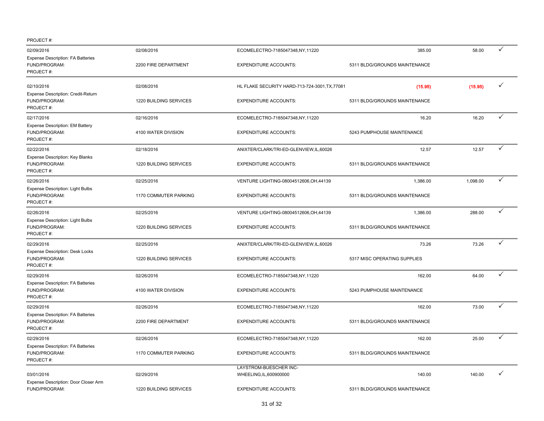| 02/09/2016                                                             | 02/08/2016             | ECOMELECTRO-7185047348,NY,11220                   | 385.00                        | 58.00    | ✓            |
|------------------------------------------------------------------------|------------------------|---------------------------------------------------|-------------------------------|----------|--------------|
| <b>Expense Description: FA Batteries</b><br>FUND/PROGRAM:<br>PROJECT#: | 2200 FIRE DEPARTMENT   | <b>EXPENDITURE ACCOUNTS:</b>                      | 5311 BLDG/GROUNDS MAINTENANCE |          |              |
| 02/10/2016                                                             | 02/08/2016             | HL FLAKE SECURITY HARD-713-724-3001, TX, 77081    | (15.95)                       | (15.95)  | $\checkmark$ |
| Expense Description: Credit-Return<br>FUND/PROGRAM:<br>PROJECT#:       | 1220 BUILDING SERVICES | <b>EXPENDITURE ACCOUNTS:</b>                      | 5311 BLDG/GROUNDS MAINTENANCE |          |              |
| 02/17/2016                                                             | 02/16/2016             | ECOMELECTRO-7185047348,NY,11220                   | 16.20                         | 16.20    | $\checkmark$ |
| Expense Description: EM Battery<br>FUND/PROGRAM:<br>PROJECT#:          | 4100 WATER DIVISION    | <b>EXPENDITURE ACCOUNTS:</b>                      | 5243 PUMPHOUSE MAINTENANCE    |          |              |
| 02/22/2016                                                             | 02/18/2016             | ANIXTER/CLARK/TRI-ED-GLENVIEW,IL,60026            | 12.57                         | 12.57    | ✓            |
| Expense Description: Key Blanks<br>FUND/PROGRAM:<br>PROJECT#:          | 1220 BUILDING SERVICES | <b>EXPENDITURE ACCOUNTS:</b>                      | 5311 BLDG/GROUNDS MAINTENANCE |          |              |
| 02/26/2016                                                             | 02/25/2016             | VENTURE LIGHTING-08004512606, OH, 44139           | 1,386.00                      | 1,098.00 | ✓            |
| Expense Description: Light Bulbs<br>FUND/PROGRAM:<br>PROJECT#:         | 1170 COMMUTER PARKING  | <b>EXPENDITURE ACCOUNTS:</b>                      | 5311 BLDG/GROUNDS MAINTENANCE |          |              |
| 02/26/2016                                                             | 02/25/2016             | VENTURE LIGHTING-08004512606, OH, 44139           | 1,386.00                      | 288.00   | $\checkmark$ |
| Expense Description: Light Bulbs<br>FUND/PROGRAM:<br>PROJECT#:         | 1220 BUILDING SERVICES | <b>EXPENDITURE ACCOUNTS:</b>                      | 5311 BLDG/GROUNDS MAINTENANCE |          |              |
| 02/29/2016                                                             | 02/25/2016             | ANIXTER/CLARK/TRI-ED-GLENVIEW,IL,60026            | 73.26                         | 73.26    | ✓            |
| Expense Description: Desk Locks<br>FUND/PROGRAM:<br>PROJECT#:          | 1220 BUILDING SERVICES | <b>EXPENDITURE ACCOUNTS:</b>                      | 5317 MISC OPERATING SUPPLIES  |          |              |
| 02/29/2016                                                             | 02/26/2016             | ECOMELECTRO-7185047348,NY,11220                   | 162.00                        | 64.00    | ✓            |
| Expense Description: FA Batteries<br>FUND/PROGRAM:<br>PROJECT#:        | 4100 WATER DIVISION    | <b>EXPENDITURE ACCOUNTS:</b>                      | 5243 PUMPHOUSE MAINTENANCE    |          |              |
| 02/29/2016                                                             | 02/26/2016             | ECOMELECTRO-7185047348,NY,11220                   | 162.00                        | 73.00    | ✓            |
| Expense Description: FA Batteries<br>FUND/PROGRAM:<br>PROJECT#:        | 2200 FIRE DEPARTMENT   | <b>EXPENDITURE ACCOUNTS:</b>                      | 5311 BLDG/GROUNDS MAINTENANCE |          |              |
| 02/29/2016                                                             | 02/26/2016             | ECOMELECTRO-7185047348,NY,11220                   | 162.00                        | 25.00    | ✓            |
| <b>Expense Description: FA Batteries</b><br>FUND/PROGRAM:<br>PROJECT#: | 1170 COMMUTER PARKING  | <b>EXPENDITURE ACCOUNTS:</b>                      | 5311 BLDG/GROUNDS MAINTENANCE |          |              |
| 03/01/2016<br>Expense Description: Door Closer Arm                     | 02/29/2016             | LAYSTROM-BUESCHER INC-<br>WHEELING, IL, 600900000 | 140.00                        | 140.00   | $\checkmark$ |
| FUND/PROGRAM:                                                          | 1220 BUILDING SERVICES | <b>EXPENDITURE ACCOUNTS:</b>                      | 5311 BLDG/GROUNDS MAINTENANCE |          |              |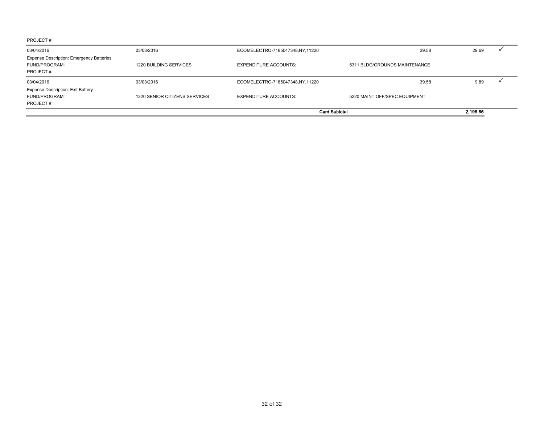| 03/04/2016                                                                    | 03/03/2016                    | ECOMELECTRO-7185047348,NY,11220 | 39.58                         | 29.69    |
|-------------------------------------------------------------------------------|-------------------------------|---------------------------------|-------------------------------|----------|
| <b>Expense Description: Emergency Batteries</b><br>FUND/PROGRAM:<br>PROJECT#: | 1220 BUILDING SERVICES        | <b>EXPENDITURE ACCOUNTS:</b>    | 5311 BLDG/GROUNDS MAINTENANCE |          |
| 03/04/2016                                                                    | 03/03/2016                    | ECOMELECTRO-7185047348,NY,11220 | 39.58                         | 9.89     |
| Expense Description: Exit Battery<br>FUND/PROGRAM:<br>PROJECT#:               | 1320 SENIOR CITIZENS SERVICES | <b>EXPENDITURE ACCOUNTS:</b>    | 5220 MAINT OFF/SPEC EQUIPMENT |          |
|                                                                               |                               | <b>Card Subtotal</b>            |                               | 2.198.66 |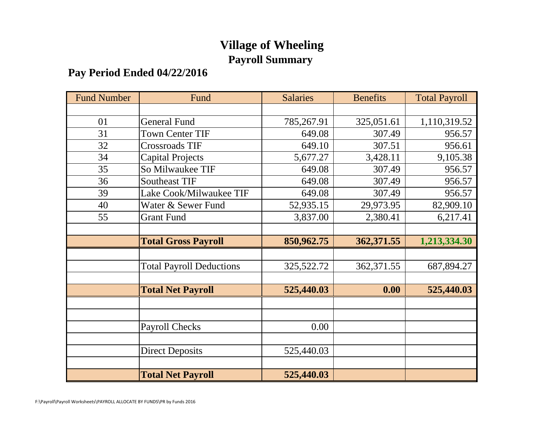# **Village of Wheeling Payroll Summary**

## **Pay Period Ended 04/22/2016**

| <b>Fund Number</b> | Fund                            | <b>Salaries</b> | <b>Benefits</b> | <b>Total Payroll</b> |
|--------------------|---------------------------------|-----------------|-----------------|----------------------|
|                    |                                 |                 |                 |                      |
| 01                 | <b>General Fund</b>             | 785,267.91      | 325,051.61      | 1,110,319.52         |
| 31                 | <b>Town Center TIF</b>          | 649.08          | 307.49          | 956.57               |
| 32                 | <b>Crossroads TIF</b>           | 649.10          | 307.51          | 956.61               |
| 34                 | <b>Capital Projects</b>         | 5,677.27        | 3,428.11        | 9,105.38             |
| 35                 | So Milwaukee TIF                | 649.08          | 307.49          | 956.57               |
| 36                 | <b>Southeast TIF</b>            | 649.08          | 307.49          | 956.57               |
| 39                 | Lake Cook/Milwaukee TIF         | 649.08          | 307.49          | 956.57               |
| 40                 | Water & Sewer Fund              | 52,935.15       | 29,973.95       | 82,909.10            |
| 55                 | <b>Grant Fund</b>               | 3,837.00        | 2,380.41        | 6,217.41             |
|                    |                                 |                 |                 |                      |
|                    | <b>Total Gross Payroll</b>      | 850,962.75      | 362,371.55      | 1,213,334.30         |
|                    |                                 |                 |                 |                      |
|                    | <b>Total Payroll Deductions</b> | 325,522.72      | 362,371.55      | 687,894.27           |
|                    |                                 |                 |                 |                      |
|                    | <b>Total Net Payroll</b>        | 525,440.03      | 0.00            | 525,440.03           |
|                    |                                 |                 |                 |                      |
|                    |                                 |                 |                 |                      |
|                    | <b>Payroll Checks</b>           | 0.00            |                 |                      |
|                    |                                 |                 |                 |                      |
|                    | <b>Direct Deposits</b>          | 525,440.03      |                 |                      |
|                    |                                 |                 |                 |                      |
|                    | <b>Total Net Payroll</b>        | 525,440.03      |                 |                      |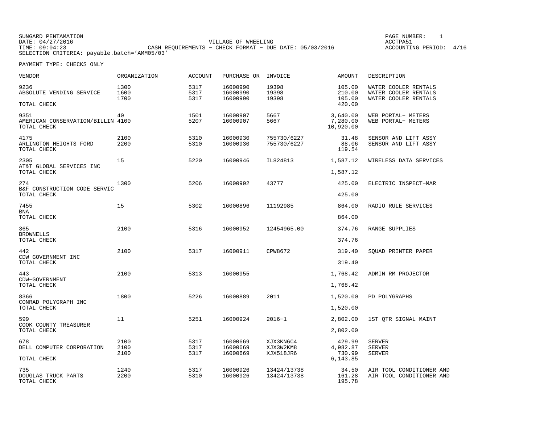SUNGARD PENTAMATION PAGE NUMBER: 1DATE: 04/27/2016 VILLAGE OF WHEELING ACCTPA51TIME: 09:04:23 CASH REQUIREMENTS − CHECK FORMAT − DUE DATE: 05/03/2016 SELECTION CRITERIA: payable.batch='AMM05/03'

ACCOUNTING PERIOD: 4/16

| VENDOR                                                   | ORGANIZATION         | <b>ACCOUNT</b>       | PURCHASE OR                      | INVOICE                             | AMOUNT                                   | DESCRIPTION                                                          |
|----------------------------------------------------------|----------------------|----------------------|----------------------------------|-------------------------------------|------------------------------------------|----------------------------------------------------------------------|
| 9236<br>ABSOLUTE VENDING SERVICE<br>TOTAL CHECK          | 1300<br>1600<br>1700 | 5317<br>5317<br>5317 | 16000990<br>16000990<br>16000990 | 19398<br>19398<br>19398             | 105.00<br>210.00<br>105.00<br>420.00     | WATER COOLER RENTALS<br>WATER COOLER RENTALS<br>WATER COOLER RENTALS |
| 9351<br>AMERICAN CONSERVATION/BILLIN 4100<br>TOTAL CHECK | 40                   | 1501<br>5207         | 16000907<br>16000907             | 5667<br>5667                        | 3,640.00<br>7,280.00<br>10,920.00        | WEB PORTAL- METERS<br>WEB PORTAL- METERS                             |
| 4175<br>ARLINGTON HEIGHTS FORD<br>TOTAL CHECK            | 2100<br>2200         | 5310<br>5310         | 16000930<br>16000930             | 755730/6227<br>755730/6227          | 31.48<br>88.06<br>119.54                 | SENSOR AND LIFT ASSY<br>SENSOR AND LIFT ASSY                         |
| 2305<br>AT&T GLOBAL SERVICES INC<br>TOTAL CHECK          | 15                   | 5220                 | 16000946                         | IL824813                            | 1,587.12<br>1,587.12                     | WIRELESS DATA SERVICES                                               |
| 274<br>B&F CONSTRUCTION CODE SERVIC<br>TOTAL CHECK       | 1300                 | 5206                 | 16000992                         | 43777                               | 425.00<br>425.00                         | ELECTRIC INSPECT-MAR                                                 |
| 7455<br><b>BNA</b><br>TOTAL CHECK                        | 15                   | 5302                 | 16000896                         | 11192985                            | 864.00<br>864.00                         | RADIO RULE SERVICES                                                  |
| 365<br><b>BROWNELLS</b><br>TOTAL CHECK                   | 2100                 | 5316                 | 16000952                         | 12454965.00                         | 374.76<br>374.76                         | RANGE SUPPLIES                                                       |
| 442<br>CDW GOVERNMENT INC<br>TOTAL CHECK                 | 2100                 | 5317                 | 16000911                         | CPW8672                             | 319.40<br>319.40                         | SQUAD PRINTER PAPER                                                  |
| 443<br>CDW-GOVERNMENT<br>TOTAL CHECK                     | 2100                 | 5313                 | 16000955                         |                                     | 1,768.42<br>1,768.42                     | ADMIN RM PROJECTOR                                                   |
| 8366<br>CONRAD POLYGRAPH INC<br>TOTAL CHECK              | 1800                 | 5226                 | 16000889                         | 2011                                | 1,520.00<br>1,520.00                     | PD POLYGRAPHS                                                        |
| 599<br>COOK COUNTY TREASURER<br>TOTAL CHECK              | 11                   | 5251                 | 16000924                         | $2016 - 1$                          | 2,802.00<br>2,802.00                     | 1ST QTR SIGNAL MAINT                                                 |
| 678<br>DELL COMPUTER CORPORATION<br>TOTAL CHECK          | 2100<br>2100<br>2100 | 5317<br>5317<br>5317 | 16000669<br>16000669<br>16000669 | XJX3KN6C4<br>XJX3W2KM8<br>XJX518JR6 | 429.99<br>4,982.87<br>730.99<br>6,143.85 | <b>SERVER</b><br><b>SERVER</b><br><b>SERVER</b>                      |
| 735<br>DOUGLAS TRUCK PARTS<br>TOTAL CHECK                | 1240<br>2200         | 5317<br>5310         | 16000926<br>16000926             | 13424/13738<br>13424/13738          | 34.50<br>161.28<br>195.78                | AIR TOOL CONDITIONER AND<br>AIR TOOL CONDITIONER AND                 |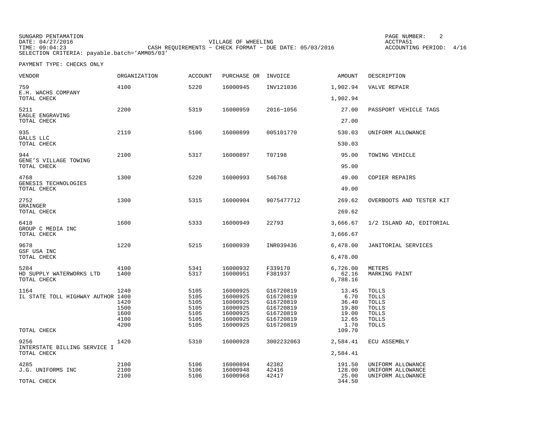SUNGARD PENTAMATION PAGE NUMBER: 2DATE: 04/27/2016 VILLAGE OF WHEELING ACCTPA51ACCOUNTING PERIOD: 4/16 TIME: 09:04:23 CASH REQUIREMENTS − CHECK FORMAT − DUE DATE: 05/03/2016 SELECTION CRITERIA: payable.batch='AMM05/03'

| VENDOR                                          | ORGANIZATION                                 | <b>ACCOUNT</b>                                       | PURCHASE OR                                                                      | INVOICE                                                                                 | AMOUNT                                                    | DESCRIPTION                                                                                    |
|-------------------------------------------------|----------------------------------------------|------------------------------------------------------|----------------------------------------------------------------------------------|-----------------------------------------------------------------------------------------|-----------------------------------------------------------|------------------------------------------------------------------------------------------------|
| 759<br>E.H. WACHS COMPANY                       | 4100                                         | 5220                                                 | 16000945                                                                         | INV121036                                                                               | 1,902.94                                                  | VALVE REPAIR                                                                                   |
| TOTAL CHECK                                     |                                              |                                                      |                                                                                  |                                                                                         | 1,902.94                                                  |                                                                                                |
| 5211<br>EAGLE ENGRAVING<br>TOTAL CHECK          | 2200                                         | 5319                                                 | 16000959                                                                         | 2016-1056                                                                               | 27.00<br>27.00                                            | PASSPORT VEHICLE TAGS                                                                          |
|                                                 |                                              |                                                      |                                                                                  |                                                                                         |                                                           |                                                                                                |
| 935<br>GALLS LLC<br>TOTAL CHECK                 | 2110                                         | 5106                                                 | 16000899                                                                         | 005101770                                                                               | 530.03<br>530.03                                          | UNIFORM ALLOWANCE                                                                              |
|                                                 |                                              |                                                      |                                                                                  |                                                                                         |                                                           |                                                                                                |
| 944<br>GENE'S VILLAGE TOWING<br>TOTAL CHECK     | 2100                                         | 5317                                                 | 16000897                                                                         | T07198                                                                                  | 95.00<br>95.00                                            | TOWING VEHICLE                                                                                 |
|                                                 |                                              |                                                      |                                                                                  |                                                                                         |                                                           |                                                                                                |
| 4768<br>GENESIS TECHNOLOGIES                    | 1300                                         | 5220                                                 | 16000993                                                                         | 546768                                                                                  | 49.00                                                     | COPIER REPAIRS                                                                                 |
| TOTAL CHECK                                     |                                              |                                                      |                                                                                  |                                                                                         | 49.00                                                     |                                                                                                |
| 2752<br>GRAINGER                                | 1300                                         | 5315                                                 | 16000904                                                                         | 9075477712                                                                              | 269.62                                                    | OVERBOOTS AND TESTER KIT                                                                       |
| TOTAL CHECK                                     |                                              |                                                      |                                                                                  |                                                                                         | 269.62                                                    |                                                                                                |
| 6418<br>GROUP C MEDIA INC                       | 1600                                         | 5333                                                 | 16000949                                                                         | 22793                                                                                   | 3,666.67                                                  | 1/2 ISLAND AD, EDITORIAL                                                                       |
| TOTAL CHECK                                     |                                              |                                                      |                                                                                  |                                                                                         | 3,666.67                                                  |                                                                                                |
| 9678<br>GSF USA INC                             | 1220                                         | 5215                                                 | 16000939                                                                         | INR039436                                                                               | 6,478.00                                                  | JANITORIAL SERVICES                                                                            |
| TOTAL CHECK                                     |                                              |                                                      |                                                                                  |                                                                                         | 6,478.00                                                  |                                                                                                |
| 5284<br>HD SUPPLY WATERWORKS LTD<br>TOTAL CHECK | 4100<br>1400                                 | 5341<br>5317                                         | 16000932<br>16000951                                                             | F339170<br>F381937                                                                      | 6,726.00<br>62.16<br>6,788.16                             | METERS<br>MARKING PAINT                                                                        |
| 1164<br>IL STATE TOLL HIGHWAY AUTHOR 1400       | 1240<br>1420<br>1500<br>1600<br>4100<br>4200 | 5105<br>5105<br>5105<br>5105<br>5105<br>5105<br>5105 | 16000925<br>16000925<br>16000925<br>16000925<br>16000925<br>16000925<br>16000925 | G16720819<br>G16720819<br>G16720819<br>G16720819<br>G16720819<br>G16720819<br>G16720819 | 13.45<br>6.70<br>36.40<br>19.80<br>19.00<br>12.65<br>1.70 | <b>TOLLS</b><br>TOLLS<br><b>TOLLS</b><br><b>TOLLS</b><br><b>TOLLS</b><br><b>TOLLS</b><br>TOLLS |
| TOTAL CHECK                                     |                                              |                                                      |                                                                                  |                                                                                         | 109.70                                                    |                                                                                                |
| 9256<br>INTERSTATE BILLING SERVICE I            | 1420                                         | 5310                                                 | 16000928                                                                         | 3002232063                                                                              | 2,584.41                                                  | ECU ASSEMBLY                                                                                   |
| TOTAL CHECK                                     |                                              |                                                      |                                                                                  |                                                                                         | 2,584.41                                                  |                                                                                                |
| 4285<br>J.G. UNIFORMS INC                       | 2100<br>2100<br>2100                         | 5106<br>5106<br>5106                                 | 16000894<br>16000948<br>16000968                                                 | 42382<br>42416<br>42417                                                                 | 191.50<br>128.00<br>25.00                                 | UNIFORM ALLOWANCE<br>UNIFORM ALLOWANCE<br>UNIFORM ALLOWANCE                                    |
| TOTAL CHECK                                     |                                              |                                                      |                                                                                  |                                                                                         | 344.50                                                    |                                                                                                |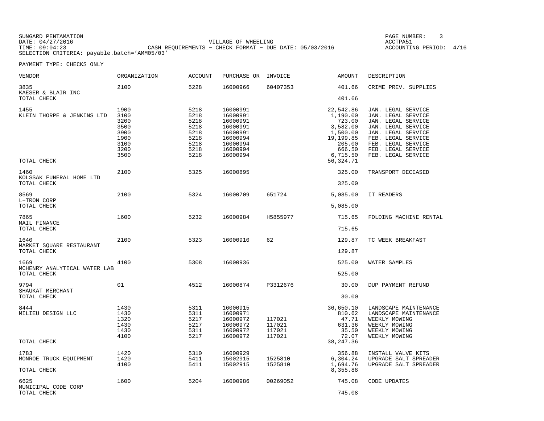SUNGARD PENTAMATION PAGE NUMBER: 3DATE: 04/27/2016 VILLAGE OF WHEELING ACCTPA51TIME: 09:04:23 CASH REQUIREMENTS − CHECK FORMAT − DUE DATE: 05/03/2016 SELECTION CRITERIA: payable.batch='AMM05/03'

ACCOUNTING PERIOD: 4/16

| <b>VENDOR</b>                                       | <b>ORGANIZATION</b>                                                  | <b>ACCOUNT</b>                                                       | PURCHASE OR                                                                                              | INVOICE                              | <b>AMOUNT</b>                                                                                                       | DESCRIPTION                                                                                                                                                                                        |
|-----------------------------------------------------|----------------------------------------------------------------------|----------------------------------------------------------------------|----------------------------------------------------------------------------------------------------------|--------------------------------------|---------------------------------------------------------------------------------------------------------------------|----------------------------------------------------------------------------------------------------------------------------------------------------------------------------------------------------|
| 3835<br>KAESER & BLAIR INC<br>TOTAL CHECK           | 2100                                                                 | 5228                                                                 | 16000966                                                                                                 | 60407353                             | 401.66<br>401.66                                                                                                    | CRIME PREV. SUPPLIES                                                                                                                                                                               |
| 1455<br>KLEIN THORPE & JENKINS LTD<br>TOTAL CHECK   | 1900<br>3100<br>3200<br>3500<br>3900<br>1900<br>3100<br>3200<br>3500 | 5218<br>5218<br>5218<br>5218<br>5218<br>5218<br>5218<br>5218<br>5218 | 16000991<br>16000991<br>16000991<br>16000991<br>16000991<br>16000994<br>16000994<br>16000994<br>16000994 |                                      | 22,542.86<br>1,190.00<br>723.00<br>3,582.00<br>1,500.00<br>19,199.85<br>205.00<br>666.50<br>6,715.50<br>56, 324. 71 | JAN. LEGAL SERVICE<br>JAN. LEGAL SERVICE<br>JAN. LEGAL SERVICE<br>JAN. LEGAL SERVICE<br>JAN. LEGAL SERVICE<br>FEB. LEGAL SERVICE<br>FEB. LEGAL SERVICE<br>FEB. LEGAL SERVICE<br>FEB. LEGAL SERVICE |
| 1460<br>KOLSSAK FUNERAL HOME LTD<br>TOTAL CHECK     | 2100                                                                 | 5325                                                                 | 16000895                                                                                                 |                                      | 325.00<br>325.00                                                                                                    | TRANSPORT DECEASED                                                                                                                                                                                 |
| 8569<br>L-TRON CORP<br>TOTAL CHECK                  | 2100                                                                 | 5324                                                                 | 16000709                                                                                                 | 651724                               | 5,085.00<br>5,085.00                                                                                                | IT READERS                                                                                                                                                                                         |
| 7865<br>MAIL FINANCE<br>TOTAL CHECK                 | 1600                                                                 | 5232                                                                 | 16000984                                                                                                 | H5855977                             | 715.65<br>715.65                                                                                                    | FOLDING MACHINE RENTAL                                                                                                                                                                             |
| 1640<br>MARKET SQUARE RESTAURANT<br>TOTAL CHECK     | 2100                                                                 | 5323                                                                 | 16000910                                                                                                 | 62                                   | 129.87<br>129.87                                                                                                    | TC WEEK BREAKFAST                                                                                                                                                                                  |
| 1669<br>MCHENRY ANALYTICAL WATER LAB<br>TOTAL CHECK | 4100                                                                 | 5308                                                                 | 16000936                                                                                                 |                                      | 525.00<br>525.00                                                                                                    | WATER SAMPLES                                                                                                                                                                                      |
| 9794<br>SHAUKAT MERCHANT<br>TOTAL CHECK             | 01                                                                   | 4512                                                                 | 16000874                                                                                                 | P3312676                             | 30.00<br>30.00                                                                                                      | DUP PAYMENT REFUND                                                                                                                                                                                 |
| 8444<br>MILIEU DESIGN LLC<br>TOTAL CHECK            | 1430<br>1430<br>1320<br>1430<br>1430<br>4100                         | 5311<br>5311<br>5217<br>5217<br>5311<br>5217                         | 16000915<br>16000971<br>16000972<br>16000972<br>16000972<br>16000972                                     | 117021<br>117021<br>117021<br>117021 | 36,650.10<br>810.62<br>47.71<br>631.36<br>35.50<br>72.07<br>38, 247.36                                              | LANDSCAPE MAINTENANCE<br>LANDSCAPE MAINTENANCE<br>WEEKLY MOWING<br>WEEKLY MOWING<br>WEEKLY MOWING<br>WEEKLY MOWING                                                                                 |
| 1783<br>MONROE TRUCK EQUIPMENT<br>TOTAL CHECK       | 1420<br>1420<br>4100                                                 | 5310<br>5411<br>5411                                                 | 16000929<br>15002915<br>15002915                                                                         | 1525810<br>1525810                   | 356.88<br>6,304.24<br>1,694.76<br>8,355.88                                                                          | INSTALL VALVE KITS<br>UPGRADE SALT SPREADER<br>UPGRADE SALT SPREADER                                                                                                                               |
| 6625<br>MUNICIPAL CODE CORP<br>TOTAL CHECK          | 1600                                                                 | 5204                                                                 | 16000986                                                                                                 | 00269052                             | 745.08<br>745.08                                                                                                    | CODE UPDATES                                                                                                                                                                                       |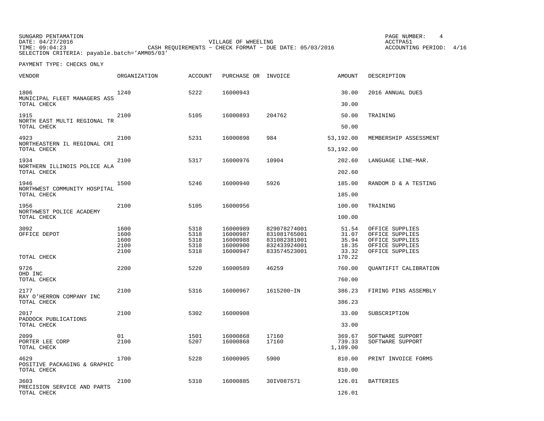SUNGARD PENTAMATION PAGE NUMBER: 4DATE: 04/27/2016 VILLAGE OF WHEELING ACCTPA51TIME: 09:04:23 CASH REQUIREMENTS − CHECK FORMAT − DUE DATE: 05/03/2016 SELECTION CRITERIA: payable.batch='AMM05/03'

ACCOUNTING PERIOD: 4/16

| VENDOR                                              | ORGANIZATION                         | <b>ACCOUNT</b>                       | PURCHASE OR INVOICE                                      |                                                                              | AMOUNT                                              | DESCRIPTION                                                                                 |
|-----------------------------------------------------|--------------------------------------|--------------------------------------|----------------------------------------------------------|------------------------------------------------------------------------------|-----------------------------------------------------|---------------------------------------------------------------------------------------------|
| 1806<br>MUNICIPAL FLEET MANAGERS ASS<br>TOTAL CHECK | 1240                                 | 5222                                 | 16000943                                                 |                                                                              | 30.00<br>30.00                                      | 2016 ANNUAL DUES                                                                            |
| 1915<br>NORTH EAST MULTI REGIONAL TR<br>TOTAL CHECK | 2100                                 | 5105                                 | 16000893                                                 | 204762                                                                       | 50.00<br>50.00                                      | TRAINING                                                                                    |
| 4923<br>NORTHEASTERN IL REGIONAL CRI<br>TOTAL CHECK | 2100                                 | 5231                                 | 16000898                                                 | 984                                                                          | 53,192.00<br>53,192.00                              | MEMBERSHIP ASSESSMENT                                                                       |
| 1934<br>NORTHERN ILLINOIS POLICE ALA<br>TOTAL CHECK | 2100                                 | 5317                                 | 16000976                                                 | 10904                                                                        | 202.60<br>202.60                                    | LANGUAGE LINE-MAR.                                                                          |
| 1946<br>NORTHWEST COMMUNITY HOSPITAL<br>TOTAL CHECK | 1500                                 | 5246                                 | 16000940                                                 | 5926                                                                         | 185.00<br>185.00                                    | RANDOM D & A TESTING                                                                        |
| 1956<br>NORTHWEST POLICE ACADEMY<br>TOTAL CHECK     | 2100                                 | 5105                                 | 16000956                                                 |                                                                              | 100.00<br>100.00                                    | TRAINING                                                                                    |
| 3092<br>OFFICE DEPOT<br>TOTAL CHECK                 | 1600<br>1600<br>1600<br>2100<br>2100 | 5318<br>5318<br>5318<br>5318<br>5318 | 16000989<br>16000987<br>16000988<br>16000900<br>16000947 | 829078274001<br>831081765001<br>831082381001<br>832433924001<br>833574523001 | 51.54<br>31.07<br>35.94<br>18.35<br>33.32<br>170.22 | OFFICE SUPPLIES<br>OFFICE SUPPLIES<br>OFFICE SUPPLIES<br>OFFICE SUPPLIES<br>OFFICE SUPPLIES |
| 9726<br>OHD INC<br>TOTAL CHECK                      | 2200                                 | 5220                                 | 16000589                                                 | 46259                                                                        | 760.00<br>760.00                                    | OUANTIFIT CALIBRATION                                                                       |
| 2177<br>RAY O'HERRON COMPANY INC<br>TOTAL CHECK     | 2100                                 | 5316                                 | 16000967                                                 | 1615200-IN                                                                   | 386.23<br>386.23                                    | FIRING PINS ASSEMBLY                                                                        |
| 2017<br>PADDOCK PUBLICATIONS<br>TOTAL CHECK         | 2100                                 | 5302                                 | 16000908                                                 |                                                                              | 33.00<br>33.00                                      | SUBSCRIPTION                                                                                |
| 2099<br>PORTER LEE CORP<br>TOTAL CHECK              | 01<br>2100                           | 1501<br>5207                         | 16000868<br>16000868                                     | 17160<br>17160                                                               | 369.67<br>739.33<br>1,109.00                        | SOFTWARE SUPPORT<br>SOFTWARE SUPPORT                                                        |
| 4629<br>POSITIVE PACKAGING & GRAPHIC<br>TOTAL CHECK | 1700                                 | 5228                                 | 16000905                                                 | 5900                                                                         | 810.00<br>810.00                                    | PRINT INVOICE FORMS                                                                         |
| 3603<br>PRECISION SERVICE AND PARTS<br>TOTAL CHECK  | 2100                                 | 5310                                 | 16000885                                                 | 30IV087571                                                                   | 126.01<br>126.01                                    | <b>BATTERIES</b>                                                                            |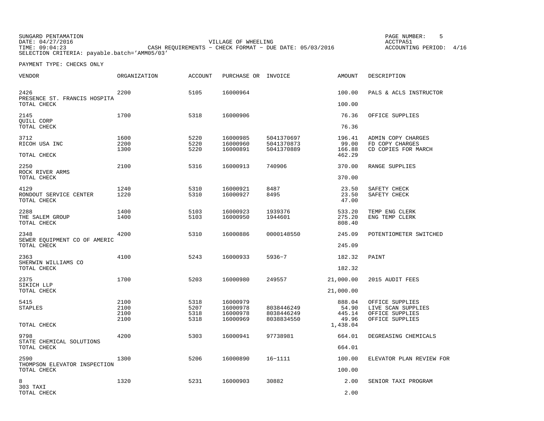SUNGARD PENTAMATION SUNGARD PENTAMATION SUNGARD PAGE NUMBER: 5 SECRETAL SUNGARD PAGE NUMBER: 5 SECRETAL SUNGARD PAGE NUMBER: 5 SECRETAL SUNGARD PAGE NUMBER: 5 SECRETAL SUNGARD PAGE NUMBER: 5 SECRETAL SUNGARD PAGE NUMBER: 5 DATE: 04/27/2016 VILLAGE OF WHEELING ACCTPA51CASH REQUIREMENTS - CHECK FORMAT - DUE DATE: 05/03/2016 SELECTION CRITERIA: payable.batch='AMM05/03'

ACCOUNTING PERIOD: 4/16

| VENDOR                                      | ORGANIZATION | <b>ACCOUNT</b> | PURCHASE OR INVOICE  |                          | AMOUNT           | DESCRIPTION                        |
|---------------------------------------------|--------------|----------------|----------------------|--------------------------|------------------|------------------------------------|
| 2426<br>PRESENCE ST. FRANCIS HOSPITA        | 2200         | 5105           | 16000964             |                          | 100.00           | PALS & ACLS INSTRUCTOR             |
| TOTAL CHECK                                 |              |                |                      |                          | 100.00           |                                    |
| 2145<br>QUILL CORP                          | 1700         | 5318           | 16000906             |                          | 76.36            | OFFICE SUPPLIES                    |
| TOTAL CHECK                                 |              |                |                      |                          | 76.36            |                                    |
| 3712                                        | 1600         | 5220           | 16000985             | 5041370697               | 196.41           | ADMIN COPY CHARGES                 |
| RICOH USA INC                               | 2200         | 5220           | 16000960             | 5041370873               | 99.00            | FD COPY CHARGES                    |
| TOTAL CHECK                                 | 1300         | 5220           | 16000891             | 5041370889               | 166.88<br>462.29 | CD COPIES FOR MARCH                |
| 2250                                        | 2100         | 5316           | 16000913             | 740906                   | 370.00           | RANGE SUPPLIES                     |
| ROCK RIVER ARMS<br>TOTAL CHECK              |              |                |                      |                          | 370.00           |                                    |
| 4129                                        | 1240         | 5310           | 16000921             | 8487                     | 23.50            | SAFETY CHECK                       |
| RONDOUT SERVICE CENTER<br>TOTAL CHECK       | 1220         | 5310           | 16000927             | 8495                     | 23.50<br>47.00   | SAFETY CHECK                       |
| 2288                                        | 1400         | 5103           | 16000923             | 1939376                  | 533.20           | TEMP ENG CLERK                     |
| THE SALEM GROUP<br>TOTAL CHECK              | 1400         | 5103           | 16000950             | 1944601                  | 275.20<br>808.40 | ENG TEMP CLERK                     |
| 2348                                        | 4200         | 5310           | 16000886             | 0000148550               | 245.09           | POTENTIOMETER SWITCHED             |
| SEWER EQUIPMENT CO OF AMERIC<br>TOTAL CHECK |              |                |                      |                          | 245.09           |                                    |
| 2363                                        | 4100         | 5243           | 16000933             | $5936 - 7$               | 182.32           | PAINT                              |
| SHERWIN WILLIAMS CO<br>TOTAL CHECK          |              |                |                      |                          | 182.32           |                                    |
| 2375<br>SIKICH LLP                          | 1700         | 5203           | 16000980             | 249557                   | 21,000.00        | 2015 AUDIT FEES                    |
| TOTAL CHECK                                 |              |                |                      |                          | 21,000.00        |                                    |
| 5415                                        | 2100         | 5318           | 16000979             |                          | 888.04           | OFFICE SUPPLIES                    |
| <b>STAPLES</b>                              | 2100         | 5207           | 16000978             | 8038446249               | 54.90            | LIVE SCAN SUPPLIES                 |
|                                             | 2100<br>2100 | 5318<br>5318   | 16000978<br>16000969 | 8038446249<br>8038834550 | 445.14<br>49.96  | OFFICE SUPPLIES<br>OFFICE SUPPLIES |
| TOTAL CHECK                                 |              |                |                      |                          | 1,438.04         |                                    |
| 9798                                        | 4200         | 5303           | 16000941             | 97738981                 | 664.01           | DEGREASING CHEMICALS               |
| STATE CHEMICAL SOLUTIONS<br>TOTAL CHECK     |              |                |                      |                          | 664.01           |                                    |
| 2590                                        | 1300         | 5206           | 16000890             | $16 - 1111$              | 100.00           | ELEVATOR PLAN REVIEW FOR           |
| THOMPSON ELEVATOR INSPECTION<br>TOTAL CHECK |              |                |                      |                          | 100.00           |                                    |
| 8<br>303 TAXI                               | 1320         | 5231           | 16000903             | 30882                    | 2.00             | SENIOR TAXI PROGRAM                |
| TOTAL CHECK                                 |              |                |                      |                          | 2.00             |                                    |